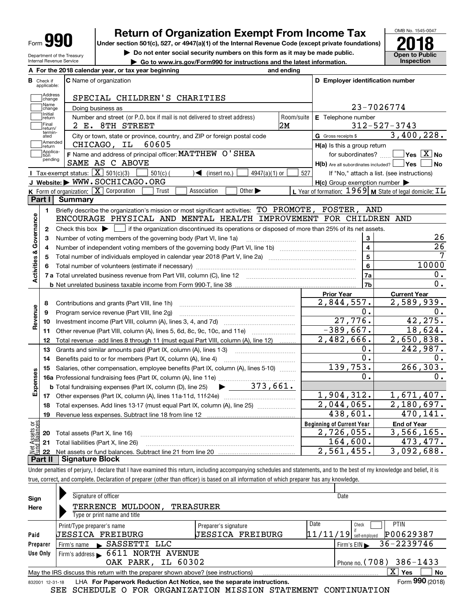| г<br>Form<br>٠. |
|-----------------|
|-----------------|

Department of the Treasury Internal Revenue Service

# **Return of Organization Exempt From Income Tax**

Under section 501(c), 527, or 4947(a)(1) of the Internal Revenue Code (except private foundations) **2018** 

**| Do not enter social security numbers on this form as it may be made public.**

**| Go to www.irs.gov/Form990 for instructions and the latest information. Inspection**



|                         |                         | A For the 2018 calendar year, or tax year beginning                                                                                                 | and ending     |                                                     |                                                                    |
|-------------------------|-------------------------|-----------------------------------------------------------------------------------------------------------------------------------------------------|----------------|-----------------------------------------------------|--------------------------------------------------------------------|
| В                       | Check if<br>applicable: | <b>C</b> Name of organization                                                                                                                       |                | D Employer identification number                    |                                                                    |
|                         | Address<br>change       | SPECIAL CHILDREN'S CHARITIES                                                                                                                        |                |                                                     |                                                                    |
|                         | Name<br>change          | Doing business as                                                                                                                                   |                |                                                     | 23-7026774                                                         |
|                         | Initial<br>return       | Number and street (or P.O. box if mail is not delivered to street address)                                                                          | Room/suite     | E Telephone number                                  |                                                                    |
|                         | Final<br>return/        | 2 E. 8TH STREET                                                                                                                                     | 2M             |                                                     | $312 - 527 - 3743$                                                 |
|                         | termin-<br>ated         | City or town, state or province, country, and ZIP or foreign postal code                                                                            |                | G Gross receipts \$                                 | 3,400,228.                                                         |
|                         | Amended<br>return       | 60605<br>CHICAGO, IL                                                                                                                                |                | H(a) Is this a group return                         |                                                                    |
|                         | Applica-<br>tion        | F Name and address of principal officer: MATTHEW O' SHEA                                                                                            |                | for subordinates?                                   | $\overline{\ }$ Yes $\overline{\phantom{X}}$ No                    |
|                         | pending                 | SAME AS C ABOVE                                                                                                                                     |                | $H(b)$ Are all subordinates included? $\Box$ Yes    | No                                                                 |
|                         |                         | Tax-exempt status: $\boxed{\mathbf{X}}$ 501(c)(3)<br>$\mathcal{A}$ (insert no.)<br>$501(c)$ (<br>$4947(a)(1)$ or                                    | 527            |                                                     | If "No," attach a list. (see instructions)                         |
|                         |                         | J Website: WWW.SOCHICAGO.ORG                                                                                                                        |                | $H(c)$ Group exemption number $\blacktriangleright$ |                                                                    |
|                         |                         | K Form of organization: $X$ Corporation<br>Association<br>Other $\blacktriangleright$<br>Trust                                                      |                |                                                     | L Year of formation: $1969$ M State of legal domicile: $\text{IL}$ |
|                         | Part I                  | <b>Summary</b>                                                                                                                                      |                |                                                     |                                                                    |
|                         | 1.                      | Briefly describe the organization's mission or most significant activities: TO PROMOTE, FOSTER,                                                     |                | AND                                                 |                                                                    |
| Activities & Governance |                         | ENCOURAGE PHYSICAL AND MENTAL HEALTH IMPROVEMENT FOR CHILDREN AND                                                                                   |                |                                                     |                                                                    |
|                         | $\mathbf{2}$            | Check this box $\blacktriangleright$ $\blacksquare$ if the organization discontinued its operations or disposed of more than 25% of its net assets. |                |                                                     |                                                                    |
|                         | 3                       | Number of voting members of the governing body (Part VI, line 1a)                                                                                   |                | 3                                                   | 26                                                                 |
|                         | 4                       |                                                                                                                                                     | $\overline{4}$ | $\overline{26}$                                     |                                                                    |
|                         | 5                       |                                                                                                                                                     | $5\phantom{a}$ |                                                     |                                                                    |
|                         | 6                       |                                                                                                                                                     |                | 6                                                   | 10000                                                              |
|                         |                         |                                                                                                                                                     |                | 7a                                                  | $\mathbf 0$ .                                                      |
|                         |                         |                                                                                                                                                     |                | 7b                                                  | $\mathbf{0}$ .                                                     |
|                         |                         |                                                                                                                                                     |                | <b>Prior Year</b>                                   | <b>Current Year</b>                                                |
|                         | 8                       | Contributions and grants (Part VIII, line 1h)                                                                                                       |                | 2,844,557.                                          | 2,589,939.                                                         |
|                         | 9                       | Program service revenue (Part VIII, line 2g)                                                                                                        |                | 0.                                                  | 0.                                                                 |
| Revenue                 | 10                      |                                                                                                                                                     |                | 27,776.                                             | 42, 275.                                                           |
|                         | 11                      | Other revenue (Part VIII, column (A), lines 5, 6d, 8c, 9c, 10c, and 11e)                                                                            |                | $-389,667.$                                         | 18,624.                                                            |
|                         |                         |                                                                                                                                                     |                |                                                     |                                                                    |
|                         | 12                      | Total revenue - add lines 8 through 11 (must equal Part VIII, column (A), line 12)                                                                  |                | 2,482,666.                                          | 2,650,838.                                                         |
|                         | 13                      | Grants and similar amounts paid (Part IX, column (A), lines 1-3)                                                                                    |                | 0.                                                  | 242,987.                                                           |
|                         | 14                      | Benefits paid to or for members (Part IX, column (A), line 4)                                                                                       |                | 0.                                                  | 0.                                                                 |
|                         | 15                      | Salaries, other compensation, employee benefits (Part IX, column (A), lines 5-10)                                                                   |                | 139,753.                                            | 266, 303.                                                          |
|                         |                         |                                                                                                                                                     |                | о.                                                  | 0.                                                                 |
|                         |                         | $\blacktriangleright$ 373,661.<br><b>b</b> Total fundraising expenses (Part IX, column (D), line 25)                                                |                |                                                     |                                                                    |
|                         |                         |                                                                                                                                                     |                | 1,904,312.                                          |                                                                    |
|                         | 18                      | Total expenses. Add lines 13-17 (must equal Part IX, column (A), line 25) [                                                                         |                | 2,044,065.                                          | 2,180,697.                                                         |
|                         | 19                      |                                                                                                                                                     |                | 438,601.                                            | 470, 141.                                                          |
|                         |                         |                                                                                                                                                     |                | <b>Beginning of Current Year</b>                    | <b>End of Year</b>                                                 |
| Expenses<br>äğ          |                         | <b>20</b> Total assets (Part X, line 16)                                                                                                            |                | 2,726,055.                                          | 1,671,407.<br>3,566,165.                                           |
| <b>Ssets</b><br>Ralam   |                         | 21 Total liabilities (Part X, line 26)                                                                                                              |                | 164,600.<br>2,561,455.                              | 473,477.<br>3,092,688.                                             |

Under penalties of perjury, I declare that I have examined this return, including accompanying schedules and statements, and to the best of my knowledge and belief, it is true, correct, and complete. Declaration of preparer (other than officer) is based on all information of which preparer has any knowledge.

| Sign                                                                                                | Signature of officer                                                                                         |                         |      | Date                     |             |  |  |  |  |  |  |
|-----------------------------------------------------------------------------------------------------|--------------------------------------------------------------------------------------------------------------|-------------------------|------|--------------------------|-------------|--|--|--|--|--|--|
| Here                                                                                                | MULDOON,<br>TERRENCE<br><b>TREASURER</b>                                                                     |                         |      |                          |             |  |  |  |  |  |  |
|                                                                                                     | Type or print name and title                                                                                 |                         |      |                          |             |  |  |  |  |  |  |
|                                                                                                     | Print/Type preparer's name                                                                                   | Preparer's signature    | Date | Check                    | <b>PTIN</b> |  |  |  |  |  |  |
| Paid                                                                                                | UESSICA FREIBURG                                                                                             | <b>JESSICA FREIBURG</b> |      | $11/11/19$ self-employed | P00629387   |  |  |  |  |  |  |
| Preparer                                                                                            | Firm's name SASSETTI LLC                                                                                     |                         |      | Firm's $EIN$             | 36-2239746  |  |  |  |  |  |  |
| Use Only                                                                                            | Firm's address > 6611 NORTH AVENUE                                                                           |                         |      |                          |             |  |  |  |  |  |  |
| OAK PARK, IL 60302<br>Phone no. $(708)$ 386-1433                                                    |                                                                                                              |                         |      |                          |             |  |  |  |  |  |  |
| x<br>No<br>Yes<br>May the IRS discuss this return with the preparer shown above? (see instructions) |                                                                                                              |                         |      |                          |             |  |  |  |  |  |  |
|                                                                                                     | Form 990 (2018)<br>LHA For Paperwork Reduction Act Notice, see the separate instructions.<br>832001 12-31-18 |                         |      |                          |             |  |  |  |  |  |  |

SEE SCHEDULE O FOR ORGANIZATION MISSION STATEMENT CONTINUATION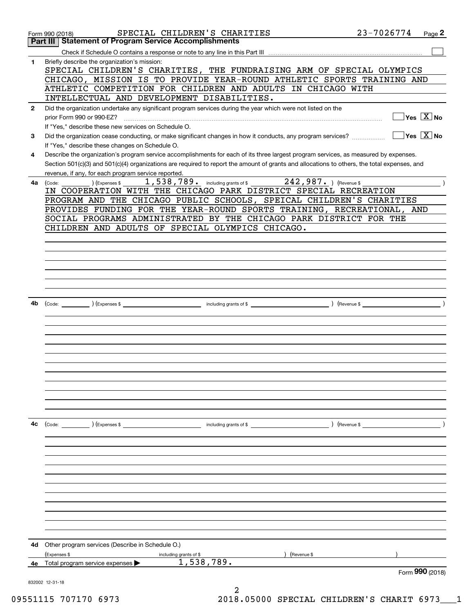|              | SPECIAL CHILDREN'S CHARITIES<br>Form 990 (2018)                                                                                                       | 23-7026774 | Page 2                                           |
|--------------|-------------------------------------------------------------------------------------------------------------------------------------------------------|------------|--------------------------------------------------|
|              | <b>Statement of Program Service Accomplishments</b><br>Part III                                                                                       |            |                                                  |
| 1            | Briefly describe the organization's mission:                                                                                                          |            |                                                  |
|              | SPECIAL CHILDREN'S CHARITIES, THE FUNDRAISING ARM OF SPECIAL OLYMPICS                                                                                 |            |                                                  |
|              | CHICAGO, MISSION IS TO PROVIDE YEAR-ROUND ATHLETIC SPORTS TRAINING AND                                                                                |            |                                                  |
|              | ATHLETIC COMPETITION FOR CHILDREN AND ADULTS IN CHICAGO WITH                                                                                          |            |                                                  |
|              | INTELLECTUAL AND DEVELOPMENT DISABILITIES.                                                                                                            |            |                                                  |
| $\mathbf{2}$ | Did the organization undertake any significant program services during the year which were not listed on the                                          |            | $\overline{\ }$ Yes $\overline{\phantom{a}X}$ No |
|              | prior Form 990 or 990-EZ?<br>If "Yes," describe these new services on Schedule O.                                                                     |            |                                                  |
| 3            | Did the organization cease conducting, or make significant changes in how it conducts, any program services?                                          |            | $\sqrt{}$ Yes $\sqrt{}$ X $\sqrt{}$ No           |
|              | If "Yes," describe these changes on Schedule O.                                                                                                       |            |                                                  |
| 4            | Describe the organization's program service accomplishments for each of its three largest program services, as measured by expenses.                  |            |                                                  |
|              | Section 501(c)(3) and 501(c)(4) organizations are required to report the amount of grants and allocations to others, the total expenses, and          |            |                                                  |
|              | revenue, if any, for each program service reported.                                                                                                   |            |                                                  |
| 4a           | 1,538,789. including grants of \$242,987. ) (Revenue \$<br>(Expenses \$<br>(Code:<br>IN COOPERATION WITH THE CHICAGO PARK DISTRICT SPECIAL RECREATION |            |                                                  |
|              | PROGRAM AND THE CHICAGO PUBLIC SCHOOLS, SPEICAL CHILDREN'S CHARITIES                                                                                  |            |                                                  |
|              | PROVIDES FUNDING FOR THE YEAR-ROUND SPORTS TRAINING, RECREATIONAL, AND                                                                                |            |                                                  |
|              | SOCIAL PROGRAMS ADMINISTRATED BY THE CHICAGO PARK DISTRICT FOR THE                                                                                    |            |                                                  |
|              | CHILDREN AND ADULTS OF SPECIAL OLYMPICS CHICAGO.                                                                                                      |            |                                                  |
|              |                                                                                                                                                       |            |                                                  |
|              |                                                                                                                                                       |            |                                                  |
|              |                                                                                                                                                       |            |                                                  |
|              |                                                                                                                                                       |            |                                                  |
|              |                                                                                                                                                       |            |                                                  |
|              |                                                                                                                                                       |            |                                                  |
| 4b           |                                                                                                                                                       |            |                                                  |
|              |                                                                                                                                                       |            |                                                  |
|              |                                                                                                                                                       |            |                                                  |
|              |                                                                                                                                                       |            |                                                  |
|              |                                                                                                                                                       |            |                                                  |
|              |                                                                                                                                                       |            |                                                  |
|              |                                                                                                                                                       |            |                                                  |
|              |                                                                                                                                                       |            |                                                  |
|              |                                                                                                                                                       |            |                                                  |
|              |                                                                                                                                                       |            |                                                  |
|              |                                                                                                                                                       |            |                                                  |
| 4c           |                                                                                                                                                       |            |                                                  |
|              | (Code: ) (Expenses \$<br>including grants of \$<br>) (Revenue \$                                                                                      |            |                                                  |
|              |                                                                                                                                                       |            |                                                  |
|              |                                                                                                                                                       |            |                                                  |
|              |                                                                                                                                                       |            |                                                  |
|              |                                                                                                                                                       |            |                                                  |
|              |                                                                                                                                                       |            |                                                  |
|              |                                                                                                                                                       |            |                                                  |
|              |                                                                                                                                                       |            |                                                  |
|              |                                                                                                                                                       |            |                                                  |
|              |                                                                                                                                                       |            |                                                  |
|              |                                                                                                                                                       |            |                                                  |
| 4d           | Other program services (Describe in Schedule O.)                                                                                                      |            |                                                  |
|              | (Expenses \$<br>Revenue \$<br>including grants of \$<br>1,538,789.                                                                                    |            |                                                  |
| 4е           | Total program service expenses                                                                                                                        |            | Form 990 (2018)                                  |
|              | 832002 12-31-18                                                                                                                                       |            |                                                  |
|              |                                                                                                                                                       |            |                                                  |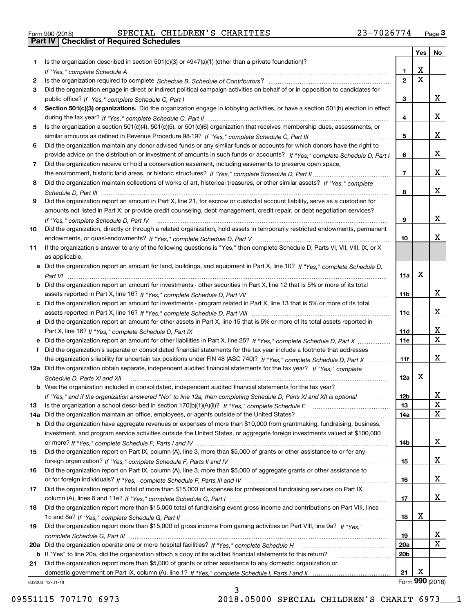| Form 990 (2018) |  |  |
|-----------------|--|--|

Form 990 (2018) Page **3Part IV Checklist of Required Schedules** SPECIAL CHILDREN'S CHARITIES 23-7026774

| Is the organization described in section $501(c)(3)$ or $4947(a)(1)$ (other than a private foundation)?<br>1<br>X<br>1<br>$\overline{\mathbf{x}}$<br>$\overline{2}$<br>2<br>Did the organization engage in direct or indirect political campaign activities on behalf of or in opposition to candidates for<br>3<br>x<br>3<br>Section 501(c)(3) organizations. Did the organization engage in lobbying activities, or have a section 501(h) election in effect<br>4<br>x<br>4<br>Is the organization a section 501(c)(4), 501(c)(5), or 501(c)(6) organization that receives membership dues, assessments, or<br>5<br>x<br>5<br>Did the organization maintain any donor advised funds or any similar funds or accounts for which donors have the right to<br>6<br>x<br>provide advice on the distribution or investment of amounts in such funds or accounts? If "Yes," complete Schedule D, Part I<br>6<br>Did the organization receive or hold a conservation easement, including easements to preserve open space,<br>7<br>x<br>$\overline{7}$<br>Did the organization maintain collections of works of art, historical treasures, or other similar assets? If "Yes," complete<br>8<br>x<br>8<br>Did the organization report an amount in Part X, line 21, for escrow or custodial account liability, serve as a custodian for<br>9<br>amounts not listed in Part X; or provide credit counseling, debt management, credit repair, or debt negotiation services?<br>x<br>9<br>If "Yes," complete Schedule D, Part IV<br>Did the organization, directly or through a related organization, hold assets in temporarily restricted endowments, permanent<br>x<br>10<br>If the organization's answer to any of the following questions is "Yes," then complete Schedule D, Parts VI, VIII, VIII, IX, or X<br>as applicable.<br>a Did the organization report an amount for land, buildings, and equipment in Part X, line 10? If "Yes," complete Schedule D,<br>X<br>11a<br>Did the organization report an amount for investments - other securities in Part X, line 12 that is 5% or more of its total<br>x<br>11 <sub>b</sub><br>Did the organization report an amount for investments - program related in Part X, line 13 that is 5% or more of its total<br>x<br>11c<br>d Did the organization report an amount for other assets in Part X, line 15 that is 5% or more of its total assets reported in<br>х<br>11d<br>$\mathbf x$<br>11e<br>Did the organization's separate or consolidated financial statements for the tax year include a footnote that addresses<br>x<br>the organization's liability for uncertain tax positions under FIN 48 (ASC 740)? If "Yes," complete Schedule D, Part X<br>11f<br>12a Did the organization obtain separate, independent audited financial statements for the tax year? If "Yes," complete<br>x<br>12a<br>Schedule D, Parts XI and XII<br><b>b</b> Was the organization included in consolidated, independent audited financial statements for the tax year?<br>If "Yes," and if the organization answered "No" to line 12a, then completing Schedule D, Parts XI and XII is optional<br>12b<br>ᅀ<br>X<br>13<br>13<br>X<br>Did the organization maintain an office, employees, or agents outside of the United States?<br>14a<br>14a<br>Did the organization have aggregate revenues or expenses of more than \$10,000 from grantmaking, fundraising, business,<br>b<br>investment, and program service activities outside the United States, or aggregate foreign investments valued at \$100,000<br>x<br>14b<br>Did the organization report on Part IX, column (A), line 3, more than \$5,000 of grants or other assistance to or for any<br>x<br>15<br>Did the organization report on Part IX, column (A), line 3, more than \$5,000 of aggregate grants or other assistance to<br>x<br>16<br>Did the organization report a total of more than \$15,000 of expenses for professional fundraising services on Part IX,<br>x<br>17<br>Did the organization report more than \$15,000 total of fundraising event gross income and contributions on Part VIII, lines<br>х<br>18<br>Did the organization report more than \$15,000 of gross income from gaming activities on Part VIII, line 9a? If "Yes."<br>X<br>19<br>X<br><b>20a</b><br>20 <sub>b</sub><br>If "Yes" to line 20a, did the organization attach a copy of its audited financial statements to this return?<br>b<br>Did the organization report more than \$5,000 of grants or other assistance to any domestic organization or<br>х<br>21 |     |  | <b>Yes</b> | No |
|--------------------------------------------------------------------------------------------------------------------------------------------------------------------------------------------------------------------------------------------------------------------------------------------------------------------------------------------------------------------------------------------------------------------------------------------------------------------------------------------------------------------------------------------------------------------------------------------------------------------------------------------------------------------------------------------------------------------------------------------------------------------------------------------------------------------------------------------------------------------------------------------------------------------------------------------------------------------------------------------------------------------------------------------------------------------------------------------------------------------------------------------------------------------------------------------------------------------------------------------------------------------------------------------------------------------------------------------------------------------------------------------------------------------------------------------------------------------------------------------------------------------------------------------------------------------------------------------------------------------------------------------------------------------------------------------------------------------------------------------------------------------------------------------------------------------------------------------------------------------------------------------------------------------------------------------------------------------------------------------------------------------------------------------------------------------------------------------------------------------------------------------------------------------------------------------------------------------------------------------------------------------------------------------------------------------------------------------------------------------------------------------------------------------------------------------------------------------------------------------------------------------------------------------------------------------------------------------------------------------------------------------------------------------------------------------------------------------------------------------------------------------------------------------------------------------------------------------------------------------------------------------------------------------------------------------------------------------------------------------------------------------------------------------------------------------------------------------------------------------------------------------------------------------------------------------------------------------------------------------------------------------------------------------------------------------------------------------------------------------------------------------------------------------------------------------------------------------------------------------------------------------------------------------------------------------------------------------------------------------------------------------------------------------------------------------------------------------------------------------------------------------------------------------------------------------------------------------------------------------------------------------------------------------------------------------------------------------------------------------------------------------------------------------------------------------------------------------------------------------------------------------------------------------------------------------------------------------------------------------------------------------------------------------------------------------------------------------------------------------------------------------------------------------------------------------------------------------------------------------------------------------------------------------------------|-----|--|------------|----|
|                                                                                                                                                                                                                                                                                                                                                                                                                                                                                                                                                                                                                                                                                                                                                                                                                                                                                                                                                                                                                                                                                                                                                                                                                                                                                                                                                                                                                                                                                                                                                                                                                                                                                                                                                                                                                                                                                                                                                                                                                                                                                                                                                                                                                                                                                                                                                                                                                                                                                                                                                                                                                                                                                                                                                                                                                                                                                                                                                                                                                                                                                                                                                                                                                                                                                                                                                                                                                                                                                                                                                                                                                                                                                                                                                                                                                                                                                                                                                                                                                                                                                                                                                                                                                                                                                                                                                                                                                                                                                                                                                        |     |  |            |    |
|                                                                                                                                                                                                                                                                                                                                                                                                                                                                                                                                                                                                                                                                                                                                                                                                                                                                                                                                                                                                                                                                                                                                                                                                                                                                                                                                                                                                                                                                                                                                                                                                                                                                                                                                                                                                                                                                                                                                                                                                                                                                                                                                                                                                                                                                                                                                                                                                                                                                                                                                                                                                                                                                                                                                                                                                                                                                                                                                                                                                                                                                                                                                                                                                                                                                                                                                                                                                                                                                                                                                                                                                                                                                                                                                                                                                                                                                                                                                                                                                                                                                                                                                                                                                                                                                                                                                                                                                                                                                                                                                                        |     |  |            |    |
|                                                                                                                                                                                                                                                                                                                                                                                                                                                                                                                                                                                                                                                                                                                                                                                                                                                                                                                                                                                                                                                                                                                                                                                                                                                                                                                                                                                                                                                                                                                                                                                                                                                                                                                                                                                                                                                                                                                                                                                                                                                                                                                                                                                                                                                                                                                                                                                                                                                                                                                                                                                                                                                                                                                                                                                                                                                                                                                                                                                                                                                                                                                                                                                                                                                                                                                                                                                                                                                                                                                                                                                                                                                                                                                                                                                                                                                                                                                                                                                                                                                                                                                                                                                                                                                                                                                                                                                                                                                                                                                                                        |     |  |            |    |
|                                                                                                                                                                                                                                                                                                                                                                                                                                                                                                                                                                                                                                                                                                                                                                                                                                                                                                                                                                                                                                                                                                                                                                                                                                                                                                                                                                                                                                                                                                                                                                                                                                                                                                                                                                                                                                                                                                                                                                                                                                                                                                                                                                                                                                                                                                                                                                                                                                                                                                                                                                                                                                                                                                                                                                                                                                                                                                                                                                                                                                                                                                                                                                                                                                                                                                                                                                                                                                                                                                                                                                                                                                                                                                                                                                                                                                                                                                                                                                                                                                                                                                                                                                                                                                                                                                                                                                                                                                                                                                                                                        |     |  |            |    |
|                                                                                                                                                                                                                                                                                                                                                                                                                                                                                                                                                                                                                                                                                                                                                                                                                                                                                                                                                                                                                                                                                                                                                                                                                                                                                                                                                                                                                                                                                                                                                                                                                                                                                                                                                                                                                                                                                                                                                                                                                                                                                                                                                                                                                                                                                                                                                                                                                                                                                                                                                                                                                                                                                                                                                                                                                                                                                                                                                                                                                                                                                                                                                                                                                                                                                                                                                                                                                                                                                                                                                                                                                                                                                                                                                                                                                                                                                                                                                                                                                                                                                                                                                                                                                                                                                                                                                                                                                                                                                                                                                        |     |  |            |    |
|                                                                                                                                                                                                                                                                                                                                                                                                                                                                                                                                                                                                                                                                                                                                                                                                                                                                                                                                                                                                                                                                                                                                                                                                                                                                                                                                                                                                                                                                                                                                                                                                                                                                                                                                                                                                                                                                                                                                                                                                                                                                                                                                                                                                                                                                                                                                                                                                                                                                                                                                                                                                                                                                                                                                                                                                                                                                                                                                                                                                                                                                                                                                                                                                                                                                                                                                                                                                                                                                                                                                                                                                                                                                                                                                                                                                                                                                                                                                                                                                                                                                                                                                                                                                                                                                                                                                                                                                                                                                                                                                                        |     |  |            |    |
|                                                                                                                                                                                                                                                                                                                                                                                                                                                                                                                                                                                                                                                                                                                                                                                                                                                                                                                                                                                                                                                                                                                                                                                                                                                                                                                                                                                                                                                                                                                                                                                                                                                                                                                                                                                                                                                                                                                                                                                                                                                                                                                                                                                                                                                                                                                                                                                                                                                                                                                                                                                                                                                                                                                                                                                                                                                                                                                                                                                                                                                                                                                                                                                                                                                                                                                                                                                                                                                                                                                                                                                                                                                                                                                                                                                                                                                                                                                                                                                                                                                                                                                                                                                                                                                                                                                                                                                                                                                                                                                                                        |     |  |            |    |
|                                                                                                                                                                                                                                                                                                                                                                                                                                                                                                                                                                                                                                                                                                                                                                                                                                                                                                                                                                                                                                                                                                                                                                                                                                                                                                                                                                                                                                                                                                                                                                                                                                                                                                                                                                                                                                                                                                                                                                                                                                                                                                                                                                                                                                                                                                                                                                                                                                                                                                                                                                                                                                                                                                                                                                                                                                                                                                                                                                                                                                                                                                                                                                                                                                                                                                                                                                                                                                                                                                                                                                                                                                                                                                                                                                                                                                                                                                                                                                                                                                                                                                                                                                                                                                                                                                                                                                                                                                                                                                                                                        |     |  |            |    |
|                                                                                                                                                                                                                                                                                                                                                                                                                                                                                                                                                                                                                                                                                                                                                                                                                                                                                                                                                                                                                                                                                                                                                                                                                                                                                                                                                                                                                                                                                                                                                                                                                                                                                                                                                                                                                                                                                                                                                                                                                                                                                                                                                                                                                                                                                                                                                                                                                                                                                                                                                                                                                                                                                                                                                                                                                                                                                                                                                                                                                                                                                                                                                                                                                                                                                                                                                                                                                                                                                                                                                                                                                                                                                                                                                                                                                                                                                                                                                                                                                                                                                                                                                                                                                                                                                                                                                                                                                                                                                                                                                        |     |  |            |    |
|                                                                                                                                                                                                                                                                                                                                                                                                                                                                                                                                                                                                                                                                                                                                                                                                                                                                                                                                                                                                                                                                                                                                                                                                                                                                                                                                                                                                                                                                                                                                                                                                                                                                                                                                                                                                                                                                                                                                                                                                                                                                                                                                                                                                                                                                                                                                                                                                                                                                                                                                                                                                                                                                                                                                                                                                                                                                                                                                                                                                                                                                                                                                                                                                                                                                                                                                                                                                                                                                                                                                                                                                                                                                                                                                                                                                                                                                                                                                                                                                                                                                                                                                                                                                                                                                                                                                                                                                                                                                                                                                                        |     |  |            |    |
|                                                                                                                                                                                                                                                                                                                                                                                                                                                                                                                                                                                                                                                                                                                                                                                                                                                                                                                                                                                                                                                                                                                                                                                                                                                                                                                                                                                                                                                                                                                                                                                                                                                                                                                                                                                                                                                                                                                                                                                                                                                                                                                                                                                                                                                                                                                                                                                                                                                                                                                                                                                                                                                                                                                                                                                                                                                                                                                                                                                                                                                                                                                                                                                                                                                                                                                                                                                                                                                                                                                                                                                                                                                                                                                                                                                                                                                                                                                                                                                                                                                                                                                                                                                                                                                                                                                                                                                                                                                                                                                                                        |     |  |            |    |
|                                                                                                                                                                                                                                                                                                                                                                                                                                                                                                                                                                                                                                                                                                                                                                                                                                                                                                                                                                                                                                                                                                                                                                                                                                                                                                                                                                                                                                                                                                                                                                                                                                                                                                                                                                                                                                                                                                                                                                                                                                                                                                                                                                                                                                                                                                                                                                                                                                                                                                                                                                                                                                                                                                                                                                                                                                                                                                                                                                                                                                                                                                                                                                                                                                                                                                                                                                                                                                                                                                                                                                                                                                                                                                                                                                                                                                                                                                                                                                                                                                                                                                                                                                                                                                                                                                                                                                                                                                                                                                                                                        |     |  |            |    |
|                                                                                                                                                                                                                                                                                                                                                                                                                                                                                                                                                                                                                                                                                                                                                                                                                                                                                                                                                                                                                                                                                                                                                                                                                                                                                                                                                                                                                                                                                                                                                                                                                                                                                                                                                                                                                                                                                                                                                                                                                                                                                                                                                                                                                                                                                                                                                                                                                                                                                                                                                                                                                                                                                                                                                                                                                                                                                                                                                                                                                                                                                                                                                                                                                                                                                                                                                                                                                                                                                                                                                                                                                                                                                                                                                                                                                                                                                                                                                                                                                                                                                                                                                                                                                                                                                                                                                                                                                                                                                                                                                        |     |  |            |    |
|                                                                                                                                                                                                                                                                                                                                                                                                                                                                                                                                                                                                                                                                                                                                                                                                                                                                                                                                                                                                                                                                                                                                                                                                                                                                                                                                                                                                                                                                                                                                                                                                                                                                                                                                                                                                                                                                                                                                                                                                                                                                                                                                                                                                                                                                                                                                                                                                                                                                                                                                                                                                                                                                                                                                                                                                                                                                                                                                                                                                                                                                                                                                                                                                                                                                                                                                                                                                                                                                                                                                                                                                                                                                                                                                                                                                                                                                                                                                                                                                                                                                                                                                                                                                                                                                                                                                                                                                                                                                                                                                                        |     |  |            |    |
|                                                                                                                                                                                                                                                                                                                                                                                                                                                                                                                                                                                                                                                                                                                                                                                                                                                                                                                                                                                                                                                                                                                                                                                                                                                                                                                                                                                                                                                                                                                                                                                                                                                                                                                                                                                                                                                                                                                                                                                                                                                                                                                                                                                                                                                                                                                                                                                                                                                                                                                                                                                                                                                                                                                                                                                                                                                                                                                                                                                                                                                                                                                                                                                                                                                                                                                                                                                                                                                                                                                                                                                                                                                                                                                                                                                                                                                                                                                                                                                                                                                                                                                                                                                                                                                                                                                                                                                                                                                                                                                                                        |     |  |            |    |
|                                                                                                                                                                                                                                                                                                                                                                                                                                                                                                                                                                                                                                                                                                                                                                                                                                                                                                                                                                                                                                                                                                                                                                                                                                                                                                                                                                                                                                                                                                                                                                                                                                                                                                                                                                                                                                                                                                                                                                                                                                                                                                                                                                                                                                                                                                                                                                                                                                                                                                                                                                                                                                                                                                                                                                                                                                                                                                                                                                                                                                                                                                                                                                                                                                                                                                                                                                                                                                                                                                                                                                                                                                                                                                                                                                                                                                                                                                                                                                                                                                                                                                                                                                                                                                                                                                                                                                                                                                                                                                                                                        |     |  |            |    |
|                                                                                                                                                                                                                                                                                                                                                                                                                                                                                                                                                                                                                                                                                                                                                                                                                                                                                                                                                                                                                                                                                                                                                                                                                                                                                                                                                                                                                                                                                                                                                                                                                                                                                                                                                                                                                                                                                                                                                                                                                                                                                                                                                                                                                                                                                                                                                                                                                                                                                                                                                                                                                                                                                                                                                                                                                                                                                                                                                                                                                                                                                                                                                                                                                                                                                                                                                                                                                                                                                                                                                                                                                                                                                                                                                                                                                                                                                                                                                                                                                                                                                                                                                                                                                                                                                                                                                                                                                                                                                                                                                        |     |  |            |    |
|                                                                                                                                                                                                                                                                                                                                                                                                                                                                                                                                                                                                                                                                                                                                                                                                                                                                                                                                                                                                                                                                                                                                                                                                                                                                                                                                                                                                                                                                                                                                                                                                                                                                                                                                                                                                                                                                                                                                                                                                                                                                                                                                                                                                                                                                                                                                                                                                                                                                                                                                                                                                                                                                                                                                                                                                                                                                                                                                                                                                                                                                                                                                                                                                                                                                                                                                                                                                                                                                                                                                                                                                                                                                                                                                                                                                                                                                                                                                                                                                                                                                                                                                                                                                                                                                                                                                                                                                                                                                                                                                                        | 10  |  |            |    |
|                                                                                                                                                                                                                                                                                                                                                                                                                                                                                                                                                                                                                                                                                                                                                                                                                                                                                                                                                                                                                                                                                                                                                                                                                                                                                                                                                                                                                                                                                                                                                                                                                                                                                                                                                                                                                                                                                                                                                                                                                                                                                                                                                                                                                                                                                                                                                                                                                                                                                                                                                                                                                                                                                                                                                                                                                                                                                                                                                                                                                                                                                                                                                                                                                                                                                                                                                                                                                                                                                                                                                                                                                                                                                                                                                                                                                                                                                                                                                                                                                                                                                                                                                                                                                                                                                                                                                                                                                                                                                                                                                        |     |  |            |    |
|                                                                                                                                                                                                                                                                                                                                                                                                                                                                                                                                                                                                                                                                                                                                                                                                                                                                                                                                                                                                                                                                                                                                                                                                                                                                                                                                                                                                                                                                                                                                                                                                                                                                                                                                                                                                                                                                                                                                                                                                                                                                                                                                                                                                                                                                                                                                                                                                                                                                                                                                                                                                                                                                                                                                                                                                                                                                                                                                                                                                                                                                                                                                                                                                                                                                                                                                                                                                                                                                                                                                                                                                                                                                                                                                                                                                                                                                                                                                                                                                                                                                                                                                                                                                                                                                                                                                                                                                                                                                                                                                                        | 11  |  |            |    |
|                                                                                                                                                                                                                                                                                                                                                                                                                                                                                                                                                                                                                                                                                                                                                                                                                                                                                                                                                                                                                                                                                                                                                                                                                                                                                                                                                                                                                                                                                                                                                                                                                                                                                                                                                                                                                                                                                                                                                                                                                                                                                                                                                                                                                                                                                                                                                                                                                                                                                                                                                                                                                                                                                                                                                                                                                                                                                                                                                                                                                                                                                                                                                                                                                                                                                                                                                                                                                                                                                                                                                                                                                                                                                                                                                                                                                                                                                                                                                                                                                                                                                                                                                                                                                                                                                                                                                                                                                                                                                                                                                        |     |  |            |    |
|                                                                                                                                                                                                                                                                                                                                                                                                                                                                                                                                                                                                                                                                                                                                                                                                                                                                                                                                                                                                                                                                                                                                                                                                                                                                                                                                                                                                                                                                                                                                                                                                                                                                                                                                                                                                                                                                                                                                                                                                                                                                                                                                                                                                                                                                                                                                                                                                                                                                                                                                                                                                                                                                                                                                                                                                                                                                                                                                                                                                                                                                                                                                                                                                                                                                                                                                                                                                                                                                                                                                                                                                                                                                                                                                                                                                                                                                                                                                                                                                                                                                                                                                                                                                                                                                                                                                                                                                                                                                                                                                                        |     |  |            |    |
|                                                                                                                                                                                                                                                                                                                                                                                                                                                                                                                                                                                                                                                                                                                                                                                                                                                                                                                                                                                                                                                                                                                                                                                                                                                                                                                                                                                                                                                                                                                                                                                                                                                                                                                                                                                                                                                                                                                                                                                                                                                                                                                                                                                                                                                                                                                                                                                                                                                                                                                                                                                                                                                                                                                                                                                                                                                                                                                                                                                                                                                                                                                                                                                                                                                                                                                                                                                                                                                                                                                                                                                                                                                                                                                                                                                                                                                                                                                                                                                                                                                                                                                                                                                                                                                                                                                                                                                                                                                                                                                                                        |     |  |            |    |
|                                                                                                                                                                                                                                                                                                                                                                                                                                                                                                                                                                                                                                                                                                                                                                                                                                                                                                                                                                                                                                                                                                                                                                                                                                                                                                                                                                                                                                                                                                                                                                                                                                                                                                                                                                                                                                                                                                                                                                                                                                                                                                                                                                                                                                                                                                                                                                                                                                                                                                                                                                                                                                                                                                                                                                                                                                                                                                                                                                                                                                                                                                                                                                                                                                                                                                                                                                                                                                                                                                                                                                                                                                                                                                                                                                                                                                                                                                                                                                                                                                                                                                                                                                                                                                                                                                                                                                                                                                                                                                                                                        |     |  |            |    |
|                                                                                                                                                                                                                                                                                                                                                                                                                                                                                                                                                                                                                                                                                                                                                                                                                                                                                                                                                                                                                                                                                                                                                                                                                                                                                                                                                                                                                                                                                                                                                                                                                                                                                                                                                                                                                                                                                                                                                                                                                                                                                                                                                                                                                                                                                                                                                                                                                                                                                                                                                                                                                                                                                                                                                                                                                                                                                                                                                                                                                                                                                                                                                                                                                                                                                                                                                                                                                                                                                                                                                                                                                                                                                                                                                                                                                                                                                                                                                                                                                                                                                                                                                                                                                                                                                                                                                                                                                                                                                                                                                        |     |  |            |    |
|                                                                                                                                                                                                                                                                                                                                                                                                                                                                                                                                                                                                                                                                                                                                                                                                                                                                                                                                                                                                                                                                                                                                                                                                                                                                                                                                                                                                                                                                                                                                                                                                                                                                                                                                                                                                                                                                                                                                                                                                                                                                                                                                                                                                                                                                                                                                                                                                                                                                                                                                                                                                                                                                                                                                                                                                                                                                                                                                                                                                                                                                                                                                                                                                                                                                                                                                                                                                                                                                                                                                                                                                                                                                                                                                                                                                                                                                                                                                                                                                                                                                                                                                                                                                                                                                                                                                                                                                                                                                                                                                                        |     |  |            |    |
|                                                                                                                                                                                                                                                                                                                                                                                                                                                                                                                                                                                                                                                                                                                                                                                                                                                                                                                                                                                                                                                                                                                                                                                                                                                                                                                                                                                                                                                                                                                                                                                                                                                                                                                                                                                                                                                                                                                                                                                                                                                                                                                                                                                                                                                                                                                                                                                                                                                                                                                                                                                                                                                                                                                                                                                                                                                                                                                                                                                                                                                                                                                                                                                                                                                                                                                                                                                                                                                                                                                                                                                                                                                                                                                                                                                                                                                                                                                                                                                                                                                                                                                                                                                                                                                                                                                                                                                                                                                                                                                                                        |     |  |            |    |
|                                                                                                                                                                                                                                                                                                                                                                                                                                                                                                                                                                                                                                                                                                                                                                                                                                                                                                                                                                                                                                                                                                                                                                                                                                                                                                                                                                                                                                                                                                                                                                                                                                                                                                                                                                                                                                                                                                                                                                                                                                                                                                                                                                                                                                                                                                                                                                                                                                                                                                                                                                                                                                                                                                                                                                                                                                                                                                                                                                                                                                                                                                                                                                                                                                                                                                                                                                                                                                                                                                                                                                                                                                                                                                                                                                                                                                                                                                                                                                                                                                                                                                                                                                                                                                                                                                                                                                                                                                                                                                                                                        |     |  |            |    |
|                                                                                                                                                                                                                                                                                                                                                                                                                                                                                                                                                                                                                                                                                                                                                                                                                                                                                                                                                                                                                                                                                                                                                                                                                                                                                                                                                                                                                                                                                                                                                                                                                                                                                                                                                                                                                                                                                                                                                                                                                                                                                                                                                                                                                                                                                                                                                                                                                                                                                                                                                                                                                                                                                                                                                                                                                                                                                                                                                                                                                                                                                                                                                                                                                                                                                                                                                                                                                                                                                                                                                                                                                                                                                                                                                                                                                                                                                                                                                                                                                                                                                                                                                                                                                                                                                                                                                                                                                                                                                                                                                        |     |  |            |    |
|                                                                                                                                                                                                                                                                                                                                                                                                                                                                                                                                                                                                                                                                                                                                                                                                                                                                                                                                                                                                                                                                                                                                                                                                                                                                                                                                                                                                                                                                                                                                                                                                                                                                                                                                                                                                                                                                                                                                                                                                                                                                                                                                                                                                                                                                                                                                                                                                                                                                                                                                                                                                                                                                                                                                                                                                                                                                                                                                                                                                                                                                                                                                                                                                                                                                                                                                                                                                                                                                                                                                                                                                                                                                                                                                                                                                                                                                                                                                                                                                                                                                                                                                                                                                                                                                                                                                                                                                                                                                                                                                                        |     |  |            |    |
|                                                                                                                                                                                                                                                                                                                                                                                                                                                                                                                                                                                                                                                                                                                                                                                                                                                                                                                                                                                                                                                                                                                                                                                                                                                                                                                                                                                                                                                                                                                                                                                                                                                                                                                                                                                                                                                                                                                                                                                                                                                                                                                                                                                                                                                                                                                                                                                                                                                                                                                                                                                                                                                                                                                                                                                                                                                                                                                                                                                                                                                                                                                                                                                                                                                                                                                                                                                                                                                                                                                                                                                                                                                                                                                                                                                                                                                                                                                                                                                                                                                                                                                                                                                                                                                                                                                                                                                                                                                                                                                                                        |     |  |            |    |
|                                                                                                                                                                                                                                                                                                                                                                                                                                                                                                                                                                                                                                                                                                                                                                                                                                                                                                                                                                                                                                                                                                                                                                                                                                                                                                                                                                                                                                                                                                                                                                                                                                                                                                                                                                                                                                                                                                                                                                                                                                                                                                                                                                                                                                                                                                                                                                                                                                                                                                                                                                                                                                                                                                                                                                                                                                                                                                                                                                                                                                                                                                                                                                                                                                                                                                                                                                                                                                                                                                                                                                                                                                                                                                                                                                                                                                                                                                                                                                                                                                                                                                                                                                                                                                                                                                                                                                                                                                                                                                                                                        |     |  |            |    |
|                                                                                                                                                                                                                                                                                                                                                                                                                                                                                                                                                                                                                                                                                                                                                                                                                                                                                                                                                                                                                                                                                                                                                                                                                                                                                                                                                                                                                                                                                                                                                                                                                                                                                                                                                                                                                                                                                                                                                                                                                                                                                                                                                                                                                                                                                                                                                                                                                                                                                                                                                                                                                                                                                                                                                                                                                                                                                                                                                                                                                                                                                                                                                                                                                                                                                                                                                                                                                                                                                                                                                                                                                                                                                                                                                                                                                                                                                                                                                                                                                                                                                                                                                                                                                                                                                                                                                                                                                                                                                                                                                        |     |  |            |    |
|                                                                                                                                                                                                                                                                                                                                                                                                                                                                                                                                                                                                                                                                                                                                                                                                                                                                                                                                                                                                                                                                                                                                                                                                                                                                                                                                                                                                                                                                                                                                                                                                                                                                                                                                                                                                                                                                                                                                                                                                                                                                                                                                                                                                                                                                                                                                                                                                                                                                                                                                                                                                                                                                                                                                                                                                                                                                                                                                                                                                                                                                                                                                                                                                                                                                                                                                                                                                                                                                                                                                                                                                                                                                                                                                                                                                                                                                                                                                                                                                                                                                                                                                                                                                                                                                                                                                                                                                                                                                                                                                                        |     |  |            |    |
|                                                                                                                                                                                                                                                                                                                                                                                                                                                                                                                                                                                                                                                                                                                                                                                                                                                                                                                                                                                                                                                                                                                                                                                                                                                                                                                                                                                                                                                                                                                                                                                                                                                                                                                                                                                                                                                                                                                                                                                                                                                                                                                                                                                                                                                                                                                                                                                                                                                                                                                                                                                                                                                                                                                                                                                                                                                                                                                                                                                                                                                                                                                                                                                                                                                                                                                                                                                                                                                                                                                                                                                                                                                                                                                                                                                                                                                                                                                                                                                                                                                                                                                                                                                                                                                                                                                                                                                                                                                                                                                                                        |     |  |            |    |
|                                                                                                                                                                                                                                                                                                                                                                                                                                                                                                                                                                                                                                                                                                                                                                                                                                                                                                                                                                                                                                                                                                                                                                                                                                                                                                                                                                                                                                                                                                                                                                                                                                                                                                                                                                                                                                                                                                                                                                                                                                                                                                                                                                                                                                                                                                                                                                                                                                                                                                                                                                                                                                                                                                                                                                                                                                                                                                                                                                                                                                                                                                                                                                                                                                                                                                                                                                                                                                                                                                                                                                                                                                                                                                                                                                                                                                                                                                                                                                                                                                                                                                                                                                                                                                                                                                                                                                                                                                                                                                                                                        |     |  |            |    |
|                                                                                                                                                                                                                                                                                                                                                                                                                                                                                                                                                                                                                                                                                                                                                                                                                                                                                                                                                                                                                                                                                                                                                                                                                                                                                                                                                                                                                                                                                                                                                                                                                                                                                                                                                                                                                                                                                                                                                                                                                                                                                                                                                                                                                                                                                                                                                                                                                                                                                                                                                                                                                                                                                                                                                                                                                                                                                                                                                                                                                                                                                                                                                                                                                                                                                                                                                                                                                                                                                                                                                                                                                                                                                                                                                                                                                                                                                                                                                                                                                                                                                                                                                                                                                                                                                                                                                                                                                                                                                                                                                        |     |  |            |    |
|                                                                                                                                                                                                                                                                                                                                                                                                                                                                                                                                                                                                                                                                                                                                                                                                                                                                                                                                                                                                                                                                                                                                                                                                                                                                                                                                                                                                                                                                                                                                                                                                                                                                                                                                                                                                                                                                                                                                                                                                                                                                                                                                                                                                                                                                                                                                                                                                                                                                                                                                                                                                                                                                                                                                                                                                                                                                                                                                                                                                                                                                                                                                                                                                                                                                                                                                                                                                                                                                                                                                                                                                                                                                                                                                                                                                                                                                                                                                                                                                                                                                                                                                                                                                                                                                                                                                                                                                                                                                                                                                                        |     |  |            |    |
|                                                                                                                                                                                                                                                                                                                                                                                                                                                                                                                                                                                                                                                                                                                                                                                                                                                                                                                                                                                                                                                                                                                                                                                                                                                                                                                                                                                                                                                                                                                                                                                                                                                                                                                                                                                                                                                                                                                                                                                                                                                                                                                                                                                                                                                                                                                                                                                                                                                                                                                                                                                                                                                                                                                                                                                                                                                                                                                                                                                                                                                                                                                                                                                                                                                                                                                                                                                                                                                                                                                                                                                                                                                                                                                                                                                                                                                                                                                                                                                                                                                                                                                                                                                                                                                                                                                                                                                                                                                                                                                                                        |     |  |            |    |
|                                                                                                                                                                                                                                                                                                                                                                                                                                                                                                                                                                                                                                                                                                                                                                                                                                                                                                                                                                                                                                                                                                                                                                                                                                                                                                                                                                                                                                                                                                                                                                                                                                                                                                                                                                                                                                                                                                                                                                                                                                                                                                                                                                                                                                                                                                                                                                                                                                                                                                                                                                                                                                                                                                                                                                                                                                                                                                                                                                                                                                                                                                                                                                                                                                                                                                                                                                                                                                                                                                                                                                                                                                                                                                                                                                                                                                                                                                                                                                                                                                                                                                                                                                                                                                                                                                                                                                                                                                                                                                                                                        |     |  |            |    |
|                                                                                                                                                                                                                                                                                                                                                                                                                                                                                                                                                                                                                                                                                                                                                                                                                                                                                                                                                                                                                                                                                                                                                                                                                                                                                                                                                                                                                                                                                                                                                                                                                                                                                                                                                                                                                                                                                                                                                                                                                                                                                                                                                                                                                                                                                                                                                                                                                                                                                                                                                                                                                                                                                                                                                                                                                                                                                                                                                                                                                                                                                                                                                                                                                                                                                                                                                                                                                                                                                                                                                                                                                                                                                                                                                                                                                                                                                                                                                                                                                                                                                                                                                                                                                                                                                                                                                                                                                                                                                                                                                        | 15  |  |            |    |
|                                                                                                                                                                                                                                                                                                                                                                                                                                                                                                                                                                                                                                                                                                                                                                                                                                                                                                                                                                                                                                                                                                                                                                                                                                                                                                                                                                                                                                                                                                                                                                                                                                                                                                                                                                                                                                                                                                                                                                                                                                                                                                                                                                                                                                                                                                                                                                                                                                                                                                                                                                                                                                                                                                                                                                                                                                                                                                                                                                                                                                                                                                                                                                                                                                                                                                                                                                                                                                                                                                                                                                                                                                                                                                                                                                                                                                                                                                                                                                                                                                                                                                                                                                                                                                                                                                                                                                                                                                                                                                                                                        |     |  |            |    |
|                                                                                                                                                                                                                                                                                                                                                                                                                                                                                                                                                                                                                                                                                                                                                                                                                                                                                                                                                                                                                                                                                                                                                                                                                                                                                                                                                                                                                                                                                                                                                                                                                                                                                                                                                                                                                                                                                                                                                                                                                                                                                                                                                                                                                                                                                                                                                                                                                                                                                                                                                                                                                                                                                                                                                                                                                                                                                                                                                                                                                                                                                                                                                                                                                                                                                                                                                                                                                                                                                                                                                                                                                                                                                                                                                                                                                                                                                                                                                                                                                                                                                                                                                                                                                                                                                                                                                                                                                                                                                                                                                        | 16  |  |            |    |
|                                                                                                                                                                                                                                                                                                                                                                                                                                                                                                                                                                                                                                                                                                                                                                                                                                                                                                                                                                                                                                                                                                                                                                                                                                                                                                                                                                                                                                                                                                                                                                                                                                                                                                                                                                                                                                                                                                                                                                                                                                                                                                                                                                                                                                                                                                                                                                                                                                                                                                                                                                                                                                                                                                                                                                                                                                                                                                                                                                                                                                                                                                                                                                                                                                                                                                                                                                                                                                                                                                                                                                                                                                                                                                                                                                                                                                                                                                                                                                                                                                                                                                                                                                                                                                                                                                                                                                                                                                                                                                                                                        |     |  |            |    |
|                                                                                                                                                                                                                                                                                                                                                                                                                                                                                                                                                                                                                                                                                                                                                                                                                                                                                                                                                                                                                                                                                                                                                                                                                                                                                                                                                                                                                                                                                                                                                                                                                                                                                                                                                                                                                                                                                                                                                                                                                                                                                                                                                                                                                                                                                                                                                                                                                                                                                                                                                                                                                                                                                                                                                                                                                                                                                                                                                                                                                                                                                                                                                                                                                                                                                                                                                                                                                                                                                                                                                                                                                                                                                                                                                                                                                                                                                                                                                                                                                                                                                                                                                                                                                                                                                                                                                                                                                                                                                                                                                        | 17  |  |            |    |
|                                                                                                                                                                                                                                                                                                                                                                                                                                                                                                                                                                                                                                                                                                                                                                                                                                                                                                                                                                                                                                                                                                                                                                                                                                                                                                                                                                                                                                                                                                                                                                                                                                                                                                                                                                                                                                                                                                                                                                                                                                                                                                                                                                                                                                                                                                                                                                                                                                                                                                                                                                                                                                                                                                                                                                                                                                                                                                                                                                                                                                                                                                                                                                                                                                                                                                                                                                                                                                                                                                                                                                                                                                                                                                                                                                                                                                                                                                                                                                                                                                                                                                                                                                                                                                                                                                                                                                                                                                                                                                                                                        |     |  |            |    |
|                                                                                                                                                                                                                                                                                                                                                                                                                                                                                                                                                                                                                                                                                                                                                                                                                                                                                                                                                                                                                                                                                                                                                                                                                                                                                                                                                                                                                                                                                                                                                                                                                                                                                                                                                                                                                                                                                                                                                                                                                                                                                                                                                                                                                                                                                                                                                                                                                                                                                                                                                                                                                                                                                                                                                                                                                                                                                                                                                                                                                                                                                                                                                                                                                                                                                                                                                                                                                                                                                                                                                                                                                                                                                                                                                                                                                                                                                                                                                                                                                                                                                                                                                                                                                                                                                                                                                                                                                                                                                                                                                        | 18  |  |            |    |
|                                                                                                                                                                                                                                                                                                                                                                                                                                                                                                                                                                                                                                                                                                                                                                                                                                                                                                                                                                                                                                                                                                                                                                                                                                                                                                                                                                                                                                                                                                                                                                                                                                                                                                                                                                                                                                                                                                                                                                                                                                                                                                                                                                                                                                                                                                                                                                                                                                                                                                                                                                                                                                                                                                                                                                                                                                                                                                                                                                                                                                                                                                                                                                                                                                                                                                                                                                                                                                                                                                                                                                                                                                                                                                                                                                                                                                                                                                                                                                                                                                                                                                                                                                                                                                                                                                                                                                                                                                                                                                                                                        |     |  |            |    |
|                                                                                                                                                                                                                                                                                                                                                                                                                                                                                                                                                                                                                                                                                                                                                                                                                                                                                                                                                                                                                                                                                                                                                                                                                                                                                                                                                                                                                                                                                                                                                                                                                                                                                                                                                                                                                                                                                                                                                                                                                                                                                                                                                                                                                                                                                                                                                                                                                                                                                                                                                                                                                                                                                                                                                                                                                                                                                                                                                                                                                                                                                                                                                                                                                                                                                                                                                                                                                                                                                                                                                                                                                                                                                                                                                                                                                                                                                                                                                                                                                                                                                                                                                                                                                                                                                                                                                                                                                                                                                                                                                        | 19  |  |            |    |
|                                                                                                                                                                                                                                                                                                                                                                                                                                                                                                                                                                                                                                                                                                                                                                                                                                                                                                                                                                                                                                                                                                                                                                                                                                                                                                                                                                                                                                                                                                                                                                                                                                                                                                                                                                                                                                                                                                                                                                                                                                                                                                                                                                                                                                                                                                                                                                                                                                                                                                                                                                                                                                                                                                                                                                                                                                                                                                                                                                                                                                                                                                                                                                                                                                                                                                                                                                                                                                                                                                                                                                                                                                                                                                                                                                                                                                                                                                                                                                                                                                                                                                                                                                                                                                                                                                                                                                                                                                                                                                                                                        |     |  |            |    |
|                                                                                                                                                                                                                                                                                                                                                                                                                                                                                                                                                                                                                                                                                                                                                                                                                                                                                                                                                                                                                                                                                                                                                                                                                                                                                                                                                                                                                                                                                                                                                                                                                                                                                                                                                                                                                                                                                                                                                                                                                                                                                                                                                                                                                                                                                                                                                                                                                                                                                                                                                                                                                                                                                                                                                                                                                                                                                                                                                                                                                                                                                                                                                                                                                                                                                                                                                                                                                                                                                                                                                                                                                                                                                                                                                                                                                                                                                                                                                                                                                                                                                                                                                                                                                                                                                                                                                                                                                                                                                                                                                        | 20a |  |            |    |
|                                                                                                                                                                                                                                                                                                                                                                                                                                                                                                                                                                                                                                                                                                                                                                                                                                                                                                                                                                                                                                                                                                                                                                                                                                                                                                                                                                                                                                                                                                                                                                                                                                                                                                                                                                                                                                                                                                                                                                                                                                                                                                                                                                                                                                                                                                                                                                                                                                                                                                                                                                                                                                                                                                                                                                                                                                                                                                                                                                                                                                                                                                                                                                                                                                                                                                                                                                                                                                                                                                                                                                                                                                                                                                                                                                                                                                                                                                                                                                                                                                                                                                                                                                                                                                                                                                                                                                                                                                                                                                                                                        |     |  |            |    |
|                                                                                                                                                                                                                                                                                                                                                                                                                                                                                                                                                                                                                                                                                                                                                                                                                                                                                                                                                                                                                                                                                                                                                                                                                                                                                                                                                                                                                                                                                                                                                                                                                                                                                                                                                                                                                                                                                                                                                                                                                                                                                                                                                                                                                                                                                                                                                                                                                                                                                                                                                                                                                                                                                                                                                                                                                                                                                                                                                                                                                                                                                                                                                                                                                                                                                                                                                                                                                                                                                                                                                                                                                                                                                                                                                                                                                                                                                                                                                                                                                                                                                                                                                                                                                                                                                                                                                                                                                                                                                                                                                        | 21  |  |            |    |
| Form 990 (2018)                                                                                                                                                                                                                                                                                                                                                                                                                                                                                                                                                                                                                                                                                                                                                                                                                                                                                                                                                                                                                                                                                                                                                                                                                                                                                                                                                                                                                                                                                                                                                                                                                                                                                                                                                                                                                                                                                                                                                                                                                                                                                                                                                                                                                                                                                                                                                                                                                                                                                                                                                                                                                                                                                                                                                                                                                                                                                                                                                                                                                                                                                                                                                                                                                                                                                                                                                                                                                                                                                                                                                                                                                                                                                                                                                                                                                                                                                                                                                                                                                                                                                                                                                                                                                                                                                                                                                                                                                                                                                                                                        |     |  |            |    |

832003 12-31-18

3 09551115 707170 6973 2018.05000 SPECIAL CHILDREN'S CHARIT 6973\_\_\_1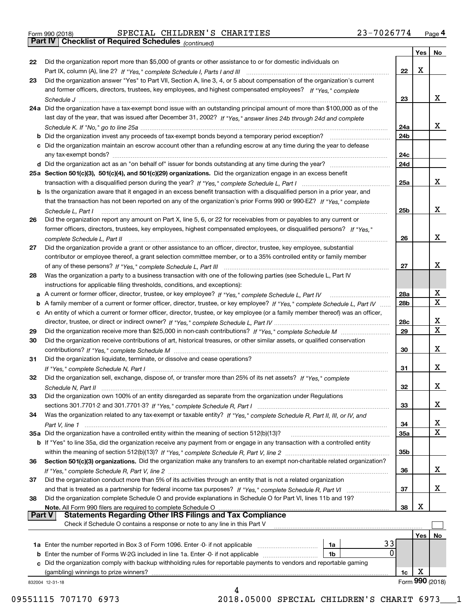| Form 990 (2018) |  |  |
|-----------------|--|--|

Form 990 (2018) Page **4Part IV Checklist of Required Schedules** SPECIAL CHILDREN'S CHARITIES 23-7026774

*(continued)*

|               |                                                                                                                                    |                 | Yes | No              |
|---------------|------------------------------------------------------------------------------------------------------------------------------------|-----------------|-----|-----------------|
| 22            | Did the organization report more than \$5,000 of grants or other assistance to or for domestic individuals on                      |                 |     |                 |
|               |                                                                                                                                    | 22              | X   |                 |
| 23            | Did the organization answer "Yes" to Part VII, Section A, line 3, 4, or 5 about compensation of the organization's current         |                 |     |                 |
|               | and former officers, directors, trustees, key employees, and highest compensated employees? If "Yes," complete                     |                 |     |                 |
|               |                                                                                                                                    | 23              |     | x               |
|               | 24a Did the organization have a tax-exempt bond issue with an outstanding principal amount of more than \$100,000 as of the        |                 |     |                 |
|               | last day of the year, that was issued after December 31, 2002? If "Yes," answer lines 24b through 24d and complete                 |                 |     |                 |
|               |                                                                                                                                    | 24a             |     | x               |
|               | <b>b</b> Did the organization invest any proceeds of tax-exempt bonds beyond a temporary period exception?                         | 24 <sub>b</sub> |     |                 |
|               | c Did the organization maintain an escrow account other than a refunding escrow at any time during the year to defease             |                 |     |                 |
|               |                                                                                                                                    | 24c             |     |                 |
|               |                                                                                                                                    | 24d             |     |                 |
|               | 25a Section 501(c)(3), 501(c)(4), and 501(c)(29) organizations. Did the organization engage in an excess benefit                   |                 |     |                 |
|               |                                                                                                                                    | 25a             |     | x               |
|               | b Is the organization aware that it engaged in an excess benefit transaction with a disqualified person in a prior year, and       |                 |     |                 |
|               | that the transaction has not been reported on any of the organization's prior Forms 990 or 990-EZ? If "Yes," complete              |                 |     |                 |
|               | Schedule L. Part I                                                                                                                 | 25 <sub>b</sub> |     | х               |
| 26            | Did the organization report any amount on Part X, line 5, 6, or 22 for receivables from or payables to any current or              |                 |     |                 |
|               | former officers, directors, trustees, key employees, highest compensated employees, or disqualified persons? If "Yes."             |                 |     |                 |
|               |                                                                                                                                    | 26              |     | x               |
| 27            | Did the organization provide a grant or other assistance to an officer, director, trustee, key employee, substantial               |                 |     |                 |
|               | contributor or employee thereof, a grant selection committee member, or to a 35% controlled entity or family member                |                 |     | x               |
|               |                                                                                                                                    | 27              |     |                 |
| 28            | Was the organization a party to a business transaction with one of the following parties (see Schedule L, Part IV                  |                 |     |                 |
|               | instructions for applicable filing thresholds, conditions, and exceptions):                                                        | 28a             |     | х               |
|               | b A family member of a current or former officer, director, trustee, or key employee? If "Yes," complete Schedule L, Part IV       | 28 <sub>b</sub> |     | Χ               |
|               | c An entity of which a current or former officer, director, trustee, or key employee (or a family member thereof) was an officer,  |                 |     |                 |
|               |                                                                                                                                    | 28c             |     | x               |
| 29            |                                                                                                                                    | 29              |     | X               |
| 30            | Did the organization receive contributions of art, historical treasures, or other similar assets, or qualified conservation        |                 |     |                 |
|               |                                                                                                                                    | 30              |     | x               |
| 31            | Did the organization liquidate, terminate, or dissolve and cease operations?                                                       |                 |     |                 |
|               |                                                                                                                                    | 31              |     | х               |
| 32            | Did the organization sell, exchange, dispose of, or transfer more than 25% of its net assets? If "Yes," complete                   |                 |     |                 |
|               |                                                                                                                                    | 32              |     | х               |
| 33            | Did the organization own 100% of an entity disregarded as separate from the organization under Regulations                         |                 |     |                 |
|               |                                                                                                                                    | 33              |     | х               |
| 34            | Was the organization related to any tax-exempt or taxable entity? If "Yes," complete Schedule R, Part II, III, or IV, and          |                 |     |                 |
|               |                                                                                                                                    | 34              |     | x               |
|               | 35a Did the organization have a controlled entity within the meaning of section 512(b)(13)?                                        | 35a             |     | Χ               |
|               | <b>b</b> If "Yes" to line 35a, did the organization receive any payment from or engage in any transaction with a controlled entity |                 |     |                 |
|               |                                                                                                                                    | 35b             |     |                 |
| 36            | Section 501(c)(3) organizations. Did the organization make any transfers to an exempt non-charitable related organization?         |                 |     |                 |
|               |                                                                                                                                    | 36              |     | х               |
| 37            | Did the organization conduct more than 5% of its activities through an entity that is not a related organization                   |                 |     |                 |
|               |                                                                                                                                    | 37              |     | х               |
| 38            | Did the organization complete Schedule O and provide explanations in Schedule O for Part VI, lines 11b and 19?                     |                 |     |                 |
|               | Note. All Form 990 filers are required to complete Schedule O                                                                      | 38              | X   |                 |
| <b>Part V</b> | <b>Statements Regarding Other IRS Filings and Tax Compliance</b>                                                                   |                 |     |                 |
|               | Check if Schedule O contains a response or note to any line in this Part V                                                         |                 |     |                 |
|               |                                                                                                                                    |                 | Yes | No              |
|               | 33<br>1a                                                                                                                           |                 |     |                 |
|               | 0<br><b>b</b> Enter the number of Forms W-2G included in line 1a. Enter -0- if not applicable <i>manumumumum</i><br>1b             |                 |     |                 |
|               | c Did the organization comply with backup withholding rules for reportable payments to vendors and reportable gaming               |                 |     |                 |
|               | (gambling) winnings to prize winners?                                                                                              | 1c              | X   |                 |
|               | 832004 12-31-18<br>4                                                                                                               |                 |     | Form 990 (2018) |
|               |                                                                                                                                    |                 |     |                 |

09551115 707170 6973 2018.05000 SPECIAL CHILDREN'S CHARIT 6973 1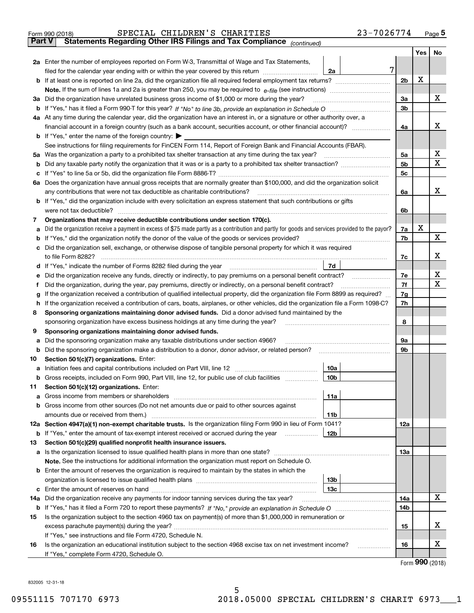|        | SPECIAL CHILDREN'S CHARITIES<br>Form 990 (2018)                                                                                                 | 23-7026774     |     | $_{\text{Page}}$ 5 |
|--------|-------------------------------------------------------------------------------------------------------------------------------------------------|----------------|-----|--------------------|
| Part V | Statements Regarding Other IRS Filings and Tax Compliance (continued)                                                                           |                |     |                    |
|        |                                                                                                                                                 |                | Yes | No                 |
|        | 2a Enter the number of employees reported on Form W-3, Transmittal of Wage and Tax Statements,                                                  |                |     |                    |
|        | filed for the calendar year ending with or within the year covered by this return<br>2a                                                         | 7              |     |                    |
|        |                                                                                                                                                 | 2 <sub>b</sub> | X   |                    |
|        |                                                                                                                                                 |                |     |                    |
| За     | Did the organization have unrelated business gross income of \$1,000 or more during the year?                                                   | 3a             |     | x                  |
| b      |                                                                                                                                                 | 3 <sub>b</sub> |     |                    |
|        | 4a At any time during the calendar year, did the organization have an interest in, or a signature or other authority over, a                    |                |     |                    |
|        |                                                                                                                                                 | 4a             |     | x                  |
|        | <b>b</b> If "Yes," enter the name of the foreign country: $\blacktriangleright$                                                                 |                |     |                    |
|        | See instructions for filing requirements for FinCEN Form 114, Report of Foreign Bank and Financial Accounts (FBAR).                             |                |     |                    |
| 5a     | Was the organization a party to a prohibited tax shelter transaction at any time during the tax year?                                           | 5a             |     | x                  |
| b      |                                                                                                                                                 | 5 <sub>b</sub> |     | X                  |
| c      |                                                                                                                                                 | 5c             |     |                    |
|        | 6a Does the organization have annual gross receipts that are normally greater than \$100,000, and did the organization solicit                  |                |     |                    |
|        | any contributions that were not tax deductible as charitable contributions?                                                                     | 6a             |     | x                  |
|        | b If "Yes," did the organization include with every solicitation an express statement that such contributions or gifts                          |                |     |                    |
|        | were not tax deductible?                                                                                                                        | 6b             |     |                    |
| 7      | Organizations that may receive deductible contributions under section 170(c).                                                                   |                |     |                    |
| a      | Did the organization receive a payment in excess of \$75 made partly as a contribution and partly for goods and services provided to the payor? | 7a             | X   |                    |
| b      | If "Yes," did the organization notify the donor of the value of the goods or services provided?                                                 | 7b             |     | X                  |
|        | Did the organization sell, exchange, or otherwise dispose of tangible personal property for which it was required                               |                |     |                    |
|        |                                                                                                                                                 | 7c             |     | x                  |
| d      | 7d                                                                                                                                              |                |     |                    |
| е      | Did the organization receive any funds, directly or indirectly, to pay premiums on a personal benefit contract?                                 | 7e             |     | х                  |
| f      | Did the organization, during the year, pay premiums, directly or indirectly, on a personal benefit contract?                                    | 7f             |     | х                  |
| g      | If the organization received a contribution of qualified intellectual property, did the organization file Form 8899 as required?                | 7g             |     |                    |
| h      | If the organization received a contribution of cars, boats, airplanes, or other vehicles, did the organization file a Form 1098-C?              | 7h             |     |                    |
| 8      | Sponsoring organizations maintaining donor advised funds. Did a donor advised fund maintained by the                                            |                |     |                    |
|        | sponsoring organization have excess business holdings at any time during the year?                                                              | 8              |     |                    |
| 9      | Sponsoring organizations maintaining donor advised funds.                                                                                       |                |     |                    |
| a      | Did the sponsoring organization make any taxable distributions under section 4966?                                                              | 9а             |     |                    |
| b      | Did the sponsoring organization make a distribution to a donor, donor advisor, or related person?                                               | 9b             |     |                    |
| 10     | Section 501(c)(7) organizations. Enter:                                                                                                         |                |     |                    |
|        | 10a<br> 10b                                                                                                                                     |                |     |                    |
|        | Gross receipts, included on Form 990, Part VIII, line 12, for public use of club facilities                                                     |                |     |                    |
| 11     | Section 501(c)(12) organizations. Enter:                                                                                                        |                |     |                    |
| a      | 11a<br>Gross income from members or shareholders                                                                                                |                |     |                    |
| b      | Gross income from other sources (Do not net amounts due or paid to other sources against<br>11 <sub>b</sub>                                     |                |     |                    |
|        | 12a Section 4947(a)(1) non-exempt charitable trusts. Is the organization filing Form 990 in lieu of Form 1041?                                  | 12a            |     |                    |
|        | <b>b</b> If "Yes," enter the amount of tax-exempt interest received or accrued during the year<br>12b                                           |                |     |                    |
| 13     | Section 501(c)(29) qualified nonprofit health insurance issuers.                                                                                |                |     |                    |
|        | a Is the organization licensed to issue qualified health plans in more than one state?                                                          | 13a            |     |                    |
|        | Note. See the instructions for additional information the organization must report on Schedule O.                                               |                |     |                    |
|        | <b>b</b> Enter the amount of reserves the organization is required to maintain by the states in which the                                       |                |     |                    |
|        | 13 <sub>b</sub>                                                                                                                                 |                |     |                    |
| c      | 13 <sub>c</sub>                                                                                                                                 |                |     |                    |
| 14a    | Did the organization receive any payments for indoor tanning services during the tax year?                                                      | 14a            |     | X                  |
|        |                                                                                                                                                 | 14b            |     |                    |
| 15     | Is the organization subject to the section 4960 tax on payment(s) of more than \$1,000,000 in remuneration or                                   |                |     |                    |
|        |                                                                                                                                                 | 15             |     | x                  |
|        | If "Yes," see instructions and file Form 4720, Schedule N.                                                                                      |                |     |                    |
| 16     | Is the organization an educational institution subject to the section 4968 excise tax on net investment income?                                 | 16             |     | х                  |
|        | If "Yes," complete Form 4720, Schedule O.                                                                                                       |                |     |                    |
|        |                                                                                                                                                 |                |     |                    |

5

Form (2018) **990**

832005 12-31-18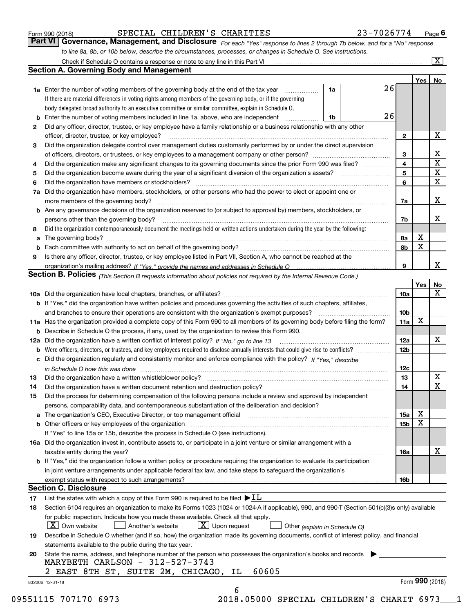| Form 990 (2018) |  |  |
|-----------------|--|--|
|                 |  |  |

# SPECIAL CHILDREN'S CHARITIES 23-7026774

*For each "Yes" response to lines 2 through 7b below, and for a "No" response to line 8a, 8b, or 10b below, describe the circumstances, processes, or changes in Schedule O. See instructions.* Form 990 (2018) **CONTRET STEM STECTAL CHILDREN'S CHARITIES** 23-7026774 Page 6<br>**Part VI Governance, Management, and Disclosure** For each "Yes" response to lines 2 through 7b below, and for a "No" response

|     |                                                                                                                                                                                                                                |                               |    |                 | Yes <sub>1</sub> | No              |
|-----|--------------------------------------------------------------------------------------------------------------------------------------------------------------------------------------------------------------------------------|-------------------------------|----|-----------------|------------------|-----------------|
|     | <b>1a</b> Enter the number of voting members of the governing body at the end of the tax year <i>manumum</i>                                                                                                                   | 1a                            | 26 |                 |                  |                 |
|     | If there are material differences in voting rights among members of the governing body, or if the governing                                                                                                                    |                               |    |                 |                  |                 |
|     | body delegated broad authority to an executive committee or similar committee, explain in Schedule O.                                                                                                                          |                               |    |                 |                  |                 |
|     | Enter the number of voting members included in line 1a, above, who are independent                                                                                                                                             | 1b                            | 26 |                 |                  |                 |
| 2   | Did any officer, director, trustee, or key employee have a family relationship or a business relationship with any other                                                                                                       |                               |    |                 |                  |                 |
|     | officer, director, trustee, or key employee?                                                                                                                                                                                   |                               |    | $\mathbf{2}$    |                  | х               |
| 3   | Did the organization delegate control over management duties customarily performed by or under the direct supervision                                                                                                          |                               |    |                 |                  |                 |
|     |                                                                                                                                                                                                                                |                               |    | 3               |                  | х               |
| 4   | Did the organization make any significant changes to its governing documents since the prior Form 990 was filed?                                                                                                               |                               |    | 4               |                  | $\mathbf X$     |
| 5   |                                                                                                                                                                                                                                |                               |    | 5               |                  | $\mathbf X$     |
| 6   |                                                                                                                                                                                                                                |                               |    | 6               |                  | $\mathbf{x}$    |
| 7a  | Did the organization have members, stockholders, or other persons who had the power to elect or appoint one or                                                                                                                 |                               |    |                 |                  |                 |
|     |                                                                                                                                                                                                                                |                               |    | 7a              |                  | X               |
|     | <b>b</b> Are any governance decisions of the organization reserved to (or subject to approval by) members, stockholders, or                                                                                                    |                               |    |                 |                  |                 |
|     | persons other than the governing body?                                                                                                                                                                                         |                               |    | 7b              |                  | х               |
| 8   | Did the organization contemporaneously document the meetings held or written actions undertaken during the year by the following:                                                                                              |                               |    |                 |                  |                 |
| a   |                                                                                                                                                                                                                                |                               |    | 8a              | х                |                 |
|     |                                                                                                                                                                                                                                |                               |    | 8b              | X                |                 |
| 9   | Is there any officer, director, trustee, or key employee listed in Part VII, Section A, who cannot be reached at the                                                                                                           |                               |    |                 |                  |                 |
|     |                                                                                                                                                                                                                                |                               |    | 9               |                  | х               |
|     | Section B. Policies (This Section B requests information about policies not required by the Internal Revenue Code.)                                                                                                            |                               |    |                 |                  |                 |
|     |                                                                                                                                                                                                                                |                               |    |                 | Yes              | No              |
|     |                                                                                                                                                                                                                                |                               |    | 10a             |                  | X               |
|     | <b>b</b> If "Yes," did the organization have written policies and procedures governing the activities of such chapters, affiliates,                                                                                            |                               |    |                 |                  |                 |
|     |                                                                                                                                                                                                                                |                               |    | 10 <sub>b</sub> |                  |                 |
|     | 11a Has the organization provided a complete copy of this Form 990 to all members of its governing body before filing the form?                                                                                                |                               |    | 11a             | X                |                 |
|     |                                                                                                                                                                                                                                |                               |    |                 |                  |                 |
|     | <b>b</b> Describe in Schedule O the process, if any, used by the organization to review this Form 990.                                                                                                                         |                               |    |                 |                  | х               |
| 12a |                                                                                                                                                                                                                                |                               |    | 12a             |                  |                 |
| b   |                                                                                                                                                                                                                                |                               |    | 12 <sub>b</sub> |                  |                 |
|     | c Did the organization regularly and consistently monitor and enforce compliance with the policy? If "Yes," describe                                                                                                           |                               |    |                 |                  |                 |
|     | in Schedule O how this was done measured and continuum control to the control of the state of the state of the                                                                                                                 |                               |    | 12c             |                  | X               |
| 13  | Did the organization have a written whistleblower policy?<br>The content of the content of the content of the content of the content of the content of the content of the c                                                    |                               |    | 13              |                  |                 |
| 14  | Did the organization have a written document retention and destruction policy?<br>The organization have a written document retention and destruction policy?                                                                   |                               |    | 14              |                  | $\mathbf X$     |
| 15  | Did the process for determining compensation of the following persons include a review and approval by independent                                                                                                             |                               |    |                 |                  |                 |
|     | persons, comparability data, and contemporaneous substantiation of the deliberation and decision?                                                                                                                              |                               |    |                 |                  |                 |
|     | a The organization's CEO, Executive Director, or top management official [11] [12] The organization's CEO, Executive Director, or top management official [12] [12] [12] [12] The organization's CEO, Executive Director, or t |                               |    | 15a             | х                |                 |
|     | <b>b</b> Other officers or key employees of the organization entering contained and the organization of the organization                                                                                                       |                               |    | 15b             | $\mathbf X$      |                 |
|     | If "Yes" to line 15a or 15b, describe the process in Schedule O (see instructions).                                                                                                                                            |                               |    |                 |                  |                 |
|     | 16a Did the organization invest in, contribute assets to, or participate in a joint venture or similar arrangement with a                                                                                                      |                               |    |                 |                  |                 |
|     | taxable entity during the year?                                                                                                                                                                                                |                               |    | 16a             |                  | х               |
|     | <b>b</b> If "Yes," did the organization follow a written policy or procedure requiring the organization to evaluate its participation                                                                                          |                               |    |                 |                  |                 |
|     | in joint venture arrangements under applicable federal tax law, and take steps to safeguard the organization's                                                                                                                 |                               |    |                 |                  |                 |
|     |                                                                                                                                                                                                                                |                               |    | 16b             |                  |                 |
|     | <b>Section C. Disclosure</b>                                                                                                                                                                                                   |                               |    |                 |                  |                 |
| 17  | List the states with which a copy of this Form 990 is required to be filed $\blacktriangleright$ IL                                                                                                                            |                               |    |                 |                  |                 |
| 18  | Section 6104 requires an organization to make its Forms 1023 (1024 or 1024-A if applicable), 990, and 990-T (Section 501(c)(3)s only) available                                                                                |                               |    |                 |                  |                 |
|     | for public inspection. Indicate how you made these available. Check all that apply.                                                                                                                                            |                               |    |                 |                  |                 |
|     | $ X $ Own website<br>$X$ Upon request<br>Another's website                                                                                                                                                                     | Other (explain in Schedule O) |    |                 |                  |                 |
| 19  | Describe in Schedule O whether (and if so, how) the organization made its governing documents, conflict of interest policy, and financial                                                                                      |                               |    |                 |                  |                 |
|     | statements available to the public during the tax year.                                                                                                                                                                        |                               |    |                 |                  |                 |
| 20  | State the name, address, and telephone number of the person who possesses the organization's books and records                                                                                                                 |                               |    |                 |                  |                 |
|     | MARYBETH CARLSON - 312-527-3743                                                                                                                                                                                                |                               |    |                 |                  |                 |
|     | 60605<br>2 EAST 8TH ST, SUITE 2M, CHICAGO, IL                                                                                                                                                                                  |                               |    |                 |                  |                 |
|     |                                                                                                                                                                                                                                |                               |    |                 |                  | Form 990 (2018) |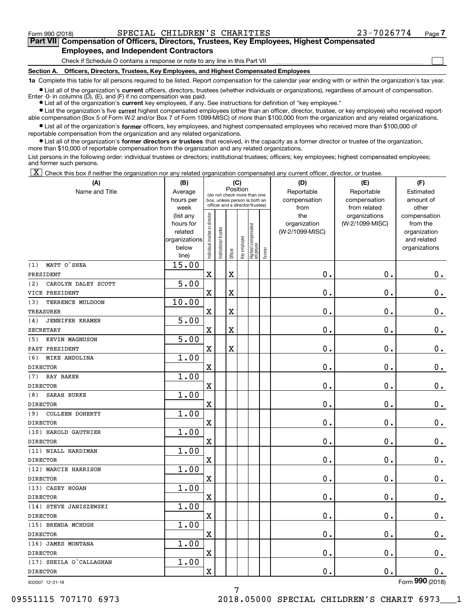**(A)**

 $\mathcal{L}^{\text{max}}$ 

# **7Part VII Compensation of Officers, Directors, Trustees, Key Employees, Highest Compensated Employees, and Independent Contractors**

Check if Schedule O contains a response or note to any line in this Part VII

**Section A. Officers, Directors, Trustees, Key Employees, and Highest Compensated Employees**

**1a**  Complete this table for all persons required to be listed. Report compensation for the calendar year ending with or within the organization's tax year.

**•** List all of the organization's current officers, directors, trustees (whether individuals or organizations), regardless of amount of compensation. Enter -0- in columns  $(D)$ ,  $(E)$ , and  $(F)$  if no compensation was paid.

● List all of the organization's **current** key employees, if any. See instructions for definition of "key employee."

**•** List the organization's five current highest compensated employees (other than an officer, director, trustee, or key employee) who received reportable compensation (Box 5 of Form W-2 and/or Box 7 of Form 1099-MISC) of more than \$100,000 from the organization and any related organizations.

 $\bullet$  List all of the organization's **former** officers, key employees, and highest compensated employees who received more than \$100,000 of reportable compensation from the organization and any related organizations.

**•** List all of the organization's former directors or trustees that received, in the capacity as a former director or trustee of the organization, more than \$10,000 of reportable compensation from the organization and any related organizations.

List persons in the following order: individual trustees or directors; institutional trustees; officers; key employees; highest compensated employees; and former such persons.

 $\boxed{\textbf{X}}$  Check this box if neither the organization nor any related organization compensated any current officer, director, or trustee.

| (A)                           | (B)               |                                |                        |                         | (C)          |                                                                  |        | (D)                  | (E)                          | (F)                |
|-------------------------------|-------------------|--------------------------------|------------------------|-------------------------|--------------|------------------------------------------------------------------|--------|----------------------|------------------------------|--------------------|
| Name and Title                | Average           |                                |                        | Position                |              | (do not check more than one                                      |        | Reportable           | Reportable                   | Estimated          |
|                               | hours per<br>week |                                |                        |                         |              | box, unless person is both an<br>officer and a director/trustee) |        | compensation<br>from | compensation<br>from related | amount of<br>other |
|                               | (list any         |                                |                        |                         |              |                                                                  |        | the                  | organizations                | compensation       |
|                               | hours for         |                                |                        |                         |              |                                                                  |        | organization         | (W-2/1099-MISC)              | from the           |
|                               | related           |                                |                        |                         |              |                                                                  |        | (W-2/1099-MISC)      |                              | organization       |
|                               | organizations     |                                |                        |                         |              |                                                                  |        |                      |                              | and related        |
|                               | below             | Individual trustee or director | In stitutional trustee | Officer                 | Key employee | Highest compensated<br> employee                                 | Former |                      |                              | organizations      |
| MATT O'SHEA<br>(1)            | line)<br>15.00    |                                |                        |                         |              |                                                                  |        |                      |                              |                    |
| PRESIDENT                     |                   | $\mathbf x$                    |                        | $\mathbf X$             |              |                                                                  |        | 0.                   | $\mathbf 0$ .                | $0_{.}$            |
| (2)<br>CAROLYN DALEY SCOTT    | $\overline{5.00}$ |                                |                        |                         |              |                                                                  |        |                      |                              |                    |
| VICE PRESIDENT                |                   | $\overline{\mathbf{X}}$        |                        | $\overline{\textbf{X}}$ |              |                                                                  |        | 0.                   | $\mathbf 0$ .                | $\mathbf 0$ .      |
| TERRENCE MULDOON<br>(3)       | 10.00             |                                |                        |                         |              |                                                                  |        |                      |                              |                    |
| <b>TREASURER</b>              |                   | $\mathbf X$                    |                        | $\mathbf X$             |              |                                                                  |        | 0.                   | $\mathbf 0$ .                | $\mathbf 0$ .      |
| <b>JENNIFER KRAMER</b><br>(4) | 5.00              |                                |                        |                         |              |                                                                  |        |                      |                              |                    |
| <b>SECRETARY</b>              |                   | $\mathbf x$                    |                        | $\overline{\textbf{X}}$ |              |                                                                  |        | 0.                   | 0.                           | $\mathbf 0$ .      |
| KEVIN MAGNUSON<br>(5)         | 5.00              |                                |                        |                         |              |                                                                  |        |                      |                              |                    |
| PAST PRESIDENT                |                   | $\mathbf X$                    |                        | $\overline{\textbf{X}}$ |              |                                                                  |        | 0.                   | $\mathbf 0$ .                | $\mathbf 0$ .      |
| MIKE ANDOLINA<br>(6)          | 1.00              |                                |                        |                         |              |                                                                  |        |                      |                              |                    |
| <b>DIRECTOR</b>               |                   | $\overline{\mathbf{X}}$        |                        |                         |              |                                                                  |        | 0.                   | $\mathbf 0$ .                | $0$ .              |
| RAY BAKER<br>(7)              | 1.00              |                                |                        |                         |              |                                                                  |        |                      |                              |                    |
| <b>DIRECTOR</b>               |                   | $\mathbf X$                    |                        |                         |              |                                                                  |        | 0.                   | $\mathbf 0$ .                | $\mathbf 0$ .      |
| <b>SARAH BURKE</b><br>(8)     | 1.00              |                                |                        |                         |              |                                                                  |        |                      |                              |                    |
| <b>DIRECTOR</b>               |                   | $\overline{\mathbf{X}}$        |                        |                         |              |                                                                  |        | 0.                   | $\mathbf 0$ .                | $0$ .              |
| COLLEEN DOHERTY<br>(9)        | 1.00              |                                |                        |                         |              |                                                                  |        |                      |                              |                    |
| <b>DIRECTOR</b>               |                   | $\overline{\mathbf{X}}$        |                        |                         |              |                                                                  |        | 0.                   | $\mathbf 0$ .                | $\mathbf 0$ .      |
| (10) HAROLD GAUTHIER          | 1.00              |                                |                        |                         |              |                                                                  |        |                      |                              |                    |
| <b>DIRECTOR</b>               |                   | $\mathbf X$                    |                        |                         |              |                                                                  |        | 0.                   | $\mathbf 0$ .                | $\mathbf 0$ .      |
| (11) NIALL HARDIMAN           | 1.00              |                                |                        |                         |              |                                                                  |        |                      |                              |                    |
| <b>DIRECTOR</b>               |                   | $\mathbf X$                    |                        |                         |              |                                                                  |        | 0.                   | 0.                           | $\mathbf 0$ .      |
| (12) MARCIE HARRISON          | 1.00              |                                |                        |                         |              |                                                                  |        |                      |                              |                    |
| <b>DIRECTOR</b>               |                   | $\overline{\mathbf{X}}$        |                        |                         |              |                                                                  |        | 0.                   | $\mathbf 0$ .                | $\mathbf 0$ .      |
| (13) CASEY HOGAN              | 1.00              |                                |                        |                         |              |                                                                  |        |                      |                              |                    |
| <b>DIRECTOR</b>               |                   | $\overline{\mathbf{X}}$        |                        |                         |              |                                                                  |        | $0$ .                | $\mathbf 0$ .                | 0.                 |
| (14) STEVE JANISZEWSKI        | 1.00              |                                |                        |                         |              |                                                                  |        |                      |                              |                    |
| <b>DIRECTOR</b>               |                   | $\mathbf x$                    |                        |                         |              |                                                                  |        | 0.                   | $\mathbf 0$ .                | $0$ .              |
| (15) BRENDA MCHUGH            | 1.00              |                                |                        |                         |              |                                                                  |        |                      |                              |                    |
| <b>DIRECTOR</b>               |                   | $\mathbf x$                    |                        |                         |              |                                                                  |        | 0.                   | $\mathbf 0$ .                | $0$ .              |
| (16) JAMES MONTANA            | 1.00              |                                |                        |                         |              |                                                                  |        |                      |                              |                    |
| <b>DIRECTOR</b>               |                   | $\mathbf x$                    |                        |                         |              |                                                                  |        | 0.                   | $\mathbf 0$ .                | $\mathbf 0$ .      |
| (17) SHEILA O'CALLAGHAN       | 1.00              |                                |                        |                         |              |                                                                  |        |                      |                              |                    |
| <b>DIRECTOR</b>               |                   | $\mathbf x$                    |                        |                         |              |                                                                  |        | $\mathbf 0$ .        | $\mathbf 0$ .                | $\mathbf 0$ .      |

832007 12-31-18

Form (2018) **990**

09551115 707170 6973 2018.05000 SPECIAL CHILDREN'S CHARIT 6973\_\_\_1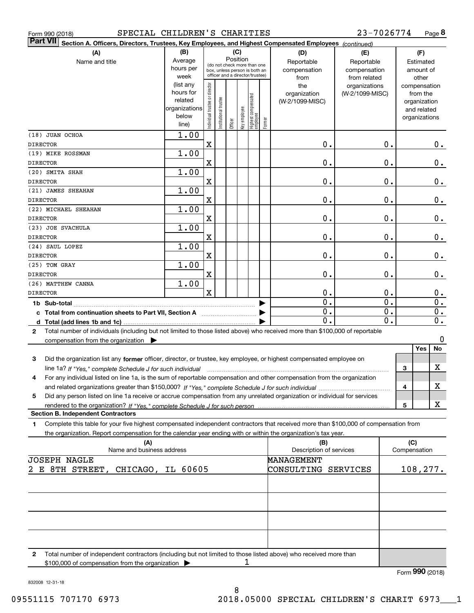|  | Form 990 (2018) |  |
|--|-----------------|--|
|  |                 |  |

## Form 990 (2018) SPECIAL CHILDREN'S CHARITIES 23-7026774 Page

**8** 23-7026774

| ∣Part VII ∣     | Section A. Officers, Directors, Trustees, Key Employees, and Highest Compensated Employees (continued)                                                              |                                                    |                                                                  |                       |       |              |                                 |              |                         |                 |                  |           |                              |                  |
|-----------------|---------------------------------------------------------------------------------------------------------------------------------------------------------------------|----------------------------------------------------|------------------------------------------------------------------|-----------------------|-------|--------------|---------------------------------|--------------|-------------------------|-----------------|------------------|-----------|------------------------------|------------------|
|                 | (A)                                                                                                                                                                 | (B)                                                |                                                                  |                       |       | (C)          |                                 |              | (D)                     | (E)             |                  |           | (F)                          |                  |
|                 | Name and title                                                                                                                                                      | Position<br>Average<br>(do not check more than one |                                                                  |                       |       | Reportable   | Reportable                      |              |                         | Estimated       |                  |           |                              |                  |
|                 |                                                                                                                                                                     | hours per                                          | box, unless person is both an<br>officer and a director/trustee) |                       |       |              |                                 | compensation | compensation            |                 |                  | amount of |                              |                  |
|                 |                                                                                                                                                                     | week                                               |                                                                  |                       |       |              |                                 |              | from                    | from related    |                  |           | other                        |                  |
|                 |                                                                                                                                                                     | (list any                                          |                                                                  |                       |       |              |                                 |              | the                     | organizations   |                  |           | compensation                 |                  |
|                 |                                                                                                                                                                     | hours for<br>related                               |                                                                  |                       |       |              |                                 |              | organization            | (W-2/1099-MISC) |                  |           | from the                     |                  |
|                 |                                                                                                                                                                     | organizations                                      |                                                                  |                       |       |              |                                 |              | (W-2/1099-MISC)         |                 |                  |           | organization                 |                  |
|                 |                                                                                                                                                                     | below                                              |                                                                  |                       |       |              |                                 |              |                         |                 |                  |           | and related<br>organizations |                  |
|                 |                                                                                                                                                                     | line)                                              | Individual trustee or director                                   | Institutional trustee | [Off] | key employee | Highest compensated<br>employee | Former       |                         |                 |                  |           |                              |                  |
|                 | (18) JUAN OCHOA                                                                                                                                                     | 1.00                                               |                                                                  |                       |       |              |                                 |              |                         |                 |                  |           |                              |                  |
| <b>DIRECTOR</b> |                                                                                                                                                                     |                                                    | $\mathbf X$                                                      |                       |       |              |                                 |              | 0.                      |                 | $\mathbf 0$ .    |           |                              | $0$ .            |
|                 | (19) MIKE ROSSMAN                                                                                                                                                   | 1.00                                               |                                                                  |                       |       |              |                                 |              |                         |                 |                  |           |                              |                  |
| <b>DIRECTOR</b> |                                                                                                                                                                     |                                                    | X                                                                |                       |       |              |                                 |              | 0.                      |                 | $\mathbf 0$ .    |           |                              | 0.               |
|                 | (20) SMITA SHAH                                                                                                                                                     | 1.00                                               |                                                                  |                       |       |              |                                 |              |                         |                 |                  |           |                              |                  |
| <b>DIRECTOR</b> |                                                                                                                                                                     |                                                    | X                                                                |                       |       |              |                                 |              | 0.                      |                 | $\mathbf 0$ .    |           |                              | 0.               |
|                 | (21) JAMES SHEAHAN                                                                                                                                                  | 1.00                                               |                                                                  |                       |       |              |                                 |              |                         |                 |                  |           |                              |                  |
| <b>DIRECTOR</b> |                                                                                                                                                                     |                                                    | X                                                                |                       |       |              |                                 |              | 0.                      |                 | $\mathbf 0$ .    |           |                              | 0.               |
|                 | (22) MICHAEL SHEAHAN                                                                                                                                                | 1.00                                               |                                                                  |                       |       |              |                                 |              |                         |                 |                  |           |                              |                  |
| <b>DIRECTOR</b> |                                                                                                                                                                     |                                                    | X                                                                |                       |       |              |                                 |              | 0.                      |                 | $\mathbf 0$ .    |           |                              | 0.               |
|                 | (23) JOE SVACHULA                                                                                                                                                   | 1.00                                               |                                                                  |                       |       |              |                                 |              |                         |                 |                  |           |                              |                  |
| <b>DIRECTOR</b> |                                                                                                                                                                     |                                                    | X                                                                |                       |       |              |                                 |              | 0.                      |                 | 0.               |           |                              | 0.               |
|                 | (24) SAUL LOPEZ                                                                                                                                                     | 1.00                                               |                                                                  |                       |       |              |                                 |              |                         |                 |                  |           |                              |                  |
| <b>DIRECTOR</b> |                                                                                                                                                                     |                                                    | X                                                                |                       |       |              |                                 |              | 0.                      |                 | 0.               |           |                              | 0.               |
|                 | (25) TOM GRAY                                                                                                                                                       | 1.00                                               |                                                                  |                       |       |              |                                 |              |                         |                 |                  |           |                              |                  |
| <b>DIRECTOR</b> |                                                                                                                                                                     |                                                    | X                                                                |                       |       |              |                                 |              | 0.                      |                 | $\mathbf 0$ .    |           |                              | 0.               |
|                 | (26) MATTHEW CANNA                                                                                                                                                  | 1.00                                               |                                                                  |                       |       |              |                                 |              |                         |                 |                  |           |                              |                  |
| <b>DIRECTOR</b> |                                                                                                                                                                     |                                                    | $\mathbf x$                                                      |                       |       |              |                                 |              | 0.                      |                 | $\mathbf 0$ .    |           |                              | 0.               |
|                 |                                                                                                                                                                     |                                                    |                                                                  |                       |       |              |                                 |              | $\overline{0}$ .        |                 | $\overline{0}$ . |           |                              | $\overline{0}$ . |
|                 | c Total from continuation sheets to Part VII, Section A                                                                                                             |                                                    |                                                                  |                       |       |              |                                 |              | 0.                      |                 | $\mathbf 0$ .    |           |                              | 0.               |
|                 |                                                                                                                                                                     |                                                    |                                                                  |                       |       |              |                                 |              | $\mathbf 0$             |                 | $\overline{0}$ . |           |                              | 0.               |
| $\mathbf{2}$    | Total number of individuals (including but not limited to those listed above) who received more than \$100,000 of reportable                                        |                                                    |                                                                  |                       |       |              |                                 |              |                         |                 |                  |           |                              |                  |
|                 | compensation from the organization $\blacktriangleright$                                                                                                            |                                                    |                                                                  |                       |       |              |                                 |              |                         |                 |                  |           |                              | 0                |
|                 |                                                                                                                                                                     |                                                    |                                                                  |                       |       |              |                                 |              |                         |                 |                  |           | Yes                          | No               |
| 3               | Did the organization list any former officer, director, or trustee, key employee, or highest compensated employee on                                                |                                                    |                                                                  |                       |       |              |                                 |              |                         |                 |                  |           |                              |                  |
|                 | line 1a? If "Yes," complete Schedule J for such individual                                                                                                          |                                                    |                                                                  |                       |       |              |                                 |              |                         |                 |                  | 3         |                              | х                |
| 4               | For any individual listed on line 1a, is the sum of reportable compensation and other compensation from the organization                                            |                                                    |                                                                  |                       |       |              |                                 |              |                         |                 |                  |           |                              |                  |
|                 |                                                                                                                                                                     |                                                    |                                                                  |                       |       |              |                                 |              |                         |                 |                  | 4         |                              | X                |
| 5               | Did any person listed on line 1a receive or accrue compensation from any unrelated organization or individual for services                                          |                                                    |                                                                  |                       |       |              |                                 |              |                         |                 |                  |           |                              |                  |
|                 |                                                                                                                                                                     |                                                    |                                                                  |                       |       |              |                                 |              |                         |                 |                  | 5         |                              | х                |
|                 | <b>Section B. Independent Contractors</b>                                                                                                                           |                                                    |                                                                  |                       |       |              |                                 |              |                         |                 |                  |           |                              |                  |
| 1.              | Complete this table for your five highest compensated independent contractors that received more than \$100,000 of compensation from                                |                                                    |                                                                  |                       |       |              |                                 |              |                         |                 |                  |           |                              |                  |
|                 | the organization. Report compensation for the calendar year ending with or within the organization's tax year.                                                      |                                                    |                                                                  |                       |       |              |                                 |              |                         |                 |                  |           |                              |                  |
|                 | (A)                                                                                                                                                                 |                                                    |                                                                  |                       |       |              |                                 |              | (B)                     |                 |                  | (C)       |                              |                  |
|                 | Name and business address                                                                                                                                           |                                                    |                                                                  |                       |       |              |                                 |              | Description of services |                 |                  |           | Compensation                 |                  |
|                 | <b>JOSEPH NAGLE</b>                                                                                                                                                 |                                                    |                                                                  |                       |       |              |                                 |              | MANAGEMENT              |                 |                  |           |                              |                  |
|                 | E 8TH STREET, CHICAGO, IL 60605                                                                                                                                     |                                                    |                                                                  |                       |       |              |                                 |              | CONSULTING SERVICES     |                 |                  |           | 108, 277.                    |                  |
|                 |                                                                                                                                                                     |                                                    |                                                                  |                       |       |              |                                 |              |                         |                 |                  |           |                              |                  |
|                 |                                                                                                                                                                     |                                                    |                                                                  |                       |       |              |                                 |              |                         |                 |                  |           |                              |                  |
|                 |                                                                                                                                                                     |                                                    |                                                                  |                       |       |              |                                 |              |                         |                 |                  |           |                              |                  |
|                 |                                                                                                                                                                     |                                                    |                                                                  |                       |       |              |                                 |              |                         |                 |                  |           |                              |                  |
|                 |                                                                                                                                                                     |                                                    |                                                                  |                       |       |              |                                 |              |                         |                 |                  |           |                              |                  |
|                 |                                                                                                                                                                     |                                                    |                                                                  |                       |       |              |                                 |              |                         |                 |                  |           |                              |                  |
|                 |                                                                                                                                                                     |                                                    |                                                                  |                       |       |              |                                 |              |                         |                 |                  |           |                              |                  |
| 2               | Total number of independent contractors (including but not limited to those listed above) who received more than<br>\$100,000 of compensation from the organization |                                                    |                                                                  |                       |       |              | 1                               |              |                         |                 |                  |           |                              |                  |

Form (2018) **990**

832008 12-31-18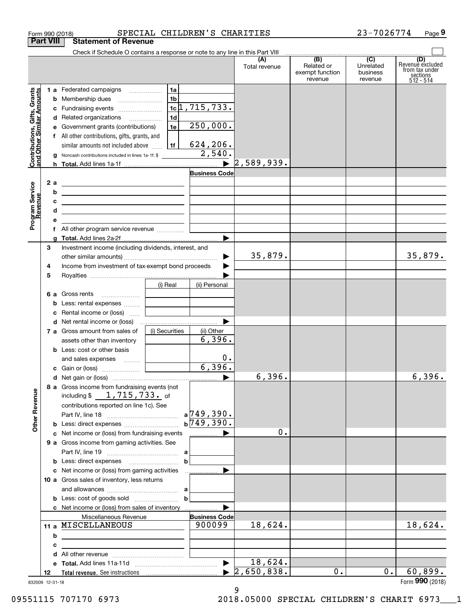| Form 990 (2018)                                           | SPECIAL CHILDREN'S CHARITIES                                                                                                                                                                                         |                                             |                                                 | 23-7026774                                           | Page 9                                                               |
|-----------------------------------------------------------|----------------------------------------------------------------------------------------------------------------------------------------------------------------------------------------------------------------------|---------------------------------------------|-------------------------------------------------|------------------------------------------------------|----------------------------------------------------------------------|
| <b>Part VIII</b>                                          | <b>Statement of Revenue</b>                                                                                                                                                                                          |                                             |                                                 |                                                      |                                                                      |
|                                                           | Check if Schedule O contains a response or note to any line in this Part VIII                                                                                                                                        | (A)<br>Total revenue                        | (B)<br>Related or<br>exempt function<br>revenue | $\overline{(C)}$<br>Unrelated<br>business<br>revenue | (D)<br>Revenue excluded<br>from tax under<br>sections<br>$512 - 514$ |
| Contributions, Gifts, Grants<br>and Other Similar Amounts | 1a<br>1 a Federated campaigns<br>1 <sub>b</sub><br><b>b</b> Membership dues<br>$1c$ $1, 715, 733.$<br>c Fundraising events<br>1d<br>d Related organizations<br>250,000.<br>1e<br>e Government grants (contributions) |                                             |                                                 |                                                      |                                                                      |
|                                                           | f All other contributions, gifts, grants, and<br>624, 206.<br>1f<br>similar amounts not included above<br>2,540.<br>Noncash contributions included in lines 1a-1f: \$                                                |                                             |                                                 |                                                      |                                                                      |
|                                                           | $\blacktriangleright$                                                                                                                                                                                                | 2,589,939.                                  |                                                 |                                                      |                                                                      |
|                                                           | <b>Business Code</b>                                                                                                                                                                                                 |                                             |                                                 |                                                      |                                                                      |
| 2 a<br>Program Service<br>Revenue<br>b                    | <u> 1989 - Johann Harry Harry Harry Harry Harry Harry Harry Harry Harry Harry Harry Harry Harry Harry Harry Harry</u>                                                                                                |                                             |                                                 |                                                      |                                                                      |
| c                                                         | <u> 1989 - Johann Barn, amerikansk politiker (d. 1989)</u>                                                                                                                                                           |                                             |                                                 |                                                      |                                                                      |
| d                                                         | <u> 1989 - Johann John Stein, fransk politik (d. 1989)</u>                                                                                                                                                           |                                             |                                                 |                                                      |                                                                      |
| е                                                         | <u> 1989 - Johann Barn, amerikansk politiker (</u><br><u> 1980 - Jan Stein Harry Harry Harry Harry Harry Harry Harry Harry Harry Harry Harry Harry Harry Harry Harry</u>                                             |                                             |                                                 |                                                      |                                                                      |
|                                                           | f All other program service revenue                                                                                                                                                                                  |                                             |                                                 |                                                      |                                                                      |
| a                                                         |                                                                                                                                                                                                                      |                                             |                                                 |                                                      |                                                                      |
| З                                                         | Investment income (including dividends, interest, and                                                                                                                                                                |                                             |                                                 |                                                      |                                                                      |
|                                                           |                                                                                                                                                                                                                      | 35,879.                                     |                                                 |                                                      | 35,879.                                                              |
| 4                                                         | Income from investment of tax-exempt bond proceeds                                                                                                                                                                   |                                             |                                                 |                                                      |                                                                      |
| 5                                                         |                                                                                                                                                                                                                      |                                             |                                                 |                                                      |                                                                      |
|                                                           | (i) Real<br>(ii) Personal                                                                                                                                                                                            |                                             |                                                 |                                                      |                                                                      |
|                                                           | <b>6 a</b> Gross rents                                                                                                                                                                                               |                                             |                                                 |                                                      |                                                                      |
| b                                                         | Less: rental expenses                                                                                                                                                                                                |                                             |                                                 |                                                      |                                                                      |
| c                                                         | Rental income or (loss)                                                                                                                                                                                              |                                             |                                                 |                                                      |                                                                      |
|                                                           |                                                                                                                                                                                                                      |                                             |                                                 |                                                      |                                                                      |
|                                                           | 7 a Gross amount from sales of<br>(i) Securities<br>(ii) Other                                                                                                                                                       |                                             |                                                 |                                                      |                                                                      |
|                                                           | 6,396.<br>assets other than inventory                                                                                                                                                                                |                                             |                                                 |                                                      |                                                                      |
|                                                           | <b>b</b> Less: cost or other basis                                                                                                                                                                                   |                                             |                                                 |                                                      |                                                                      |
|                                                           | 0.<br>and sales expenses                                                                                                                                                                                             |                                             |                                                 |                                                      |                                                                      |
|                                                           | 6,396.                                                                                                                                                                                                               |                                             |                                                 |                                                      |                                                                      |
|                                                           |                                                                                                                                                                                                                      | 6,396.                                      |                                                 |                                                      | 6,396.                                                               |
| <b>Other Revenue</b>                                      | 8 a Gross income from fundraising events (not<br>including $$1, 715, 733$ . of                                                                                                                                       |                                             |                                                 |                                                      |                                                                      |
|                                                           | contributions reported on line 1c). See                                                                                                                                                                              |                                             |                                                 |                                                      |                                                                      |
|                                                           | $a$ 749, 390.                                                                                                                                                                                                        |                                             |                                                 |                                                      |                                                                      |
|                                                           | $b\overline{749,390}$ .                                                                                                                                                                                              |                                             |                                                 |                                                      |                                                                      |
|                                                           | c Net income or (loss) from fundraising events<br>.                                                                                                                                                                  | 0.                                          |                                                 |                                                      |                                                                      |
|                                                           | 9 a Gross income from gaming activities. See                                                                                                                                                                         |                                             |                                                 |                                                      |                                                                      |
|                                                           |                                                                                                                                                                                                                      |                                             |                                                 |                                                      |                                                                      |
|                                                           | $\mathbf b$                                                                                                                                                                                                          |                                             |                                                 |                                                      |                                                                      |
|                                                           |                                                                                                                                                                                                                      |                                             |                                                 |                                                      |                                                                      |
|                                                           | 10 a Gross sales of inventory, less returns                                                                                                                                                                          |                                             |                                                 |                                                      |                                                                      |
|                                                           |                                                                                                                                                                                                                      |                                             |                                                 |                                                      |                                                                      |
|                                                           | $\mathbf b$                                                                                                                                                                                                          |                                             |                                                 |                                                      |                                                                      |
|                                                           |                                                                                                                                                                                                                      |                                             |                                                 |                                                      |                                                                      |
|                                                           | <b>Business Code</b><br>Miscellaneous Revenue                                                                                                                                                                        |                                             |                                                 |                                                      |                                                                      |
|                                                           | 11 a MISCELLANEOUS<br>900099                                                                                                                                                                                         | 18,624.                                     |                                                 |                                                      | 18,624.                                                              |
| b                                                         |                                                                                                                                                                                                                      |                                             |                                                 |                                                      |                                                                      |
| c                                                         | <u> 1989 - Johann Stein, mars an deutscher Stein und der Stein und der Stein und der Stein und der Stein und der</u>                                                                                                 |                                             |                                                 |                                                      |                                                                      |
| d                                                         |                                                                                                                                                                                                                      |                                             |                                                 |                                                      |                                                                      |
|                                                           |                                                                                                                                                                                                                      | 18,624.<br>$\blacktriangleright$ 2,650,838. | $0$ .                                           | 0.                                                   | 60,899.                                                              |
| 12                                                        |                                                                                                                                                                                                                      |                                             |                                                 |                                                      |                                                                      |

9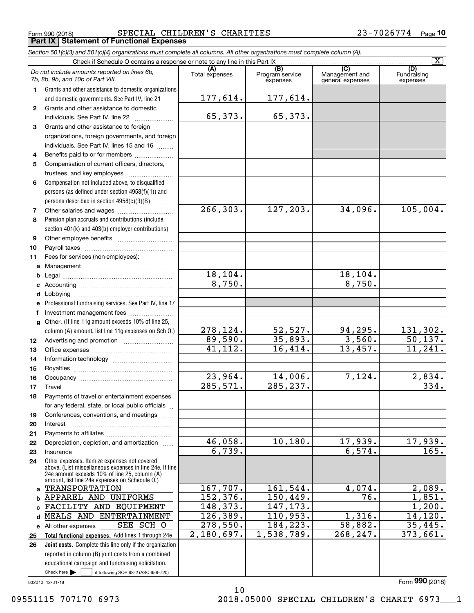Form 990 (2018) Page **Part IX Statement of Functional Expenses** SPECIAL CHILDREN'S CHARITIES 23-7026774

*Section 501(c)(3) and 501(c)(4) organizations must complete all columns. All other organizations must complete column (A).*

|          |                                                                                                 |                       |                                    |                                                               | $\overline{\mathbf{x}}$        |
|----------|-------------------------------------------------------------------------------------------------|-----------------------|------------------------------------|---------------------------------------------------------------|--------------------------------|
|          | Do not include amounts reported on lines 6b,<br>7b, 8b, 9b, and 10b of Part VIII.               | (A)<br>Total expenses | (B)<br>Program service<br>expenses | $\overline{\text{(C)}}$<br>Management and<br>general expenses | (D)<br>Fundraising<br>expenses |
| 1        | Grants and other assistance to domestic organizations                                           |                       |                                    |                                                               |                                |
|          | and domestic governments. See Part IV, line 21                                                  | 177,614.              | 177,614.                           |                                                               |                                |
| 2        | Grants and other assistance to domestic                                                         |                       |                                    |                                                               |                                |
|          | individuals. See Part IV, line 22                                                               | 65,373.               | 65, 373.                           |                                                               |                                |
| 3        | Grants and other assistance to foreign                                                          |                       |                                    |                                                               |                                |
|          | organizations, foreign governments, and foreign                                                 |                       |                                    |                                                               |                                |
|          | individuals. See Part IV, lines 15 and 16                                                       |                       |                                    |                                                               |                                |
| 4        | Benefits paid to or for members                                                                 |                       |                                    |                                                               |                                |
| 5        | Compensation of current officers, directors,                                                    |                       |                                    |                                                               |                                |
|          |                                                                                                 |                       |                                    |                                                               |                                |
| 6        | Compensation not included above, to disqualified                                                |                       |                                    |                                                               |                                |
|          | persons (as defined under section 4958(f)(1)) and                                               |                       |                                    |                                                               |                                |
|          | persons described in section 4958(c)(3)(B)                                                      |                       |                                    |                                                               |                                |
| 7        | Other salaries and wages                                                                        | 266, 303.             | 127,203.                           | 34,096.                                                       | 105,004.                       |
| 8        | Pension plan accruals and contributions (include                                                |                       |                                    |                                                               |                                |
|          | section 401(k) and 403(b) employer contributions)                                               |                       |                                    |                                                               |                                |
| 9        |                                                                                                 |                       |                                    |                                                               |                                |
| 10       |                                                                                                 |                       |                                    |                                                               |                                |
| 11       | Fees for services (non-employees):                                                              |                       |                                    |                                                               |                                |
|          |                                                                                                 |                       |                                    |                                                               |                                |
| b        |                                                                                                 | 18, 104.              |                                    | 18,104.                                                       |                                |
| c        |                                                                                                 | 8,750.                |                                    | 8,750.                                                        |                                |
| d        |                                                                                                 |                       |                                    |                                                               |                                |
| е        | Professional fundraising services. See Part IV, line 17                                         |                       |                                    |                                                               |                                |
| f        | Investment management fees                                                                      |                       |                                    |                                                               |                                |
| g        | Other. (If line 11g amount exceeds 10% of line 25,                                              |                       |                                    |                                                               |                                |
|          | column (A) amount, list line 11g expenses on Sch 0.)                                            | 278,124.              | $\frac{52,527}{35,893}$            | $\frac{94,295.}{3,560.}$                                      | $\frac{131,302.}{50,137.}$     |
| 12       |                                                                                                 | 89,590.               |                                    |                                                               |                                |
| 13       |                                                                                                 | 41, 112.              | 16,414.                            | 13,457.                                                       | 11, 241.                       |
| 14       |                                                                                                 |                       |                                    |                                                               |                                |
| 15       |                                                                                                 |                       |                                    |                                                               |                                |
| 16       |                                                                                                 | 23,964.               | 14,006.                            | 7,124.                                                        | 2,834.<br>334.                 |
| 17       | Travel                                                                                          | 285,571.              | 285, 237.                          |                                                               |                                |
| 18       | Payments of travel or entertainment expenses                                                    |                       |                                    |                                                               |                                |
|          | for any federal, state, or local public officials                                               |                       |                                    |                                                               |                                |
| 19       | Conferences, conventions, and meetings                                                          |                       |                                    |                                                               |                                |
| 20       | Interest                                                                                        |                       |                                    |                                                               |                                |
| 21       | Depreciation, depletion, and amortization                                                       | 46,058.               | 10, 180.                           | 17,939.                                                       | 17,939.                        |
| 22       |                                                                                                 | $\overline{6,739}$ .  |                                    | 6,574.                                                        | 165.                           |
| 23<br>24 | Insurance<br>Other expenses. Itemize expenses not covered                                       |                       |                                    |                                                               |                                |
|          | above. (List miscellaneous expenses in line 24e. If line                                        |                       |                                    |                                                               |                                |
|          | 24e amount exceeds 10% of line 25, column (A)<br>amount, list line 24e expenses on Schedule O.) |                       |                                    |                                                               |                                |
| a        | <b>TRANSPORTATION</b>                                                                           | 167,707.              | 161, 544.                          | 4,074.                                                        | 2,089.                         |
| b        | APPAREL AND UNIFORMS                                                                            | 152,376.              | 150,449.                           | 76.                                                           | 1,851.                         |
| c.       | FACILITY AND EQUIPMENT                                                                          | 148, 373.             | 147, 173.                          |                                                               | 1,200.                         |
| d        | MEALS AND ENTERTAINMENT                                                                         | 126, 389.             | 110,953.                           | 1,316.                                                        | 14, 120.                       |
|          | SEE SCH O<br>e All other expenses                                                               | 278,550.              | 184, 223.                          | 58,882.                                                       | 35,445.                        |
| 25       | Total functional expenses. Add lines 1 through 24e                                              | 2,180,697.            | 1,538,789.                         | 268, 247.                                                     | 373,661.                       |
| 26       | Joint costs. Complete this line only if the organization                                        |                       |                                    |                                                               |                                |
|          | reported in column (B) joint costs from a combined                                              |                       |                                    |                                                               |                                |
|          | educational campaign and fundraising solicitation.                                              |                       |                                    |                                                               |                                |
|          | Check here $\blacktriangleright$<br>if following SOP 98-2 (ASC 958-720)                         |                       |                                    |                                                               |                                |

10

09551115 707170 6973 2018.05000 SPECIAL CHILDREN'S CHARIT 6973 1

Form (2018) **990**

<sup>832010 12-31-18</sup>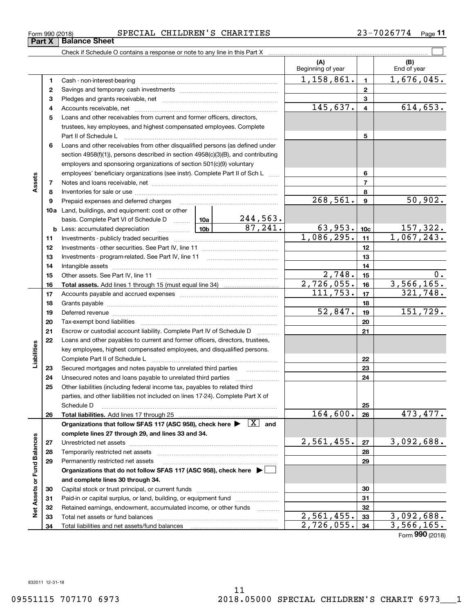# Form 990 (2018) Page SPECIAL CHILDREN'S CHARITIES 23-7026774

**11**

|                             |          |                                                                                                                                                        |          |                     | (A)<br>Beginning of year |                 | (B)<br>End of year |
|-----------------------------|----------|--------------------------------------------------------------------------------------------------------------------------------------------------------|----------|---------------------|--------------------------|-----------------|--------------------|
|                             | 1        |                                                                                                                                                        |          |                     | 1,158,861.               | $\mathbf{1}$    | 1,676,045.         |
|                             | 2        |                                                                                                                                                        |          |                     |                          | $\mathbf{2}$    |                    |
|                             | з        |                                                                                                                                                        |          | 3                   |                          |                 |                    |
|                             | 4        |                                                                                                                                                        | 145,637. | $\overline{4}$      | 614,653.                 |                 |                    |
|                             | 5        | Loans and other receivables from current and former officers, directors,                                                                               |          |                     |                          |                 |                    |
|                             |          | trustees, key employees, and highest compensated employees. Complete                                                                                   |          |                     |                          |                 |                    |
|                             |          |                                                                                                                                                        |          |                     |                          | 5               |                    |
|                             | 6        | Loans and other receivables from other disqualified persons (as defined under                                                                          |          |                     |                          |                 |                    |
|                             |          | section 4958(f)(1)), persons described in section 4958(c)(3)(B), and contributing                                                                      |          |                     |                          |                 |                    |
|                             |          | employers and sponsoring organizations of section 501(c)(9) voluntary                                                                                  |          |                     |                          |                 |                    |
|                             |          | employees' beneficiary organizations (see instr). Complete Part II of Sch L                                                                            |          |                     |                          | 6               |                    |
| Assets                      | 7        |                                                                                                                                                        |          |                     |                          | $\overline{7}$  |                    |
|                             | 8        |                                                                                                                                                        |          |                     |                          | 8               |                    |
|                             | 9        | Prepaid expenses and deferred charges                                                                                                                  |          |                     | 268,561.                 | 9               | 50,902.            |
|                             |          | <b>10a</b> Land, buildings, and equipment: cost or other                                                                                               |          |                     |                          |                 |                    |
|                             |          | basis. Complete Part VI of Schedule D  10a                                                                                                             |          | <u>244,563.</u>     |                          |                 |                    |
|                             |          | <b>b</b> Less: accumulated depreciation                                                                                                                |          | 87,241.             | 63,953.                  | 10 <sub>c</sub> | <u>157,322.</u>    |
|                             | 11       |                                                                                                                                                        |          | 1,086,295.          | 11                       | 1,067,243.      |                    |
|                             | 12       |                                                                                                                                                        |          |                     | 12                       |                 |                    |
|                             | 13       |                                                                                                                                                        |          |                     | 13                       |                 |                    |
|                             | 14       |                                                                                                                                                        |          | 14                  |                          |                 |                    |
|                             | 15       |                                                                                                                                                        | 2,748.   | 15                  | 0.                       |                 |                    |
|                             | 16       |                                                                                                                                                        |          |                     | 2,726,055.<br>111,753.   | 16              | 3,566,165.         |
|                             | 17       |                                                                                                                                                        |          |                     |                          | 17              | 321,748.           |
|                             | 18       |                                                                                                                                                        |          |                     | 52,847.                  | 18              | 151,729.           |
|                             | 19       |                                                                                                                                                        |          |                     |                          | 19              |                    |
|                             | 20<br>21 |                                                                                                                                                        |          |                     |                          | 20              |                    |
|                             | 22       | Escrow or custodial account liability. Complete Part IV of Schedule D<br>Loans and other payables to current and former officers, directors, trustees, |          | 1.1.1.1.1.1.1.1.1.1 |                          | 21              |                    |
| Liabilities                 |          | key employees, highest compensated employees, and disqualified persons.                                                                                |          |                     |                          |                 |                    |
|                             |          |                                                                                                                                                        |          |                     |                          | 22              |                    |
|                             | 23       |                                                                                                                                                        |          |                     |                          | 23              |                    |
|                             | 24       |                                                                                                                                                        |          |                     |                          | 24              |                    |
|                             | 25       | Other liabilities (including federal income tax, payables to related third                                                                             |          |                     |                          |                 |                    |
|                             |          | parties, and other liabilities not included on lines 17-24). Complete Part X of                                                                        |          |                     |                          |                 |                    |
|                             |          | Schedule D                                                                                                                                             |          |                     |                          | 25              |                    |
|                             | 26       |                                                                                                                                                        |          |                     | 164,600.                 | 26              | 473,477.           |
|                             |          | Organizations that follow SFAS 117 (ASC 958), check here $\blacktriangleright \begin{array}{ c } \hline X & \text{and} \end{array}$                    |          |                     |                          |                 |                    |
|                             |          | complete lines 27 through 29, and lines 33 and 34.                                                                                                     |          |                     |                          |                 |                    |
|                             | 27       |                                                                                                                                                        |          |                     | 2,561,455.               | 27              | 3,092,688.         |
|                             | 28       |                                                                                                                                                        |          |                     |                          | 28              |                    |
| Net Assets or Fund Balances | 29       | Permanently restricted net assets                                                                                                                      |          |                     |                          | 29              |                    |
|                             |          | Organizations that do not follow SFAS 117 (ASC 958), check here ▶ │                                                                                    |          |                     |                          |                 |                    |
|                             |          | and complete lines 30 through 34.                                                                                                                      |          |                     |                          |                 |                    |
|                             | 30       |                                                                                                                                                        |          |                     |                          | 30              |                    |
|                             | 31       | Paid-in or capital surplus, or land, building, or equipment fund                                                                                       |          |                     |                          | 31              |                    |
|                             | 32       | Retained earnings, endowment, accumulated income, or other funds                                                                                       |          |                     |                          | 32              |                    |
|                             | 33       |                                                                                                                                                        |          |                     | $\overline{2,561,455}$ . | 33              | 3,092,688.         |
|                             | 34       |                                                                                                                                                        |          |                     | 2,726,055.               | 34              | 3,566,165.         |

Form (2018) **990**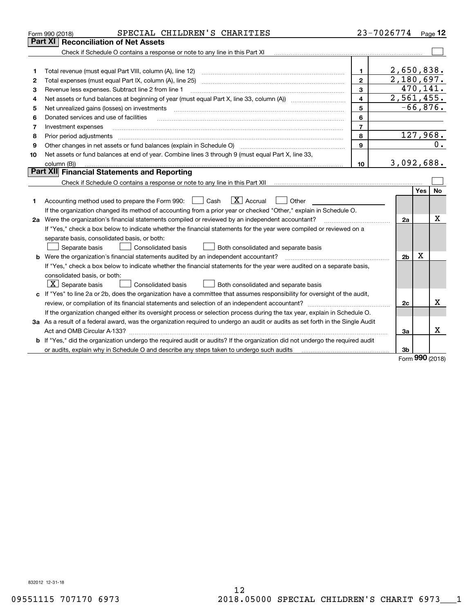|    | SPECIAL CHILDREN'S CHARITIES<br>Form 990 (2018)                                                                                                                                         |                | 23-7026774     |          | $P_{aqe}$ 12 |
|----|-----------------------------------------------------------------------------------------------------------------------------------------------------------------------------------------|----------------|----------------|----------|--------------|
|    | <b>Reconciliation of Net Assets</b><br>Part XI                                                                                                                                          |                |                |          |              |
|    | Check if Schedule O contains a response or note to any line in this Part XI                                                                                                             |                |                |          |              |
|    |                                                                                                                                                                                         |                |                |          |              |
| 1  | Total revenue (must equal Part VIII, column (A), line 12)                                                                                                                               | $\mathbf{1}$   | 2,650,838.     |          |              |
| 2  | Total expenses (must equal Part IX, column (A), line 25)                                                                                                                                | $\mathbf{2}$   | 2,180,697.     |          |              |
| 3  | Revenue less expenses. Subtract line 2 from line 1                                                                                                                                      | 3              |                | 470,141. |              |
| 4  |                                                                                                                                                                                         | 4              | 2,561,455.     |          |              |
| 5  | Net unrealized gains (losses) on investments                                                                                                                                            | 5              |                |          | $-66,876.$   |
| 6  | Donated services and use of facilities                                                                                                                                                  | 6              |                |          |              |
| 7  | Investment expenses                                                                                                                                                                     | $\overline{7}$ |                |          |              |
| 8  | Prior period adjustments                                                                                                                                                                | 8              |                |          | 127,968.     |
| 9  |                                                                                                                                                                                         | $\mathbf{Q}$   |                |          | 0.           |
| 10 | Net assets or fund balances at end of year. Combine lines 3 through 9 (must equal Part X, line 33,                                                                                      |                |                |          |              |
|    | column (B))                                                                                                                                                                             | 10             | 3,092,688.     |          |              |
|    | Part XII Financial Statements and Reporting                                                                                                                                             |                |                |          |              |
|    | Check if Schedule O contains a response or note to any line in this Part XII [11] [12] [12] [13] [13] [13] Check if Schedule O contains a response or note to any line in this Part XII |                |                |          |              |
|    |                                                                                                                                                                                         |                |                | Yes      | No           |
| 1. | $\boxed{\mathbf{X}}$ Accrual<br>Cash<br>Accounting method used to prepare the Form 990:<br>Other                                                                                        |                |                |          |              |
|    | If the organization changed its method of accounting from a prior year or checked "Other," explain in Schedule O.                                                                       |                |                |          |              |
|    | 2a Were the organization's financial statements compiled or reviewed by an independent accountant?                                                                                      |                | 2a             |          | x            |
|    | If "Yes," check a box below to indicate whether the financial statements for the year were compiled or reviewed on a                                                                    |                |                |          |              |
|    | separate basis, consolidated basis, or both:                                                                                                                                            |                |                |          |              |
|    | Separate basis<br><b>Consolidated basis</b><br>Both consolidated and separate basis                                                                                                     |                |                |          |              |
|    | <b>b</b> Were the organization's financial statements audited by an independent accountant?                                                                                             |                | 2 <sub>b</sub> | х        |              |
|    | If "Yes," check a box below to indicate whether the financial statements for the year were audited on a separate basis,                                                                 |                |                |          |              |
|    | consolidated basis, or both:                                                                                                                                                            |                |                |          |              |
|    | $ \mathbf{X} $ Separate basis<br>Consolidated basis<br>Both consolidated and separate basis                                                                                             |                |                |          |              |
|    | c If "Yes" to line 2a or 2b, does the organization have a committee that assumes responsibility for oversight of the audit,                                                             |                |                |          |              |
|    | review, or compilation of its financial statements and selection of an independent accountant?                                                                                          |                | 2c             |          | x            |
|    | If the organization changed either its oversight process or selection process during the tax year, explain in Schedule O.                                                               |                |                |          |              |
|    | 3a As a result of a federal award, was the organization required to undergo an audit or audits as set forth in the Single Audit                                                         |                |                |          |              |
|    |                                                                                                                                                                                         |                | 3a             |          | x            |
|    | b If "Yes," did the organization undergo the required audit or audits? If the organization did not undergo the required audit                                                           |                |                |          |              |
|    | or audits, explain why in Schedule O and describe any steps taken to undergo such audits                                                                                                |                | 3b             | nnn      |              |

Form (2018) **990**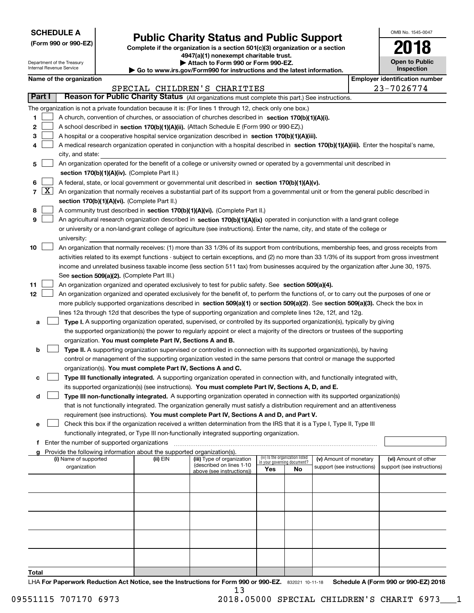| <b>SCHEDULE A</b> |  |
|-------------------|--|
|-------------------|--|

Department of the Treasury Internal Revenue Service

**8**

**12**

**(Form 990 or 990-EZ)**

# **Public Charity Status and Public Support**

**Complete if the organization is a section 501(c)(3) organization or a section 4947(a)(1) nonexempt charitable trust. | Attach to Form 990 or Form 990-EZ.** 

| Go to www.irs.gov/Form990 for instructions and the latest information. |  |  |
|------------------------------------------------------------------------|--|--|

| OMB No. 1545-0047                   |
|-------------------------------------|
| 2018                                |
| <b>Open to Public</b><br>Inspection |

**Employer identification number** 

| Name of the organization                                                                                                                   | <b>Employer identification numi</b> |
|--------------------------------------------------------------------------------------------------------------------------------------------|-------------------------------------|
| SPECIAL CHILDREN'S CHARITIES                                                                                                               | 23-7026774                          |
| Reason for Public Charity Status (All organizations must complete this part.) See instructions.<br>Part I                                  |                                     |
| The organization is not a private foundation because it is: (For lines 1 through 12, check only one box.)                                  |                                     |
| A church, convention of churches, or association of churches described in section 170(b)(1)(A)(i).                                         |                                     |
| A school described in section 170(b)(1)(A)(ii). (Attach Schedule E (Form 990 or 990-EZ).)<br>2                                             |                                     |
| A hospital or a cooperative hospital service organization described in section 170(b)(1)(A)(iii).<br>3                                     |                                     |
| A medical research organization operated in conjunction with a hospital described in section 170(b)(1)(A)(iii). Enter the hospital's name, |                                     |
| city, and state:                                                                                                                           |                                     |

|  | 5   An organization operated for the benefit of a college or university owned or operated by a governmental unit described in |
|--|-------------------------------------------------------------------------------------------------------------------------------|
|  | section 170(b)(1)(A)(iv). (Complete Part II.)                                                                                 |

|  |  |  | 6 $\Box$ A federal, state, or local government or governmental unit described in section 170(b)(1)(A)(v). |  |  |
|--|--|--|-----------------------------------------------------------------------------------------------------------|--|--|
|  |  |  |                                                                                                           |  |  |

| $7\sqrt{X}$ An organization that normally receives a substantial part of its support from a governmental unit or from the general public described in |
|-------------------------------------------------------------------------------------------------------------------------------------------------------|
| section 170(b)(1)(A)(vi). (Complete Part II.)                                                                                                         |

|  | A community trust described in section $170(b)(1)(A)(vi)$ . (Complete Part II.) |  |  |
|--|---------------------------------------------------------------------------------|--|--|
|  |                                                                                 |  |  |

|  | 9 $\Box$ An agricultural research organization described in section 170(b)(1)(A)(ix) operated in conjunction with a land-grant college |
|--|----------------------------------------------------------------------------------------------------------------------------------------|
|  | or university or a non-land-grant college of agriculture (see instructions). Enter the name, city, and state of the college or         |
|  | university:                                                                                                                            |

| 10 $\Box$ | An organization that normally receives: (1) more than 33 1/3% of its support from contributions, membership fees, and gross receipts from     |
|-----------|-----------------------------------------------------------------------------------------------------------------------------------------------|
|           | activities related to its exempt functions - subject to certain exceptions, and (2) no more than 33 1/3% of its support from gross investment |
|           | income and unrelated business taxable income (less section 511 tax) from businesses acquired by the organization after June 30, 1975.         |
|           | See section 509(a)(2). (Complete Part III.)                                                                                                   |

|  |  |  | 11 An organization organized and operated exclusively to test for public safety. See section 509(a)(4). |
|--|--|--|---------------------------------------------------------------------------------------------------------|
|  |  |  |                                                                                                         |

|  | An organization organized and operated exclusively for the benefit of, to perform the functions of, or to carry out the purposes of one or |
|--|--------------------------------------------------------------------------------------------------------------------------------------------|
|  | more publicly supported organizations described in section 509(a)(1) or section 509(a)(2). See section 509(a)(3). Check the box in         |
|  | lines 12a through 12d that describes the type of supporting organization and complete lines 12e, 12f, and 12g.                             |

**aType I.** A supporting organization operated, supervised, or controlled by its supported organization(s), typically by giving organization. **You must complete Part IV, Sections A and B.** the supported organization(s) the power to regularly appoint or elect a majority of the directors or trustees of the supporting  $\mathcal{L}^{\text{max}}$ 

|  | <b>b</b> $\Box$ Type II. A supporting organization supervised or controlled in connection with its supported organization(s), by having<br>control or management of the supporting organization vested in the same persons that control or manage the supported |
|--|-----------------------------------------------------------------------------------------------------------------------------------------------------------------------------------------------------------------------------------------------------------------|
|  | organization(s). You must complete Part IV, Sections A and C.                                                                                                                                                                                                   |

|  | c <b>Type III functionally integrated.</b> A supporting organization operated in connection with, and functionally integrated with, |  |  |
|--|-------------------------------------------------------------------------------------------------------------------------------------|--|--|
|  | its supported organization(s) (see instructions). You must complete Part IV, Sections A, D, and E.                                  |  |  |

**dType III non-functionally integrated.** A supporting organization operated in connection with its supported organization(s) requirement (see instructions). **You must complete Part IV, Sections A and D, and Part V.** that is not functionally integrated. The organization generally must satisfy a distribution requirement and an attentiveness  $\mathcal{L}^{\text{max}}$ 

**e**Check this box if the organization received a written determination from the IRS that it is a Type I, Type II, Type III functionally integrated, or Type III non-functionally integrated supporting organization.  $\mathcal{L}^{\text{max}}$ 

**f**Enter the number of supported organizations ~~~~~~~~~~~~~~~~~~~~~~~~~~~~~~~~~~~~~

| Provide the following information about the supported organization(s).<br>a |          |                            |                                                                |           |                            |                            |
|-----------------------------------------------------------------------------|----------|----------------------------|----------------------------------------------------------------|-----------|----------------------------|----------------------------|
| (i) Name of supported                                                       | (ii) EIN | (iii) Type of organization | (iv) Is the organization listed<br>in your governing document? |           | (v) Amount of monetary     | (vi) Amount of other       |
| organization                                                                |          | (described on lines 1-10   | Yes                                                            | <b>No</b> | support (see instructions) | support (see instructions) |
|                                                                             |          | above (see instructions))  |                                                                |           |                            |                            |
|                                                                             |          |                            |                                                                |           |                            |                            |
|                                                                             |          |                            |                                                                |           |                            |                            |
|                                                                             |          |                            |                                                                |           |                            |                            |
|                                                                             |          |                            |                                                                |           |                            |                            |
|                                                                             |          |                            |                                                                |           |                            |                            |
|                                                                             |          |                            |                                                                |           |                            |                            |
|                                                                             |          |                            |                                                                |           |                            |                            |
|                                                                             |          |                            |                                                                |           |                            |                            |
|                                                                             |          |                            |                                                                |           |                            |                            |
|                                                                             |          |                            |                                                                |           |                            |                            |
| Total                                                                       |          |                            |                                                                |           |                            |                            |

**Total**

LHA For Paperwork Reduction Act Notice, see the Instructions for Form 990 or 990-EZ. 832021 10-11-18 Schedule A (Form 990 or 990-EZ) 2018 13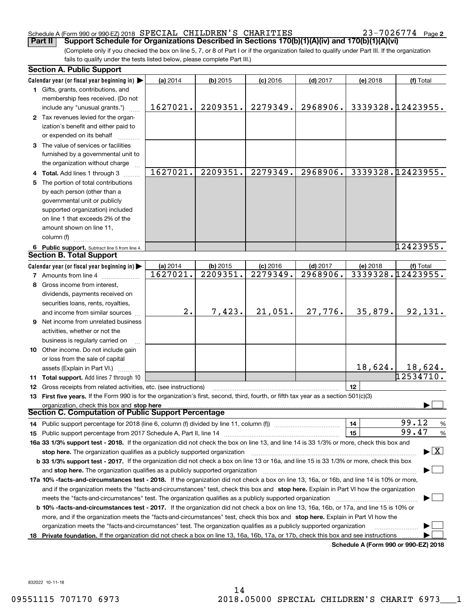## Schedule A (Form 990 or 990-EZ) 2018  ${\tt SPERCIAL}$   ${\tt CHILDREN}$  'S  ${\tt CHARITIES}$   $23-7026774$  Page

**2**

(Complete only if you checked the box on line 5, 7, or 8 of Part I or if the organization failed to qualify under Part III. If the organization fails to qualify under the tests listed below, please complete Part III.) **Part II** | Support Schedule for Organizations Described in Sections 170(b)(1)(A)(iv) and 170(b)(1)(A)(vi)

|    | <b>Section A. Public Support</b>                                                                                                                                                                                                                                |          |          |            |            |          |                                          |  |  |  |
|----|-----------------------------------------------------------------------------------------------------------------------------------------------------------------------------------------------------------------------------------------------------------------|----------|----------|------------|------------|----------|------------------------------------------|--|--|--|
|    | Calendar year (or fiscal year beginning in)                                                                                                                                                                                                                     | (a) 2014 | (b) 2015 | $(c)$ 2016 | $(d)$ 2017 | (e) 2018 | (f) Total                                |  |  |  |
|    | 1 Gifts, grants, contributions, and                                                                                                                                                                                                                             |          |          |            |            |          |                                          |  |  |  |
|    | membership fees received. (Do not                                                                                                                                                                                                                               |          |          |            |            |          |                                          |  |  |  |
|    | include any "unusual grants.")                                                                                                                                                                                                                                  | 1627021. | 2209351. | 2279349.   | 2968906.   |          | 3339328.12423955.                        |  |  |  |
|    | 2 Tax revenues levied for the organ-                                                                                                                                                                                                                            |          |          |            |            |          |                                          |  |  |  |
|    | ization's benefit and either paid to                                                                                                                                                                                                                            |          |          |            |            |          |                                          |  |  |  |
|    | or expended on its behalf                                                                                                                                                                                                                                       |          |          |            |            |          |                                          |  |  |  |
|    | 3 The value of services or facilities                                                                                                                                                                                                                           |          |          |            |            |          |                                          |  |  |  |
|    | furnished by a governmental unit to                                                                                                                                                                                                                             |          |          |            |            |          |                                          |  |  |  |
|    | the organization without charge                                                                                                                                                                                                                                 |          |          |            |            |          |                                          |  |  |  |
|    | 4 Total. Add lines 1 through 3                                                                                                                                                                                                                                  | 1627021. | 2209351. | 2279349.   | 2968906.   |          | 3339328.12423955.                        |  |  |  |
| 5. | The portion of total contributions                                                                                                                                                                                                                              |          |          |            |            |          |                                          |  |  |  |
|    | by each person (other than a                                                                                                                                                                                                                                    |          |          |            |            |          |                                          |  |  |  |
|    | governmental unit or publicly                                                                                                                                                                                                                                   |          |          |            |            |          |                                          |  |  |  |
|    | supported organization) included                                                                                                                                                                                                                                |          |          |            |            |          |                                          |  |  |  |
|    | on line 1 that exceeds 2% of the                                                                                                                                                                                                                                |          |          |            |            |          |                                          |  |  |  |
|    | amount shown on line 11,                                                                                                                                                                                                                                        |          |          |            |            |          |                                          |  |  |  |
|    | column (f)                                                                                                                                                                                                                                                      |          |          |            |            |          |                                          |  |  |  |
|    | 6 Public support. Subtract line 5 from line 4.                                                                                                                                                                                                                  |          |          |            |            |          | 12423955.                                |  |  |  |
|    | <b>Section B. Total Support</b>                                                                                                                                                                                                                                 |          |          |            |            |          |                                          |  |  |  |
|    | Calendar year (or fiscal year beginning in)                                                                                                                                                                                                                     | (a) 2014 | (b) 2015 | $(c)$ 2016 | $(d)$ 2017 | (e) 2018 | (f) Total                                |  |  |  |
|    | <b>7</b> Amounts from line 4                                                                                                                                                                                                                                    | 1627021. | 2209351. | 2279349.   | 2968906.   |          | 3339328.12423955.                        |  |  |  |
|    | 8 Gross income from interest,                                                                                                                                                                                                                                   |          |          |            |            |          |                                          |  |  |  |
|    | dividends, payments received on                                                                                                                                                                                                                                 |          |          |            |            |          |                                          |  |  |  |
|    | securities loans, rents, royalties,                                                                                                                                                                                                                             |          |          |            |            |          |                                          |  |  |  |
|    | and income from similar sources                                                                                                                                                                                                                                 | 2.       | 7,423.   | 21,051.    | 27,776.    | 35,879.  | 92,131.                                  |  |  |  |
|    | <b>9</b> Net income from unrelated business                                                                                                                                                                                                                     |          |          |            |            |          |                                          |  |  |  |
|    |                                                                                                                                                                                                                                                                 |          |          |            |            |          |                                          |  |  |  |
|    | activities, whether or not the                                                                                                                                                                                                                                  |          |          |            |            |          |                                          |  |  |  |
|    | business is regularly carried on                                                                                                                                                                                                                                |          |          |            |            |          |                                          |  |  |  |
|    | 10 Other income. Do not include gain                                                                                                                                                                                                                            |          |          |            |            |          |                                          |  |  |  |
|    | or loss from the sale of capital                                                                                                                                                                                                                                |          |          |            |            | 18,624.  | 18,624.                                  |  |  |  |
|    | assets (Explain in Part VI.)                                                                                                                                                                                                                                    |          |          |            |            |          | 12534710.                                |  |  |  |
|    | 11 Total support. Add lines 7 through 10                                                                                                                                                                                                                        |          |          |            |            |          |                                          |  |  |  |
|    | 12 Gross receipts from related activities, etc. (see instructions)                                                                                                                                                                                              |          |          |            |            | 12       |                                          |  |  |  |
|    | 13 First five years. If the Form 990 is for the organization's first, second, third, fourth, or fifth tax year as a section 501(c)(3)                                                                                                                           |          |          |            |            |          |                                          |  |  |  |
|    | organization, check this box and stop here<br><b>Section C. Computation of Public Support Percentage</b>                                                                                                                                                        |          |          |            |            |          |                                          |  |  |  |
|    |                                                                                                                                                                                                                                                                 |          |          |            |            |          | 99.12                                    |  |  |  |
|    | 14 Public support percentage for 2018 (line 6, column (f) divided by line 11, column (f) <i>mummumumum</i>                                                                                                                                                      |          |          |            |            | 14       | %<br>99.47                               |  |  |  |
|    |                                                                                                                                                                                                                                                                 |          |          |            |            | 15       | %                                        |  |  |  |
|    | 16a 33 1/3% support test - 2018. If the organization did not check the box on line 13, and line 14 is 33 1/3% or more, check this box and                                                                                                                       |          |          |            |            |          | $\blacktriangleright$ $\boxed{\text{X}}$ |  |  |  |
|    | stop here. The organization qualifies as a publicly supported organization                                                                                                                                                                                      |          |          |            |            |          |                                          |  |  |  |
|    | b 33 1/3% support test - 2017. If the organization did not check a box on line 13 or 16a, and line 15 is 33 1/3% or more, check this box                                                                                                                        |          |          |            |            |          |                                          |  |  |  |
|    | and stop here. The organization qualifies as a publicly supported organization                                                                                                                                                                                  |          |          |            |            |          |                                          |  |  |  |
|    | 17a 10% -facts-and-circumstances test - 2018. If the organization did not check a box on line 13, 16a, or 16b, and line 14 is 10% or more,                                                                                                                      |          |          |            |            |          |                                          |  |  |  |
|    | and if the organization meets the "facts-and-circumstances" test, check this box and stop here. Explain in Part VI how the organization                                                                                                                         |          |          |            |            |          |                                          |  |  |  |
|    | meets the "facts-and-circumstances" test. The organization qualifies as a publicly supported organization                                                                                                                                                       |          |          |            |            |          |                                          |  |  |  |
|    | <b>b 10% -facts-and-circumstances test - 2017.</b> If the organization did not check a box on line 13, 16a, 16b, or 17a, and line 15 is 10% or                                                                                                                  |          |          |            |            |          |                                          |  |  |  |
|    | more, and if the organization meets the "facts-and-circumstances" test, check this box and stop here. Explain in Part VI how the                                                                                                                                |          |          |            |            |          |                                          |  |  |  |
|    |                                                                                                                                                                                                                                                                 |          |          |            |            |          |                                          |  |  |  |
|    | organization meets the "facts-and-circumstances" test. The organization qualifies as a publicly supported organization<br>18 Private foundation. If the organization did not check a box on line 13, 16a, 16b, 17a, or 17b, check this box and see instructions |          |          |            |            |          |                                          |  |  |  |

**Schedule A (Form 990 or 990-EZ) 2018**

832022 10-11-18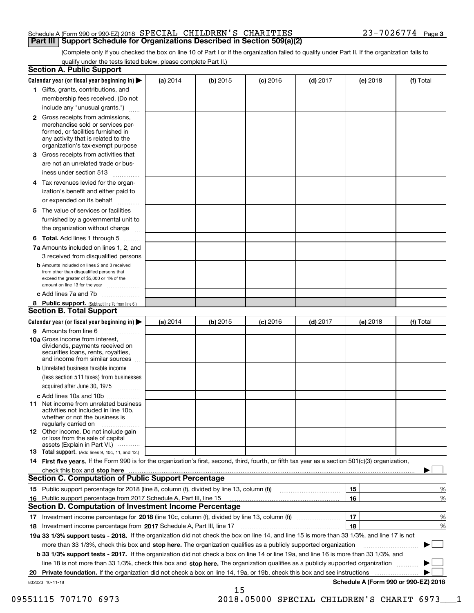### Schedule A (Form 990 or 990-EZ) 2018  ${\tt SPERCIAL}$   ${\tt CHILDREN}$  'S  ${\tt CHARITIES}$   $23-7026774$  Page **Part III | Support Schedule for Organizations Described in Section 509(a)(2)**

(Complete only if you checked the box on line 10 of Part I or if the organization failed to qualify under Part II. If the organization fails to qualify under the tests listed below, please complete Part II.)

|    | <b>Section A. Public Support</b>                                                                                                                                                                                               |            |            |            |            |          |                                      |
|----|--------------------------------------------------------------------------------------------------------------------------------------------------------------------------------------------------------------------------------|------------|------------|------------|------------|----------|--------------------------------------|
|    | Calendar year (or fiscal year beginning in) $\blacktriangleright$                                                                                                                                                              | (a) 2014   | $(b)$ 2015 | $(c)$ 2016 | $(d)$ 2017 | (e) 2018 | (f) Total                            |
|    | 1 Gifts, grants, contributions, and                                                                                                                                                                                            |            |            |            |            |          |                                      |
|    | membership fees received. (Do not                                                                                                                                                                                              |            |            |            |            |          |                                      |
|    | include any "unusual grants.")                                                                                                                                                                                                 |            |            |            |            |          |                                      |
|    | 2 Gross receipts from admissions,<br>merchandise sold or services per-<br>formed, or facilities furnished in<br>any activity that is related to the<br>organization's tax-exempt purpose                                       |            |            |            |            |          |                                      |
|    | 3 Gross receipts from activities that                                                                                                                                                                                          |            |            |            |            |          |                                      |
|    | are not an unrelated trade or bus-                                                                                                                                                                                             |            |            |            |            |          |                                      |
|    | iness under section 513                                                                                                                                                                                                        |            |            |            |            |          |                                      |
|    | 4 Tax revenues levied for the organ-                                                                                                                                                                                           |            |            |            |            |          |                                      |
|    | ization's benefit and either paid to                                                                                                                                                                                           |            |            |            |            |          |                                      |
|    | or expended on its behalf<br>.                                                                                                                                                                                                 |            |            |            |            |          |                                      |
|    | 5 The value of services or facilities                                                                                                                                                                                          |            |            |            |            |          |                                      |
|    | furnished by a governmental unit to                                                                                                                                                                                            |            |            |            |            |          |                                      |
|    | the organization without charge                                                                                                                                                                                                |            |            |            |            |          |                                      |
|    | <b>6 Total.</b> Add lines 1 through 5                                                                                                                                                                                          |            |            |            |            |          |                                      |
|    | 7a Amounts included on lines 1, 2, and                                                                                                                                                                                         |            |            |            |            |          |                                      |
|    | 3 received from disqualified persons                                                                                                                                                                                           |            |            |            |            |          |                                      |
|    | <b>b</b> Amounts included on lines 2 and 3 received<br>from other than disqualified persons that<br>exceed the greater of \$5,000 or 1% of the<br>amount on line 13 for the year                                               |            |            |            |            |          |                                      |
|    | c Add lines 7a and 7b                                                                                                                                                                                                          |            |            |            |            |          |                                      |
|    | 8 Public support. (Subtract line 7c from line 6.)                                                                                                                                                                              |            |            |            |            |          |                                      |
|    | <b>Section B. Total Support</b>                                                                                                                                                                                                |            |            |            |            |          |                                      |
|    | Calendar year (or fiscal year beginning in) $\blacktriangleright$                                                                                                                                                              | (a) $2014$ | $(b)$ 2015 | $(c)$ 2016 | $(d)$ 2017 | (e) 2018 | (f) Total                            |
|    | 9 Amounts from line 6                                                                                                                                                                                                          |            |            |            |            |          |                                      |
|    | 10a Gross income from interest,<br>dividends, payments received on<br>securities loans, rents, royalties,<br>and income from similar sources                                                                                   |            |            |            |            |          |                                      |
|    | <b>b</b> Unrelated business taxable income                                                                                                                                                                                     |            |            |            |            |          |                                      |
|    | (less section 511 taxes) from businesses                                                                                                                                                                                       |            |            |            |            |          |                                      |
|    | acquired after June 30, 1975                                                                                                                                                                                                   |            |            |            |            |          |                                      |
|    | c Add lines 10a and 10b                                                                                                                                                                                                        |            |            |            |            |          |                                      |
|    | 11 Net income from unrelated business<br>activities not included in line 10b,<br>whether or not the business is<br>regularly carried on                                                                                        |            |            |            |            |          |                                      |
|    | 12 Other income. Do not include gain<br>or loss from the sale of capital<br>assets (Explain in Part VI.)                                                                                                                       |            |            |            |            |          |                                      |
|    | <b>13</b> Total support. (Add lines 9, 10c, 11, and 12.)                                                                                                                                                                       |            |            |            |            |          |                                      |
|    | 14 First five years. If the Form 990 is for the organization's first, second, third, fourth, or fifth tax year as a section 501(c)(3) organization,                                                                            |            |            |            |            |          |                                      |
|    | check this box and stop here measurements are all the state of the state of the state of the state of the state of the state of the state of the state of the state of the state of the state of the state of the state of the |            |            |            |            |          |                                      |
|    | Section C. Computation of Public Support Percentage                                                                                                                                                                            |            |            |            |            |          |                                      |
|    | 15 Public support percentage for 2018 (line 8, column (f), divided by line 13, column (f))                                                                                                                                     |            |            |            |            | 15       | %                                    |
|    | 16 Public support percentage from 2017 Schedule A, Part III, line 15                                                                                                                                                           |            |            |            |            | 16       | %                                    |
|    | <b>Section D. Computation of Investment Income Percentage</b>                                                                                                                                                                  |            |            |            |            |          |                                      |
|    | 17 Investment income percentage for 2018 (line 10c, column (f), divided by line 13, column (f))                                                                                                                                |            |            |            |            | 17       | %                                    |
|    | <b>18</b> Investment income percentage from <b>2017</b> Schedule A, Part III, line 17                                                                                                                                          |            |            |            |            | 18       | %                                    |
|    | 19a 33 1/3% support tests - 2018. If the organization did not check the box on line 14, and line 15 is more than 33 1/3%, and line 17 is not                                                                                   |            |            |            |            |          |                                      |
|    | more than 33 1/3%, check this box and stop here. The organization qualifies as a publicly supported organization                                                                                                               |            |            |            |            |          | ▶                                    |
|    | b 33 1/3% support tests - 2017. If the organization did not check a box on line 14 or line 19a, and line 16 is more than 33 1/3%, and                                                                                          |            |            |            |            |          |                                      |
|    | line 18 is not more than 33 1/3%, check this box and stop here. The organization qualifies as a publicly supported organization                                                                                                |            |            |            |            |          |                                      |
| 20 | Private foundation. If the organization did not check a box on line 14, 19a, or 19b, check this box and see instructions                                                                                                       |            |            |            |            |          |                                      |
|    | 832023 10-11-18                                                                                                                                                                                                                |            |            |            |            |          | Schedule A (Form 990 or 990-EZ) 2018 |
|    |                                                                                                                                                                                                                                |            | 15         |            |            |          |                                      |

09551115 707170 6973 2018.05000 SPECIAL CHILDREN'S CHARIT 6973 1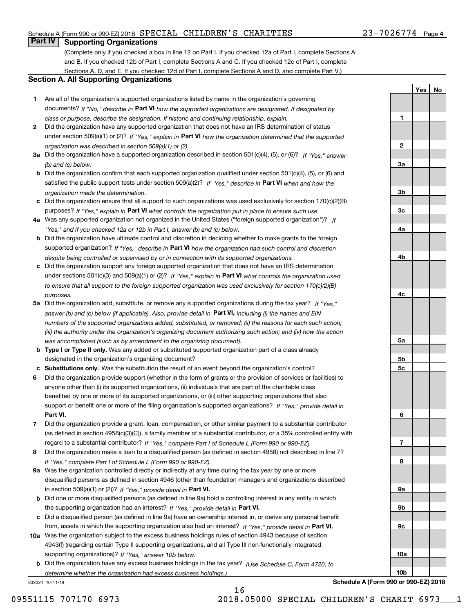## Schedule A (Form 990 or 990-EZ) 2018  ${\tt SPERCIAL}$   ${\tt CHILDREN}$  'S  ${\tt CHARITIES}$   $23-7026774$  Page

# **Part IV Supporting Organizations**

(Complete only if you checked a box in line 12 on Part I. If you checked 12a of Part I, complete Sections A and B. If you checked 12b of Part I, complete Sections A and C. If you checked 12c of Part I, complete Sections A, D, and E. If you checked 12d of Part I, complete Sections A and D, and complete Part V.)

## **Section A. All Supporting Organizations**

- **1** Are all of the organization's supported organizations listed by name in the organization's governing documents? If "No," describe in **Part VI** how the supported organizations are designated. If designated by *class or purpose, describe the designation. If historic and continuing relationship, explain.*
- **2** Did the organization have any supported organization that does not have an IRS determination of status under section 509(a)(1) or (2)? If "Yes," explain in Part VI how the organization determined that the supported *organization was described in section 509(a)(1) or (2).*
- **3a** Did the organization have a supported organization described in section 501(c)(4), (5), or (6)? If "Yes," answer *(b) and (c) below.*
- **b** Did the organization confirm that each supported organization qualified under section 501(c)(4), (5), or (6) and satisfied the public support tests under section 509(a)(2)? If "Yes," describe in **Part VI** when and how the *organization made the determination.*
- **c**Did the organization ensure that all support to such organizations was used exclusively for section 170(c)(2)(B) purposes? If "Yes," explain in **Part VI** what controls the organization put in place to ensure such use.
- **4a***If* Was any supported organization not organized in the United States ("foreign supported organization")? *"Yes," and if you checked 12a or 12b in Part I, answer (b) and (c) below.*
- **b** Did the organization have ultimate control and discretion in deciding whether to make grants to the foreign supported organization? If "Yes," describe in **Part VI** how the organization had such control and discretion *despite being controlled or supervised by or in connection with its supported organizations.*
- **c** Did the organization support any foreign supported organization that does not have an IRS determination under sections 501(c)(3) and 509(a)(1) or (2)? If "Yes," explain in **Part VI** what controls the organization used *to ensure that all support to the foreign supported organization was used exclusively for section 170(c)(2)(B) purposes.*
- **5a** Did the organization add, substitute, or remove any supported organizations during the tax year? If "Yes," answer (b) and (c) below (if applicable). Also, provide detail in **Part VI,** including (i) the names and EIN *numbers of the supported organizations added, substituted, or removed; (ii) the reasons for each such action; (iii) the authority under the organization's organizing document authorizing such action; and (iv) how the action was accomplished (such as by amendment to the organizing document).*
- **b** Type I or Type II only. Was any added or substituted supported organization part of a class already designated in the organization's organizing document?
- **cSubstitutions only.**  Was the substitution the result of an event beyond the organization's control?
- **6** Did the organization provide support (whether in the form of grants or the provision of services or facilities) to **Part VI.** *If "Yes," provide detail in* support or benefit one or more of the filing organization's supported organizations? anyone other than (i) its supported organizations, (ii) individuals that are part of the charitable class benefited by one or more of its supported organizations, or (iii) other supporting organizations that also
- **7**Did the organization provide a grant, loan, compensation, or other similar payment to a substantial contributor *If "Yes," complete Part I of Schedule L (Form 990 or 990-EZ).* regard to a substantial contributor? (as defined in section 4958(c)(3)(C)), a family member of a substantial contributor, or a 35% controlled entity with
- **8** Did the organization make a loan to a disqualified person (as defined in section 4958) not described in line 7? *If "Yes," complete Part I of Schedule L (Form 990 or 990-EZ).*
- **9a** Was the organization controlled directly or indirectly at any time during the tax year by one or more in section 509(a)(1) or (2))? If "Yes," *provide detail in* <code>Part VI.</code> disqualified persons as defined in section 4946 (other than foundation managers and organizations described
- **b** Did one or more disqualified persons (as defined in line 9a) hold a controlling interest in any entity in which the supporting organization had an interest? If "Yes," provide detail in P**art VI**.
- **c**Did a disqualified person (as defined in line 9a) have an ownership interest in, or derive any personal benefit from, assets in which the supporting organization also had an interest? If "Yes," provide detail in P**art VI.**
- **10a** Was the organization subject to the excess business holdings rules of section 4943 because of section supporting organizations)? If "Yes," answer 10b below. 4943(f) (regarding certain Type II supporting organizations, and all Type III non-functionally integrated
- **b** Did the organization have any excess business holdings in the tax year? (Use Schedule C, Form 4720, to *determine whether the organization had excess business holdings.)*

832024 10-11-18

**10a**

**10b**

**Schedule A (Form 990 or 990-EZ) 2018**

**YesNo**

16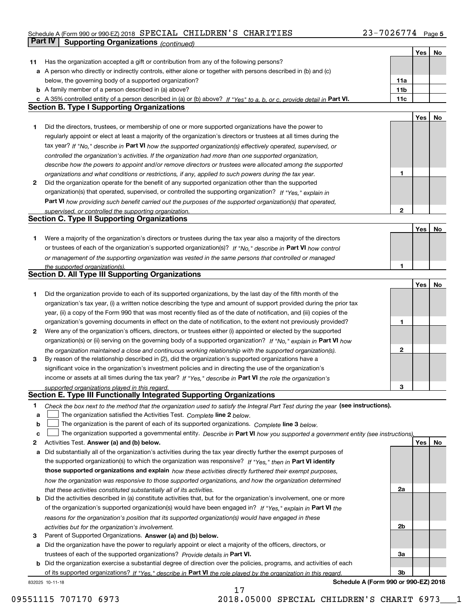# Schedule A (Form 990 or 990-EZ) 2018  ${\tt SPECIAL\_CHILDREN'S\_CHARITIES}$   ${\tt SI-7026774}$  Page  ${\tt 5}$ **Part IV** Supporting Organizations *(continued)* **All and Structure Continueding Continued)**

| Has the organization accepted a gift or contribution from any of the following persons?<br>11<br>a A person who directly or indirectly controls, either alone or together with persons described in (b) and (c)<br>11a<br>below, the governing body of a supported organization?<br><b>b</b> A family member of a person described in (a) above?<br>11 <sub>b</sub><br>11c<br>c A 35% controlled entity of a person described in (a) or (b) above? If "Yes" to a, b, or c, provide detail in Part VI.<br><b>Section B. Type I Supporting Organizations</b><br>Yes<br>No<br>Did the directors, trustees, or membership of one or more supported organizations have the power to<br>1<br>regularly appoint or elect at least a majority of the organization's directors or trustees at all times during the<br>tax year? If "No," describe in Part VI how the supported organization(s) effectively operated, supervised, or<br>controlled the organization's activities. If the organization had more than one supported organization,<br>describe how the powers to appoint and/or remove directors or trustees were allocated among the supported<br>1<br>organizations and what conditions or restrictions, if any, applied to such powers during the tax year.<br>Did the organization operate for the benefit of any supported organization other than the supported<br>2<br>organization(s) that operated, supervised, or controlled the supporting organization? If "Yes," explain in<br>Part VI how providing such benefit carried out the purposes of the supported organization(s) that operated,<br>$\overline{2}$<br>supervised, or controlled the supporting organization.<br><b>Section C. Type II Supporting Organizations</b><br>Yes<br>No<br>Were a majority of the organization's directors or trustees during the tax year also a majority of the directors<br>1.<br>or trustees of each of the organization's supported organization(s)? If "No." describe in Part VI how control<br>or management of the supporting organization was vested in the same persons that controlled or managed<br>1<br>the supported organization(s).<br><b>Section D. All Type III Supporting Organizations</b><br>Yes<br>No<br>Did the organization provide to each of its supported organizations, by the last day of the fifth month of the<br>1<br>organization's tax year, (i) a written notice describing the type and amount of support provided during the prior tax<br>year, (ii) a copy of the Form 990 that was most recently filed as of the date of notification, and (iii) copies of the<br>organization's governing documents in effect on the date of notification, to the extent not previously provided?<br>1<br>Were any of the organization's officers, directors, or trustees either (i) appointed or elected by the supported<br>2<br>organization(s) or (ii) serving on the governing body of a supported organization? If "No," explain in Part VI how<br>2<br>the organization maintained a close and continuous working relationship with the supported organization(s).<br>By reason of the relationship described in (2), did the organization's supported organizations have a<br>3<br>significant voice in the organization's investment policies and in directing the use of the organization's<br>income or assets at all times during the tax year? If "Yes," describe in Part VI the role the organization's<br>3<br>supported organizations played in this regard.<br>Section E. Type III Functionally Integrated Supporting Organizations<br>1<br>Check the box next to the method that the organization used to satisfy the Integral Part Test during the year (see instructions).<br>The organization satisfied the Activities Test. Complete line 2 below.<br>а<br>The organization is the parent of each of its supported organizations. Complete line 3 below.<br>b<br>The organization supported a governmental entity. Describe in Part VI how you supported a government entity (see instructions).<br>c<br>Yes<br>Activities Test. Answer (a) and (b) below.<br>No<br>2<br>Did substantially all of the organization's activities during the tax year directly further the exempt purposes of<br>а<br>the supported organization(s) to which the organization was responsive? If "Yes," then in Part VI identify<br>those supported organizations and explain how these activities directly furthered their exempt purposes,<br>how the organization was responsive to those supported organizations, and how the organization determined<br>2a<br>that these activities constituted substantially all of its activities.<br>Did the activities described in (a) constitute activities that, but for the organization's involvement, one or more<br>b<br>of the organization's supported organization(s) would have been engaged in? If "Yes," explain in Part VI the<br>reasons for the organization's position that its supported organization(s) would have engaged in these<br>2 <sub>b</sub><br>activities but for the organization's involvement.<br>Parent of Supported Organizations. Answer (a) and (b) below.<br>З<br>Did the organization have the power to regularly appoint or elect a majority of the officers, directors, or<br>а<br>За<br>trustees of each of the supported organizations? Provide details in Part VI.<br>Did the organization exercise a substantial degree of direction over the policies, programs, and activities of each<br>b<br>3 <sub>b</sub><br>of its supported organizations? If "Yes," describe in Part VI the role played by the organization in this regard. |  | Yes | No |
|---------------------------------------------------------------------------------------------------------------------------------------------------------------------------------------------------------------------------------------------------------------------------------------------------------------------------------------------------------------------------------------------------------------------------------------------------------------------------------------------------------------------------------------------------------------------------------------------------------------------------------------------------------------------------------------------------------------------------------------------------------------------------------------------------------------------------------------------------------------------------------------------------------------------------------------------------------------------------------------------------------------------------------------------------------------------------------------------------------------------------------------------------------------------------------------------------------------------------------------------------------------------------------------------------------------------------------------------------------------------------------------------------------------------------------------------------------------------------------------------------------------------------------------------------------------------------------------------------------------------------------------------------------------------------------------------------------------------------------------------------------------------------------------------------------------------------------------------------------------------------------------------------------------------------------------------------------------------------------------------------------------------------------------------------------------------------------------------------------------------------------------------------------------------------------------------------------------------------------------------------------------------------------------------------------------------------------------------------------------------------------------------------------------------------------------------------------------------------------------------------------------------------------------------------------------------------------------------------------------------------------------------------------------------------------------------------------------------------------------------------------------------------------------------------------------------------------------------------------------------------------------------------------------------------------------------------------------------------------------------------------------------------------------------------------------------------------------------------------------------------------------------------------------------------------------------------------------------------------------------------------------------------------------------------------------------------------------------------------------------------------------------------------------------------------------------------------------------------------------------------------------------------------------------------------------------------------------------------------------------------------------------------------------------------------------------------------------------------------------------------------------------------------------------------------------------------------------------------------------------------------------------------------------------------------------------------------------------------------------------------------------------------------------------------------------------------------------------------------------------------------------------------------------------------------------------------------------------------------------------------------------------------------------------------------------------------------------------------------------------------------------------------------------------------------------------------------------------------------------------------------------------------------------------------------------------------------------------------------------------------------------------------------------------------------------------------------------------------------------------------------------------------------------------------------------------------------------------------------------------------------------------------------------------------------------------------------------------------------------------------------------------------------------------------------------------------------------------------------------------------------------------------------------------------------------------------------------------------------------------------------------------------------------------------------------------------------------------------------------------------------------------------------------------------------------------------------------------------------------------------------------------------------------------------------------------------------------------------------------------------------------------------------|--|-----|----|
|                                                                                                                                                                                                                                                                                                                                                                                                                                                                                                                                                                                                                                                                                                                                                                                                                                                                                                                                                                                                                                                                                                                                                                                                                                                                                                                                                                                                                                                                                                                                                                                                                                                                                                                                                                                                                                                                                                                                                                                                                                                                                                                                                                                                                                                                                                                                                                                                                                                                                                                                                                                                                                                                                                                                                                                                                                                                                                                                                                                                                                                                                                                                                                                                                                                                                                                                                                                                                                                                                                                                                                                                                                                                                                                                                                                                                                                                                                                                                                                                                                                                                                                                                                                                                                                                                                                                                                                                                                                                                                                                                                                                                                                                                                                                                                                                                                                                                                                                                                                                                                                                                                                                                                                                                                                                                                                                                                                                                                                                                                                                                                                                                                                         |  |     |    |
|                                                                                                                                                                                                                                                                                                                                                                                                                                                                                                                                                                                                                                                                                                                                                                                                                                                                                                                                                                                                                                                                                                                                                                                                                                                                                                                                                                                                                                                                                                                                                                                                                                                                                                                                                                                                                                                                                                                                                                                                                                                                                                                                                                                                                                                                                                                                                                                                                                                                                                                                                                                                                                                                                                                                                                                                                                                                                                                                                                                                                                                                                                                                                                                                                                                                                                                                                                                                                                                                                                                                                                                                                                                                                                                                                                                                                                                                                                                                                                                                                                                                                                                                                                                                                                                                                                                                                                                                                                                                                                                                                                                                                                                                                                                                                                                                                                                                                                                                                                                                                                                                                                                                                                                                                                                                                                                                                                                                                                                                                                                                                                                                                                                         |  |     |    |
|                                                                                                                                                                                                                                                                                                                                                                                                                                                                                                                                                                                                                                                                                                                                                                                                                                                                                                                                                                                                                                                                                                                                                                                                                                                                                                                                                                                                                                                                                                                                                                                                                                                                                                                                                                                                                                                                                                                                                                                                                                                                                                                                                                                                                                                                                                                                                                                                                                                                                                                                                                                                                                                                                                                                                                                                                                                                                                                                                                                                                                                                                                                                                                                                                                                                                                                                                                                                                                                                                                                                                                                                                                                                                                                                                                                                                                                                                                                                                                                                                                                                                                                                                                                                                                                                                                                                                                                                                                                                                                                                                                                                                                                                                                                                                                                                                                                                                                                                                                                                                                                                                                                                                                                                                                                                                                                                                                                                                                                                                                                                                                                                                                                         |  |     |    |
|                                                                                                                                                                                                                                                                                                                                                                                                                                                                                                                                                                                                                                                                                                                                                                                                                                                                                                                                                                                                                                                                                                                                                                                                                                                                                                                                                                                                                                                                                                                                                                                                                                                                                                                                                                                                                                                                                                                                                                                                                                                                                                                                                                                                                                                                                                                                                                                                                                                                                                                                                                                                                                                                                                                                                                                                                                                                                                                                                                                                                                                                                                                                                                                                                                                                                                                                                                                                                                                                                                                                                                                                                                                                                                                                                                                                                                                                                                                                                                                                                                                                                                                                                                                                                                                                                                                                                                                                                                                                                                                                                                                                                                                                                                                                                                                                                                                                                                                                                                                                                                                                                                                                                                                                                                                                                                                                                                                                                                                                                                                                                                                                                                                         |  |     |    |
|                                                                                                                                                                                                                                                                                                                                                                                                                                                                                                                                                                                                                                                                                                                                                                                                                                                                                                                                                                                                                                                                                                                                                                                                                                                                                                                                                                                                                                                                                                                                                                                                                                                                                                                                                                                                                                                                                                                                                                                                                                                                                                                                                                                                                                                                                                                                                                                                                                                                                                                                                                                                                                                                                                                                                                                                                                                                                                                                                                                                                                                                                                                                                                                                                                                                                                                                                                                                                                                                                                                                                                                                                                                                                                                                                                                                                                                                                                                                                                                                                                                                                                                                                                                                                                                                                                                                                                                                                                                                                                                                                                                                                                                                                                                                                                                                                                                                                                                                                                                                                                                                                                                                                                                                                                                                                                                                                                                                                                                                                                                                                                                                                                                         |  |     |    |
|                                                                                                                                                                                                                                                                                                                                                                                                                                                                                                                                                                                                                                                                                                                                                                                                                                                                                                                                                                                                                                                                                                                                                                                                                                                                                                                                                                                                                                                                                                                                                                                                                                                                                                                                                                                                                                                                                                                                                                                                                                                                                                                                                                                                                                                                                                                                                                                                                                                                                                                                                                                                                                                                                                                                                                                                                                                                                                                                                                                                                                                                                                                                                                                                                                                                                                                                                                                                                                                                                                                                                                                                                                                                                                                                                                                                                                                                                                                                                                                                                                                                                                                                                                                                                                                                                                                                                                                                                                                                                                                                                                                                                                                                                                                                                                                                                                                                                                                                                                                                                                                                                                                                                                                                                                                                                                                                                                                                                                                                                                                                                                                                                                                         |  |     |    |
|                                                                                                                                                                                                                                                                                                                                                                                                                                                                                                                                                                                                                                                                                                                                                                                                                                                                                                                                                                                                                                                                                                                                                                                                                                                                                                                                                                                                                                                                                                                                                                                                                                                                                                                                                                                                                                                                                                                                                                                                                                                                                                                                                                                                                                                                                                                                                                                                                                                                                                                                                                                                                                                                                                                                                                                                                                                                                                                                                                                                                                                                                                                                                                                                                                                                                                                                                                                                                                                                                                                                                                                                                                                                                                                                                                                                                                                                                                                                                                                                                                                                                                                                                                                                                                                                                                                                                                                                                                                                                                                                                                                                                                                                                                                                                                                                                                                                                                                                                                                                                                                                                                                                                                                                                                                                                                                                                                                                                                                                                                                                                                                                                                                         |  |     |    |
|                                                                                                                                                                                                                                                                                                                                                                                                                                                                                                                                                                                                                                                                                                                                                                                                                                                                                                                                                                                                                                                                                                                                                                                                                                                                                                                                                                                                                                                                                                                                                                                                                                                                                                                                                                                                                                                                                                                                                                                                                                                                                                                                                                                                                                                                                                                                                                                                                                                                                                                                                                                                                                                                                                                                                                                                                                                                                                                                                                                                                                                                                                                                                                                                                                                                                                                                                                                                                                                                                                                                                                                                                                                                                                                                                                                                                                                                                                                                                                                                                                                                                                                                                                                                                                                                                                                                                                                                                                                                                                                                                                                                                                                                                                                                                                                                                                                                                                                                                                                                                                                                                                                                                                                                                                                                                                                                                                                                                                                                                                                                                                                                                                                         |  |     |    |
|                                                                                                                                                                                                                                                                                                                                                                                                                                                                                                                                                                                                                                                                                                                                                                                                                                                                                                                                                                                                                                                                                                                                                                                                                                                                                                                                                                                                                                                                                                                                                                                                                                                                                                                                                                                                                                                                                                                                                                                                                                                                                                                                                                                                                                                                                                                                                                                                                                                                                                                                                                                                                                                                                                                                                                                                                                                                                                                                                                                                                                                                                                                                                                                                                                                                                                                                                                                                                                                                                                                                                                                                                                                                                                                                                                                                                                                                                                                                                                                                                                                                                                                                                                                                                                                                                                                                                                                                                                                                                                                                                                                                                                                                                                                                                                                                                                                                                                                                                                                                                                                                                                                                                                                                                                                                                                                                                                                                                                                                                                                                                                                                                                                         |  |     |    |
|                                                                                                                                                                                                                                                                                                                                                                                                                                                                                                                                                                                                                                                                                                                                                                                                                                                                                                                                                                                                                                                                                                                                                                                                                                                                                                                                                                                                                                                                                                                                                                                                                                                                                                                                                                                                                                                                                                                                                                                                                                                                                                                                                                                                                                                                                                                                                                                                                                                                                                                                                                                                                                                                                                                                                                                                                                                                                                                                                                                                                                                                                                                                                                                                                                                                                                                                                                                                                                                                                                                                                                                                                                                                                                                                                                                                                                                                                                                                                                                                                                                                                                                                                                                                                                                                                                                                                                                                                                                                                                                                                                                                                                                                                                                                                                                                                                                                                                                                                                                                                                                                                                                                                                                                                                                                                                                                                                                                                                                                                                                                                                                                                                                         |  |     |    |
|                                                                                                                                                                                                                                                                                                                                                                                                                                                                                                                                                                                                                                                                                                                                                                                                                                                                                                                                                                                                                                                                                                                                                                                                                                                                                                                                                                                                                                                                                                                                                                                                                                                                                                                                                                                                                                                                                                                                                                                                                                                                                                                                                                                                                                                                                                                                                                                                                                                                                                                                                                                                                                                                                                                                                                                                                                                                                                                                                                                                                                                                                                                                                                                                                                                                                                                                                                                                                                                                                                                                                                                                                                                                                                                                                                                                                                                                                                                                                                                                                                                                                                                                                                                                                                                                                                                                                                                                                                                                                                                                                                                                                                                                                                                                                                                                                                                                                                                                                                                                                                                                                                                                                                                                                                                                                                                                                                                                                                                                                                                                                                                                                                                         |  |     |    |
|                                                                                                                                                                                                                                                                                                                                                                                                                                                                                                                                                                                                                                                                                                                                                                                                                                                                                                                                                                                                                                                                                                                                                                                                                                                                                                                                                                                                                                                                                                                                                                                                                                                                                                                                                                                                                                                                                                                                                                                                                                                                                                                                                                                                                                                                                                                                                                                                                                                                                                                                                                                                                                                                                                                                                                                                                                                                                                                                                                                                                                                                                                                                                                                                                                                                                                                                                                                                                                                                                                                                                                                                                                                                                                                                                                                                                                                                                                                                                                                                                                                                                                                                                                                                                                                                                                                                                                                                                                                                                                                                                                                                                                                                                                                                                                                                                                                                                                                                                                                                                                                                                                                                                                                                                                                                                                                                                                                                                                                                                                                                                                                                                                                         |  |     |    |
|                                                                                                                                                                                                                                                                                                                                                                                                                                                                                                                                                                                                                                                                                                                                                                                                                                                                                                                                                                                                                                                                                                                                                                                                                                                                                                                                                                                                                                                                                                                                                                                                                                                                                                                                                                                                                                                                                                                                                                                                                                                                                                                                                                                                                                                                                                                                                                                                                                                                                                                                                                                                                                                                                                                                                                                                                                                                                                                                                                                                                                                                                                                                                                                                                                                                                                                                                                                                                                                                                                                                                                                                                                                                                                                                                                                                                                                                                                                                                                                                                                                                                                                                                                                                                                                                                                                                                                                                                                                                                                                                                                                                                                                                                                                                                                                                                                                                                                                                                                                                                                                                                                                                                                                                                                                                                                                                                                                                                                                                                                                                                                                                                                                         |  |     |    |
|                                                                                                                                                                                                                                                                                                                                                                                                                                                                                                                                                                                                                                                                                                                                                                                                                                                                                                                                                                                                                                                                                                                                                                                                                                                                                                                                                                                                                                                                                                                                                                                                                                                                                                                                                                                                                                                                                                                                                                                                                                                                                                                                                                                                                                                                                                                                                                                                                                                                                                                                                                                                                                                                                                                                                                                                                                                                                                                                                                                                                                                                                                                                                                                                                                                                                                                                                                                                                                                                                                                                                                                                                                                                                                                                                                                                                                                                                                                                                                                                                                                                                                                                                                                                                                                                                                                                                                                                                                                                                                                                                                                                                                                                                                                                                                                                                                                                                                                                                                                                                                                                                                                                                                                                                                                                                                                                                                                                                                                                                                                                                                                                                                                         |  |     |    |
|                                                                                                                                                                                                                                                                                                                                                                                                                                                                                                                                                                                                                                                                                                                                                                                                                                                                                                                                                                                                                                                                                                                                                                                                                                                                                                                                                                                                                                                                                                                                                                                                                                                                                                                                                                                                                                                                                                                                                                                                                                                                                                                                                                                                                                                                                                                                                                                                                                                                                                                                                                                                                                                                                                                                                                                                                                                                                                                                                                                                                                                                                                                                                                                                                                                                                                                                                                                                                                                                                                                                                                                                                                                                                                                                                                                                                                                                                                                                                                                                                                                                                                                                                                                                                                                                                                                                                                                                                                                                                                                                                                                                                                                                                                                                                                                                                                                                                                                                                                                                                                                                                                                                                                                                                                                                                                                                                                                                                                                                                                                                                                                                                                                         |  |     |    |
|                                                                                                                                                                                                                                                                                                                                                                                                                                                                                                                                                                                                                                                                                                                                                                                                                                                                                                                                                                                                                                                                                                                                                                                                                                                                                                                                                                                                                                                                                                                                                                                                                                                                                                                                                                                                                                                                                                                                                                                                                                                                                                                                                                                                                                                                                                                                                                                                                                                                                                                                                                                                                                                                                                                                                                                                                                                                                                                                                                                                                                                                                                                                                                                                                                                                                                                                                                                                                                                                                                                                                                                                                                                                                                                                                                                                                                                                                                                                                                                                                                                                                                                                                                                                                                                                                                                                                                                                                                                                                                                                                                                                                                                                                                                                                                                                                                                                                                                                                                                                                                                                                                                                                                                                                                                                                                                                                                                                                                                                                                                                                                                                                                                         |  |     |    |
|                                                                                                                                                                                                                                                                                                                                                                                                                                                                                                                                                                                                                                                                                                                                                                                                                                                                                                                                                                                                                                                                                                                                                                                                                                                                                                                                                                                                                                                                                                                                                                                                                                                                                                                                                                                                                                                                                                                                                                                                                                                                                                                                                                                                                                                                                                                                                                                                                                                                                                                                                                                                                                                                                                                                                                                                                                                                                                                                                                                                                                                                                                                                                                                                                                                                                                                                                                                                                                                                                                                                                                                                                                                                                                                                                                                                                                                                                                                                                                                                                                                                                                                                                                                                                                                                                                                                                                                                                                                                                                                                                                                                                                                                                                                                                                                                                                                                                                                                                                                                                                                                                                                                                                                                                                                                                                                                                                                                                                                                                                                                                                                                                                                         |  |     |    |
|                                                                                                                                                                                                                                                                                                                                                                                                                                                                                                                                                                                                                                                                                                                                                                                                                                                                                                                                                                                                                                                                                                                                                                                                                                                                                                                                                                                                                                                                                                                                                                                                                                                                                                                                                                                                                                                                                                                                                                                                                                                                                                                                                                                                                                                                                                                                                                                                                                                                                                                                                                                                                                                                                                                                                                                                                                                                                                                                                                                                                                                                                                                                                                                                                                                                                                                                                                                                                                                                                                                                                                                                                                                                                                                                                                                                                                                                                                                                                                                                                                                                                                                                                                                                                                                                                                                                                                                                                                                                                                                                                                                                                                                                                                                                                                                                                                                                                                                                                                                                                                                                                                                                                                                                                                                                                                                                                                                                                                                                                                                                                                                                                                                         |  |     |    |
|                                                                                                                                                                                                                                                                                                                                                                                                                                                                                                                                                                                                                                                                                                                                                                                                                                                                                                                                                                                                                                                                                                                                                                                                                                                                                                                                                                                                                                                                                                                                                                                                                                                                                                                                                                                                                                                                                                                                                                                                                                                                                                                                                                                                                                                                                                                                                                                                                                                                                                                                                                                                                                                                                                                                                                                                                                                                                                                                                                                                                                                                                                                                                                                                                                                                                                                                                                                                                                                                                                                                                                                                                                                                                                                                                                                                                                                                                                                                                                                                                                                                                                                                                                                                                                                                                                                                                                                                                                                                                                                                                                                                                                                                                                                                                                                                                                                                                                                                                                                                                                                                                                                                                                                                                                                                                                                                                                                                                                                                                                                                                                                                                                                         |  |     |    |
|                                                                                                                                                                                                                                                                                                                                                                                                                                                                                                                                                                                                                                                                                                                                                                                                                                                                                                                                                                                                                                                                                                                                                                                                                                                                                                                                                                                                                                                                                                                                                                                                                                                                                                                                                                                                                                                                                                                                                                                                                                                                                                                                                                                                                                                                                                                                                                                                                                                                                                                                                                                                                                                                                                                                                                                                                                                                                                                                                                                                                                                                                                                                                                                                                                                                                                                                                                                                                                                                                                                                                                                                                                                                                                                                                                                                                                                                                                                                                                                                                                                                                                                                                                                                                                                                                                                                                                                                                                                                                                                                                                                                                                                                                                                                                                                                                                                                                                                                                                                                                                                                                                                                                                                                                                                                                                                                                                                                                                                                                                                                                                                                                                                         |  |     |    |
|                                                                                                                                                                                                                                                                                                                                                                                                                                                                                                                                                                                                                                                                                                                                                                                                                                                                                                                                                                                                                                                                                                                                                                                                                                                                                                                                                                                                                                                                                                                                                                                                                                                                                                                                                                                                                                                                                                                                                                                                                                                                                                                                                                                                                                                                                                                                                                                                                                                                                                                                                                                                                                                                                                                                                                                                                                                                                                                                                                                                                                                                                                                                                                                                                                                                                                                                                                                                                                                                                                                                                                                                                                                                                                                                                                                                                                                                                                                                                                                                                                                                                                                                                                                                                                                                                                                                                                                                                                                                                                                                                                                                                                                                                                                                                                                                                                                                                                                                                                                                                                                                                                                                                                                                                                                                                                                                                                                                                                                                                                                                                                                                                                                         |  |     |    |
|                                                                                                                                                                                                                                                                                                                                                                                                                                                                                                                                                                                                                                                                                                                                                                                                                                                                                                                                                                                                                                                                                                                                                                                                                                                                                                                                                                                                                                                                                                                                                                                                                                                                                                                                                                                                                                                                                                                                                                                                                                                                                                                                                                                                                                                                                                                                                                                                                                                                                                                                                                                                                                                                                                                                                                                                                                                                                                                                                                                                                                                                                                                                                                                                                                                                                                                                                                                                                                                                                                                                                                                                                                                                                                                                                                                                                                                                                                                                                                                                                                                                                                                                                                                                                                                                                                                                                                                                                                                                                                                                                                                                                                                                                                                                                                                                                                                                                                                                                                                                                                                                                                                                                                                                                                                                                                                                                                                                                                                                                                                                                                                                                                                         |  |     |    |
|                                                                                                                                                                                                                                                                                                                                                                                                                                                                                                                                                                                                                                                                                                                                                                                                                                                                                                                                                                                                                                                                                                                                                                                                                                                                                                                                                                                                                                                                                                                                                                                                                                                                                                                                                                                                                                                                                                                                                                                                                                                                                                                                                                                                                                                                                                                                                                                                                                                                                                                                                                                                                                                                                                                                                                                                                                                                                                                                                                                                                                                                                                                                                                                                                                                                                                                                                                                                                                                                                                                                                                                                                                                                                                                                                                                                                                                                                                                                                                                                                                                                                                                                                                                                                                                                                                                                                                                                                                                                                                                                                                                                                                                                                                                                                                                                                                                                                                                                                                                                                                                                                                                                                                                                                                                                                                                                                                                                                                                                                                                                                                                                                                                         |  |     |    |
|                                                                                                                                                                                                                                                                                                                                                                                                                                                                                                                                                                                                                                                                                                                                                                                                                                                                                                                                                                                                                                                                                                                                                                                                                                                                                                                                                                                                                                                                                                                                                                                                                                                                                                                                                                                                                                                                                                                                                                                                                                                                                                                                                                                                                                                                                                                                                                                                                                                                                                                                                                                                                                                                                                                                                                                                                                                                                                                                                                                                                                                                                                                                                                                                                                                                                                                                                                                                                                                                                                                                                                                                                                                                                                                                                                                                                                                                                                                                                                                                                                                                                                                                                                                                                                                                                                                                                                                                                                                                                                                                                                                                                                                                                                                                                                                                                                                                                                                                                                                                                                                                                                                                                                                                                                                                                                                                                                                                                                                                                                                                                                                                                                                         |  |     |    |
|                                                                                                                                                                                                                                                                                                                                                                                                                                                                                                                                                                                                                                                                                                                                                                                                                                                                                                                                                                                                                                                                                                                                                                                                                                                                                                                                                                                                                                                                                                                                                                                                                                                                                                                                                                                                                                                                                                                                                                                                                                                                                                                                                                                                                                                                                                                                                                                                                                                                                                                                                                                                                                                                                                                                                                                                                                                                                                                                                                                                                                                                                                                                                                                                                                                                                                                                                                                                                                                                                                                                                                                                                                                                                                                                                                                                                                                                                                                                                                                                                                                                                                                                                                                                                                                                                                                                                                                                                                                                                                                                                                                                                                                                                                                                                                                                                                                                                                                                                                                                                                                                                                                                                                                                                                                                                                                                                                                                                                                                                                                                                                                                                                                         |  |     |    |
|                                                                                                                                                                                                                                                                                                                                                                                                                                                                                                                                                                                                                                                                                                                                                                                                                                                                                                                                                                                                                                                                                                                                                                                                                                                                                                                                                                                                                                                                                                                                                                                                                                                                                                                                                                                                                                                                                                                                                                                                                                                                                                                                                                                                                                                                                                                                                                                                                                                                                                                                                                                                                                                                                                                                                                                                                                                                                                                                                                                                                                                                                                                                                                                                                                                                                                                                                                                                                                                                                                                                                                                                                                                                                                                                                                                                                                                                                                                                                                                                                                                                                                                                                                                                                                                                                                                                                                                                                                                                                                                                                                                                                                                                                                                                                                                                                                                                                                                                                                                                                                                                                                                                                                                                                                                                                                                                                                                                                                                                                                                                                                                                                                                         |  |     |    |
|                                                                                                                                                                                                                                                                                                                                                                                                                                                                                                                                                                                                                                                                                                                                                                                                                                                                                                                                                                                                                                                                                                                                                                                                                                                                                                                                                                                                                                                                                                                                                                                                                                                                                                                                                                                                                                                                                                                                                                                                                                                                                                                                                                                                                                                                                                                                                                                                                                                                                                                                                                                                                                                                                                                                                                                                                                                                                                                                                                                                                                                                                                                                                                                                                                                                                                                                                                                                                                                                                                                                                                                                                                                                                                                                                                                                                                                                                                                                                                                                                                                                                                                                                                                                                                                                                                                                                                                                                                                                                                                                                                                                                                                                                                                                                                                                                                                                                                                                                                                                                                                                                                                                                                                                                                                                                                                                                                                                                                                                                                                                                                                                                                                         |  |     |    |
|                                                                                                                                                                                                                                                                                                                                                                                                                                                                                                                                                                                                                                                                                                                                                                                                                                                                                                                                                                                                                                                                                                                                                                                                                                                                                                                                                                                                                                                                                                                                                                                                                                                                                                                                                                                                                                                                                                                                                                                                                                                                                                                                                                                                                                                                                                                                                                                                                                                                                                                                                                                                                                                                                                                                                                                                                                                                                                                                                                                                                                                                                                                                                                                                                                                                                                                                                                                                                                                                                                                                                                                                                                                                                                                                                                                                                                                                                                                                                                                                                                                                                                                                                                                                                                                                                                                                                                                                                                                                                                                                                                                                                                                                                                                                                                                                                                                                                                                                                                                                                                                                                                                                                                                                                                                                                                                                                                                                                                                                                                                                                                                                                                                         |  |     |    |
|                                                                                                                                                                                                                                                                                                                                                                                                                                                                                                                                                                                                                                                                                                                                                                                                                                                                                                                                                                                                                                                                                                                                                                                                                                                                                                                                                                                                                                                                                                                                                                                                                                                                                                                                                                                                                                                                                                                                                                                                                                                                                                                                                                                                                                                                                                                                                                                                                                                                                                                                                                                                                                                                                                                                                                                                                                                                                                                                                                                                                                                                                                                                                                                                                                                                                                                                                                                                                                                                                                                                                                                                                                                                                                                                                                                                                                                                                                                                                                                                                                                                                                                                                                                                                                                                                                                                                                                                                                                                                                                                                                                                                                                                                                                                                                                                                                                                                                                                                                                                                                                                                                                                                                                                                                                                                                                                                                                                                                                                                                                                                                                                                                                         |  |     |    |
|                                                                                                                                                                                                                                                                                                                                                                                                                                                                                                                                                                                                                                                                                                                                                                                                                                                                                                                                                                                                                                                                                                                                                                                                                                                                                                                                                                                                                                                                                                                                                                                                                                                                                                                                                                                                                                                                                                                                                                                                                                                                                                                                                                                                                                                                                                                                                                                                                                                                                                                                                                                                                                                                                                                                                                                                                                                                                                                                                                                                                                                                                                                                                                                                                                                                                                                                                                                                                                                                                                                                                                                                                                                                                                                                                                                                                                                                                                                                                                                                                                                                                                                                                                                                                                                                                                                                                                                                                                                                                                                                                                                                                                                                                                                                                                                                                                                                                                                                                                                                                                                                                                                                                                                                                                                                                                                                                                                                                                                                                                                                                                                                                                                         |  |     |    |
|                                                                                                                                                                                                                                                                                                                                                                                                                                                                                                                                                                                                                                                                                                                                                                                                                                                                                                                                                                                                                                                                                                                                                                                                                                                                                                                                                                                                                                                                                                                                                                                                                                                                                                                                                                                                                                                                                                                                                                                                                                                                                                                                                                                                                                                                                                                                                                                                                                                                                                                                                                                                                                                                                                                                                                                                                                                                                                                                                                                                                                                                                                                                                                                                                                                                                                                                                                                                                                                                                                                                                                                                                                                                                                                                                                                                                                                                                                                                                                                                                                                                                                                                                                                                                                                                                                                                                                                                                                                                                                                                                                                                                                                                                                                                                                                                                                                                                                                                                                                                                                                                                                                                                                                                                                                                                                                                                                                                                                                                                                                                                                                                                                                         |  |     |    |
|                                                                                                                                                                                                                                                                                                                                                                                                                                                                                                                                                                                                                                                                                                                                                                                                                                                                                                                                                                                                                                                                                                                                                                                                                                                                                                                                                                                                                                                                                                                                                                                                                                                                                                                                                                                                                                                                                                                                                                                                                                                                                                                                                                                                                                                                                                                                                                                                                                                                                                                                                                                                                                                                                                                                                                                                                                                                                                                                                                                                                                                                                                                                                                                                                                                                                                                                                                                                                                                                                                                                                                                                                                                                                                                                                                                                                                                                                                                                                                                                                                                                                                                                                                                                                                                                                                                                                                                                                                                                                                                                                                                                                                                                                                                                                                                                                                                                                                                                                                                                                                                                                                                                                                                                                                                                                                                                                                                                                                                                                                                                                                                                                                                         |  |     |    |
|                                                                                                                                                                                                                                                                                                                                                                                                                                                                                                                                                                                                                                                                                                                                                                                                                                                                                                                                                                                                                                                                                                                                                                                                                                                                                                                                                                                                                                                                                                                                                                                                                                                                                                                                                                                                                                                                                                                                                                                                                                                                                                                                                                                                                                                                                                                                                                                                                                                                                                                                                                                                                                                                                                                                                                                                                                                                                                                                                                                                                                                                                                                                                                                                                                                                                                                                                                                                                                                                                                                                                                                                                                                                                                                                                                                                                                                                                                                                                                                                                                                                                                                                                                                                                                                                                                                                                                                                                                                                                                                                                                                                                                                                                                                                                                                                                                                                                                                                                                                                                                                                                                                                                                                                                                                                                                                                                                                                                                                                                                                                                                                                                                                         |  |     |    |
|                                                                                                                                                                                                                                                                                                                                                                                                                                                                                                                                                                                                                                                                                                                                                                                                                                                                                                                                                                                                                                                                                                                                                                                                                                                                                                                                                                                                                                                                                                                                                                                                                                                                                                                                                                                                                                                                                                                                                                                                                                                                                                                                                                                                                                                                                                                                                                                                                                                                                                                                                                                                                                                                                                                                                                                                                                                                                                                                                                                                                                                                                                                                                                                                                                                                                                                                                                                                                                                                                                                                                                                                                                                                                                                                                                                                                                                                                                                                                                                                                                                                                                                                                                                                                                                                                                                                                                                                                                                                                                                                                                                                                                                                                                                                                                                                                                                                                                                                                                                                                                                                                                                                                                                                                                                                                                                                                                                                                                                                                                                                                                                                                                                         |  |     |    |
|                                                                                                                                                                                                                                                                                                                                                                                                                                                                                                                                                                                                                                                                                                                                                                                                                                                                                                                                                                                                                                                                                                                                                                                                                                                                                                                                                                                                                                                                                                                                                                                                                                                                                                                                                                                                                                                                                                                                                                                                                                                                                                                                                                                                                                                                                                                                                                                                                                                                                                                                                                                                                                                                                                                                                                                                                                                                                                                                                                                                                                                                                                                                                                                                                                                                                                                                                                                                                                                                                                                                                                                                                                                                                                                                                                                                                                                                                                                                                                                                                                                                                                                                                                                                                                                                                                                                                                                                                                                                                                                                                                                                                                                                                                                                                                                                                                                                                                                                                                                                                                                                                                                                                                                                                                                                                                                                                                                                                                                                                                                                                                                                                                                         |  |     |    |
|                                                                                                                                                                                                                                                                                                                                                                                                                                                                                                                                                                                                                                                                                                                                                                                                                                                                                                                                                                                                                                                                                                                                                                                                                                                                                                                                                                                                                                                                                                                                                                                                                                                                                                                                                                                                                                                                                                                                                                                                                                                                                                                                                                                                                                                                                                                                                                                                                                                                                                                                                                                                                                                                                                                                                                                                                                                                                                                                                                                                                                                                                                                                                                                                                                                                                                                                                                                                                                                                                                                                                                                                                                                                                                                                                                                                                                                                                                                                                                                                                                                                                                                                                                                                                                                                                                                                                                                                                                                                                                                                                                                                                                                                                                                                                                                                                                                                                                                                                                                                                                                                                                                                                                                                                                                                                                                                                                                                                                                                                                                                                                                                                                                         |  |     |    |
|                                                                                                                                                                                                                                                                                                                                                                                                                                                                                                                                                                                                                                                                                                                                                                                                                                                                                                                                                                                                                                                                                                                                                                                                                                                                                                                                                                                                                                                                                                                                                                                                                                                                                                                                                                                                                                                                                                                                                                                                                                                                                                                                                                                                                                                                                                                                                                                                                                                                                                                                                                                                                                                                                                                                                                                                                                                                                                                                                                                                                                                                                                                                                                                                                                                                                                                                                                                                                                                                                                                                                                                                                                                                                                                                                                                                                                                                                                                                                                                                                                                                                                                                                                                                                                                                                                                                                                                                                                                                                                                                                                                                                                                                                                                                                                                                                                                                                                                                                                                                                                                                                                                                                                                                                                                                                                                                                                                                                                                                                                                                                                                                                                                         |  |     |    |
|                                                                                                                                                                                                                                                                                                                                                                                                                                                                                                                                                                                                                                                                                                                                                                                                                                                                                                                                                                                                                                                                                                                                                                                                                                                                                                                                                                                                                                                                                                                                                                                                                                                                                                                                                                                                                                                                                                                                                                                                                                                                                                                                                                                                                                                                                                                                                                                                                                                                                                                                                                                                                                                                                                                                                                                                                                                                                                                                                                                                                                                                                                                                                                                                                                                                                                                                                                                                                                                                                                                                                                                                                                                                                                                                                                                                                                                                                                                                                                                                                                                                                                                                                                                                                                                                                                                                                                                                                                                                                                                                                                                                                                                                                                                                                                                                                                                                                                                                                                                                                                                                                                                                                                                                                                                                                                                                                                                                                                                                                                                                                                                                                                                         |  |     |    |
|                                                                                                                                                                                                                                                                                                                                                                                                                                                                                                                                                                                                                                                                                                                                                                                                                                                                                                                                                                                                                                                                                                                                                                                                                                                                                                                                                                                                                                                                                                                                                                                                                                                                                                                                                                                                                                                                                                                                                                                                                                                                                                                                                                                                                                                                                                                                                                                                                                                                                                                                                                                                                                                                                                                                                                                                                                                                                                                                                                                                                                                                                                                                                                                                                                                                                                                                                                                                                                                                                                                                                                                                                                                                                                                                                                                                                                                                                                                                                                                                                                                                                                                                                                                                                                                                                                                                                                                                                                                                                                                                                                                                                                                                                                                                                                                                                                                                                                                                                                                                                                                                                                                                                                                                                                                                                                                                                                                                                                                                                                                                                                                                                                                         |  |     |    |
|                                                                                                                                                                                                                                                                                                                                                                                                                                                                                                                                                                                                                                                                                                                                                                                                                                                                                                                                                                                                                                                                                                                                                                                                                                                                                                                                                                                                                                                                                                                                                                                                                                                                                                                                                                                                                                                                                                                                                                                                                                                                                                                                                                                                                                                                                                                                                                                                                                                                                                                                                                                                                                                                                                                                                                                                                                                                                                                                                                                                                                                                                                                                                                                                                                                                                                                                                                                                                                                                                                                                                                                                                                                                                                                                                                                                                                                                                                                                                                                                                                                                                                                                                                                                                                                                                                                                                                                                                                                                                                                                                                                                                                                                                                                                                                                                                                                                                                                                                                                                                                                                                                                                                                                                                                                                                                                                                                                                                                                                                                                                                                                                                                                         |  |     |    |
|                                                                                                                                                                                                                                                                                                                                                                                                                                                                                                                                                                                                                                                                                                                                                                                                                                                                                                                                                                                                                                                                                                                                                                                                                                                                                                                                                                                                                                                                                                                                                                                                                                                                                                                                                                                                                                                                                                                                                                                                                                                                                                                                                                                                                                                                                                                                                                                                                                                                                                                                                                                                                                                                                                                                                                                                                                                                                                                                                                                                                                                                                                                                                                                                                                                                                                                                                                                                                                                                                                                                                                                                                                                                                                                                                                                                                                                                                                                                                                                                                                                                                                                                                                                                                                                                                                                                                                                                                                                                                                                                                                                                                                                                                                                                                                                                                                                                                                                                                                                                                                                                                                                                                                                                                                                                                                                                                                                                                                                                                                                                                                                                                                                         |  |     |    |
|                                                                                                                                                                                                                                                                                                                                                                                                                                                                                                                                                                                                                                                                                                                                                                                                                                                                                                                                                                                                                                                                                                                                                                                                                                                                                                                                                                                                                                                                                                                                                                                                                                                                                                                                                                                                                                                                                                                                                                                                                                                                                                                                                                                                                                                                                                                                                                                                                                                                                                                                                                                                                                                                                                                                                                                                                                                                                                                                                                                                                                                                                                                                                                                                                                                                                                                                                                                                                                                                                                                                                                                                                                                                                                                                                                                                                                                                                                                                                                                                                                                                                                                                                                                                                                                                                                                                                                                                                                                                                                                                                                                                                                                                                                                                                                                                                                                                                                                                                                                                                                                                                                                                                                                                                                                                                                                                                                                                                                                                                                                                                                                                                                                         |  |     |    |
|                                                                                                                                                                                                                                                                                                                                                                                                                                                                                                                                                                                                                                                                                                                                                                                                                                                                                                                                                                                                                                                                                                                                                                                                                                                                                                                                                                                                                                                                                                                                                                                                                                                                                                                                                                                                                                                                                                                                                                                                                                                                                                                                                                                                                                                                                                                                                                                                                                                                                                                                                                                                                                                                                                                                                                                                                                                                                                                                                                                                                                                                                                                                                                                                                                                                                                                                                                                                                                                                                                                                                                                                                                                                                                                                                                                                                                                                                                                                                                                                                                                                                                                                                                                                                                                                                                                                                                                                                                                                                                                                                                                                                                                                                                                                                                                                                                                                                                                                                                                                                                                                                                                                                                                                                                                                                                                                                                                                                                                                                                                                                                                                                                                         |  |     |    |
|                                                                                                                                                                                                                                                                                                                                                                                                                                                                                                                                                                                                                                                                                                                                                                                                                                                                                                                                                                                                                                                                                                                                                                                                                                                                                                                                                                                                                                                                                                                                                                                                                                                                                                                                                                                                                                                                                                                                                                                                                                                                                                                                                                                                                                                                                                                                                                                                                                                                                                                                                                                                                                                                                                                                                                                                                                                                                                                                                                                                                                                                                                                                                                                                                                                                                                                                                                                                                                                                                                                                                                                                                                                                                                                                                                                                                                                                                                                                                                                                                                                                                                                                                                                                                                                                                                                                                                                                                                                                                                                                                                                                                                                                                                                                                                                                                                                                                                                                                                                                                                                                                                                                                                                                                                                                                                                                                                                                                                                                                                                                                                                                                                                         |  |     |    |
|                                                                                                                                                                                                                                                                                                                                                                                                                                                                                                                                                                                                                                                                                                                                                                                                                                                                                                                                                                                                                                                                                                                                                                                                                                                                                                                                                                                                                                                                                                                                                                                                                                                                                                                                                                                                                                                                                                                                                                                                                                                                                                                                                                                                                                                                                                                                                                                                                                                                                                                                                                                                                                                                                                                                                                                                                                                                                                                                                                                                                                                                                                                                                                                                                                                                                                                                                                                                                                                                                                                                                                                                                                                                                                                                                                                                                                                                                                                                                                                                                                                                                                                                                                                                                                                                                                                                                                                                                                                                                                                                                                                                                                                                                                                                                                                                                                                                                                                                                                                                                                                                                                                                                                                                                                                                                                                                                                                                                                                                                                                                                                                                                                                         |  |     |    |
|                                                                                                                                                                                                                                                                                                                                                                                                                                                                                                                                                                                                                                                                                                                                                                                                                                                                                                                                                                                                                                                                                                                                                                                                                                                                                                                                                                                                                                                                                                                                                                                                                                                                                                                                                                                                                                                                                                                                                                                                                                                                                                                                                                                                                                                                                                                                                                                                                                                                                                                                                                                                                                                                                                                                                                                                                                                                                                                                                                                                                                                                                                                                                                                                                                                                                                                                                                                                                                                                                                                                                                                                                                                                                                                                                                                                                                                                                                                                                                                                                                                                                                                                                                                                                                                                                                                                                                                                                                                                                                                                                                                                                                                                                                                                                                                                                                                                                                                                                                                                                                                                                                                                                                                                                                                                                                                                                                                                                                                                                                                                                                                                                                                         |  |     |    |
|                                                                                                                                                                                                                                                                                                                                                                                                                                                                                                                                                                                                                                                                                                                                                                                                                                                                                                                                                                                                                                                                                                                                                                                                                                                                                                                                                                                                                                                                                                                                                                                                                                                                                                                                                                                                                                                                                                                                                                                                                                                                                                                                                                                                                                                                                                                                                                                                                                                                                                                                                                                                                                                                                                                                                                                                                                                                                                                                                                                                                                                                                                                                                                                                                                                                                                                                                                                                                                                                                                                                                                                                                                                                                                                                                                                                                                                                                                                                                                                                                                                                                                                                                                                                                                                                                                                                                                                                                                                                                                                                                                                                                                                                                                                                                                                                                                                                                                                                                                                                                                                                                                                                                                                                                                                                                                                                                                                                                                                                                                                                                                                                                                                         |  |     |    |
|                                                                                                                                                                                                                                                                                                                                                                                                                                                                                                                                                                                                                                                                                                                                                                                                                                                                                                                                                                                                                                                                                                                                                                                                                                                                                                                                                                                                                                                                                                                                                                                                                                                                                                                                                                                                                                                                                                                                                                                                                                                                                                                                                                                                                                                                                                                                                                                                                                                                                                                                                                                                                                                                                                                                                                                                                                                                                                                                                                                                                                                                                                                                                                                                                                                                                                                                                                                                                                                                                                                                                                                                                                                                                                                                                                                                                                                                                                                                                                                                                                                                                                                                                                                                                                                                                                                                                                                                                                                                                                                                                                                                                                                                                                                                                                                                                                                                                                                                                                                                                                                                                                                                                                                                                                                                                                                                                                                                                                                                                                                                                                                                                                                         |  |     |    |
|                                                                                                                                                                                                                                                                                                                                                                                                                                                                                                                                                                                                                                                                                                                                                                                                                                                                                                                                                                                                                                                                                                                                                                                                                                                                                                                                                                                                                                                                                                                                                                                                                                                                                                                                                                                                                                                                                                                                                                                                                                                                                                                                                                                                                                                                                                                                                                                                                                                                                                                                                                                                                                                                                                                                                                                                                                                                                                                                                                                                                                                                                                                                                                                                                                                                                                                                                                                                                                                                                                                                                                                                                                                                                                                                                                                                                                                                                                                                                                                                                                                                                                                                                                                                                                                                                                                                                                                                                                                                                                                                                                                                                                                                                                                                                                                                                                                                                                                                                                                                                                                                                                                                                                                                                                                                                                                                                                                                                                                                                                                                                                                                                                                         |  |     |    |
|                                                                                                                                                                                                                                                                                                                                                                                                                                                                                                                                                                                                                                                                                                                                                                                                                                                                                                                                                                                                                                                                                                                                                                                                                                                                                                                                                                                                                                                                                                                                                                                                                                                                                                                                                                                                                                                                                                                                                                                                                                                                                                                                                                                                                                                                                                                                                                                                                                                                                                                                                                                                                                                                                                                                                                                                                                                                                                                                                                                                                                                                                                                                                                                                                                                                                                                                                                                                                                                                                                                                                                                                                                                                                                                                                                                                                                                                                                                                                                                                                                                                                                                                                                                                                                                                                                                                                                                                                                                                                                                                                                                                                                                                                                                                                                                                                                                                                                                                                                                                                                                                                                                                                                                                                                                                                                                                                                                                                                                                                                                                                                                                                                                         |  |     |    |
|                                                                                                                                                                                                                                                                                                                                                                                                                                                                                                                                                                                                                                                                                                                                                                                                                                                                                                                                                                                                                                                                                                                                                                                                                                                                                                                                                                                                                                                                                                                                                                                                                                                                                                                                                                                                                                                                                                                                                                                                                                                                                                                                                                                                                                                                                                                                                                                                                                                                                                                                                                                                                                                                                                                                                                                                                                                                                                                                                                                                                                                                                                                                                                                                                                                                                                                                                                                                                                                                                                                                                                                                                                                                                                                                                                                                                                                                                                                                                                                                                                                                                                                                                                                                                                                                                                                                                                                                                                                                                                                                                                                                                                                                                                                                                                                                                                                                                                                                                                                                                                                                                                                                                                                                                                                                                                                                                                                                                                                                                                                                                                                                                                                         |  |     |    |
|                                                                                                                                                                                                                                                                                                                                                                                                                                                                                                                                                                                                                                                                                                                                                                                                                                                                                                                                                                                                                                                                                                                                                                                                                                                                                                                                                                                                                                                                                                                                                                                                                                                                                                                                                                                                                                                                                                                                                                                                                                                                                                                                                                                                                                                                                                                                                                                                                                                                                                                                                                                                                                                                                                                                                                                                                                                                                                                                                                                                                                                                                                                                                                                                                                                                                                                                                                                                                                                                                                                                                                                                                                                                                                                                                                                                                                                                                                                                                                                                                                                                                                                                                                                                                                                                                                                                                                                                                                                                                                                                                                                                                                                                                                                                                                                                                                                                                                                                                                                                                                                                                                                                                                                                                                                                                                                                                                                                                                                                                                                                                                                                                                                         |  |     |    |
|                                                                                                                                                                                                                                                                                                                                                                                                                                                                                                                                                                                                                                                                                                                                                                                                                                                                                                                                                                                                                                                                                                                                                                                                                                                                                                                                                                                                                                                                                                                                                                                                                                                                                                                                                                                                                                                                                                                                                                                                                                                                                                                                                                                                                                                                                                                                                                                                                                                                                                                                                                                                                                                                                                                                                                                                                                                                                                                                                                                                                                                                                                                                                                                                                                                                                                                                                                                                                                                                                                                                                                                                                                                                                                                                                                                                                                                                                                                                                                                                                                                                                                                                                                                                                                                                                                                                                                                                                                                                                                                                                                                                                                                                                                                                                                                                                                                                                                                                                                                                                                                                                                                                                                                                                                                                                                                                                                                                                                                                                                                                                                                                                                                         |  |     |    |
|                                                                                                                                                                                                                                                                                                                                                                                                                                                                                                                                                                                                                                                                                                                                                                                                                                                                                                                                                                                                                                                                                                                                                                                                                                                                                                                                                                                                                                                                                                                                                                                                                                                                                                                                                                                                                                                                                                                                                                                                                                                                                                                                                                                                                                                                                                                                                                                                                                                                                                                                                                                                                                                                                                                                                                                                                                                                                                                                                                                                                                                                                                                                                                                                                                                                                                                                                                                                                                                                                                                                                                                                                                                                                                                                                                                                                                                                                                                                                                                                                                                                                                                                                                                                                                                                                                                                                                                                                                                                                                                                                                                                                                                                                                                                                                                                                                                                                                                                                                                                                                                                                                                                                                                                                                                                                                                                                                                                                                                                                                                                                                                                                                                         |  |     |    |
|                                                                                                                                                                                                                                                                                                                                                                                                                                                                                                                                                                                                                                                                                                                                                                                                                                                                                                                                                                                                                                                                                                                                                                                                                                                                                                                                                                                                                                                                                                                                                                                                                                                                                                                                                                                                                                                                                                                                                                                                                                                                                                                                                                                                                                                                                                                                                                                                                                                                                                                                                                                                                                                                                                                                                                                                                                                                                                                                                                                                                                                                                                                                                                                                                                                                                                                                                                                                                                                                                                                                                                                                                                                                                                                                                                                                                                                                                                                                                                                                                                                                                                                                                                                                                                                                                                                                                                                                                                                                                                                                                                                                                                                                                                                                                                                                                                                                                                                                                                                                                                                                                                                                                                                                                                                                                                                                                                                                                                                                                                                                                                                                                                                         |  |     |    |
|                                                                                                                                                                                                                                                                                                                                                                                                                                                                                                                                                                                                                                                                                                                                                                                                                                                                                                                                                                                                                                                                                                                                                                                                                                                                                                                                                                                                                                                                                                                                                                                                                                                                                                                                                                                                                                                                                                                                                                                                                                                                                                                                                                                                                                                                                                                                                                                                                                                                                                                                                                                                                                                                                                                                                                                                                                                                                                                                                                                                                                                                                                                                                                                                                                                                                                                                                                                                                                                                                                                                                                                                                                                                                                                                                                                                                                                                                                                                                                                                                                                                                                                                                                                                                                                                                                                                                                                                                                                                                                                                                                                                                                                                                                                                                                                                                                                                                                                                                                                                                                                                                                                                                                                                                                                                                                                                                                                                                                                                                                                                                                                                                                                         |  |     |    |
|                                                                                                                                                                                                                                                                                                                                                                                                                                                                                                                                                                                                                                                                                                                                                                                                                                                                                                                                                                                                                                                                                                                                                                                                                                                                                                                                                                                                                                                                                                                                                                                                                                                                                                                                                                                                                                                                                                                                                                                                                                                                                                                                                                                                                                                                                                                                                                                                                                                                                                                                                                                                                                                                                                                                                                                                                                                                                                                                                                                                                                                                                                                                                                                                                                                                                                                                                                                                                                                                                                                                                                                                                                                                                                                                                                                                                                                                                                                                                                                                                                                                                                                                                                                                                                                                                                                                                                                                                                                                                                                                                                                                                                                                                                                                                                                                                                                                                                                                                                                                                                                                                                                                                                                                                                                                                                                                                                                                                                                                                                                                                                                                                                                         |  |     |    |
|                                                                                                                                                                                                                                                                                                                                                                                                                                                                                                                                                                                                                                                                                                                                                                                                                                                                                                                                                                                                                                                                                                                                                                                                                                                                                                                                                                                                                                                                                                                                                                                                                                                                                                                                                                                                                                                                                                                                                                                                                                                                                                                                                                                                                                                                                                                                                                                                                                                                                                                                                                                                                                                                                                                                                                                                                                                                                                                                                                                                                                                                                                                                                                                                                                                                                                                                                                                                                                                                                                                                                                                                                                                                                                                                                                                                                                                                                                                                                                                                                                                                                                                                                                                                                                                                                                                                                                                                                                                                                                                                                                                                                                                                                                                                                                                                                                                                                                                                                                                                                                                                                                                                                                                                                                                                                                                                                                                                                                                                                                                                                                                                                                                         |  |     |    |

17

832025 10-11-18

**Schedule A (Form 990 or 990-EZ) 2018**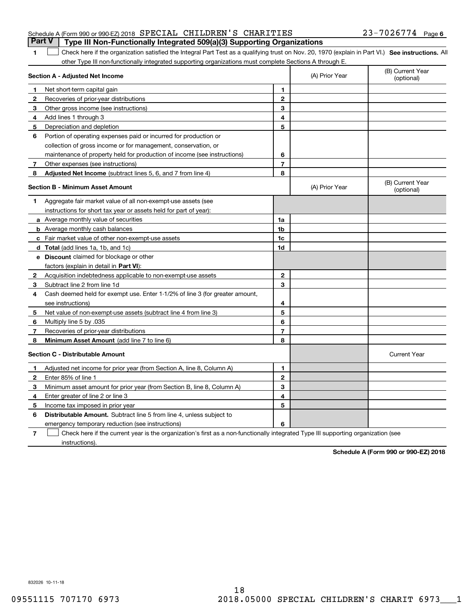1 Check here if the organization satisfied the Integral Part Test as a qualifying trust on Nov. 20, 1970 (explain in Part VI.) See instructions. All other Type III non-functionally integrated supporting organizations must complete Sections A through E.

|              | Section A - Adjusted Net Income                                                                                                   |                | (A) Prior Year | (B) Current Year<br>(optional) |
|--------------|-----------------------------------------------------------------------------------------------------------------------------------|----------------|----------------|--------------------------------|
| 1.           | Net short-term capital gain                                                                                                       | 1              |                |                                |
| $\mathbf{2}$ | Recoveries of prior-year distributions                                                                                            | $\overline{2}$ |                |                                |
| 3            | Other gross income (see instructions)                                                                                             | 3              |                |                                |
| 4            | Add lines 1 through 3                                                                                                             | 4              |                |                                |
| 5            | Depreciation and depletion                                                                                                        | 5              |                |                                |
| 6            | Portion of operating expenses paid or incurred for production or                                                                  |                |                |                                |
|              | collection of gross income or for management, conservation, or                                                                    |                |                |                                |
|              | maintenance of property held for production of income (see instructions)                                                          | 6              |                |                                |
| 7            | Other expenses (see instructions)                                                                                                 | 7              |                |                                |
| 8            | <b>Adjusted Net Income</b> (subtract lines 5, 6, and 7 from line 4)                                                               | 8              |                |                                |
|              | <b>Section B - Minimum Asset Amount</b>                                                                                           |                | (A) Prior Year | (B) Current Year<br>(optional) |
| 1            | Aggregate fair market value of all non-exempt-use assets (see                                                                     |                |                |                                |
|              | instructions for short tax year or assets held for part of year):                                                                 |                |                |                                |
|              | a Average monthly value of securities                                                                                             | 1a             |                |                                |
|              | <b>b</b> Average monthly cash balances                                                                                            | 1b             |                |                                |
|              | c Fair market value of other non-exempt-use assets                                                                                | 1c             |                |                                |
|              | d Total (add lines 1a, 1b, and 1c)                                                                                                | 1d             |                |                                |
|              | <b>e</b> Discount claimed for blockage or other                                                                                   |                |                |                                |
|              | factors (explain in detail in Part VI):                                                                                           |                |                |                                |
| 2            | Acquisition indebtedness applicable to non-exempt-use assets                                                                      | $\mathbf 2$    |                |                                |
| 3            | Subtract line 2 from line 1d                                                                                                      | 3              |                |                                |
| 4            | Cash deemed held for exempt use. Enter 1-1/2% of line 3 (for greater amount,                                                      |                |                |                                |
|              | see instructions)                                                                                                                 | 4              |                |                                |
| 5            | Net value of non-exempt-use assets (subtract line 4 from line 3)                                                                  | 5              |                |                                |
| 6            | Multiply line 5 by .035                                                                                                           | 6              |                |                                |
| 7            | Recoveries of prior-year distributions                                                                                            | $\overline{7}$ |                |                                |
| 8            | Minimum Asset Amount (add line 7 to line 6)                                                                                       | 8              |                |                                |
|              | <b>Section C - Distributable Amount</b>                                                                                           |                |                | <b>Current Year</b>            |
| 1            | Adjusted net income for prior year (from Section A, line 8, Column A)                                                             | $\mathbf{1}$   |                |                                |
| 2            | Enter 85% of line 1                                                                                                               | $\overline{2}$ |                |                                |
| 3            | Minimum asset amount for prior year (from Section B, line 8, Column A)                                                            | 3              |                |                                |
| 4            | Enter greater of line 2 or line 3                                                                                                 | 4              |                |                                |
| 5            | Income tax imposed in prior year                                                                                                  | 5              |                |                                |
| 6            | <b>Distributable Amount.</b> Subtract line 5 from line 4, unless subject to                                                       |                |                |                                |
|              | emergency temporary reduction (see instructions)                                                                                  | 6              |                |                                |
| 7            | Check here if the current year is the organization's first as a non-functionally integrated Type III supporting organization (see |                |                |                                |

instructions).

**1**

**Schedule A (Form 990 or 990-EZ) 2018**

832026 10-11-18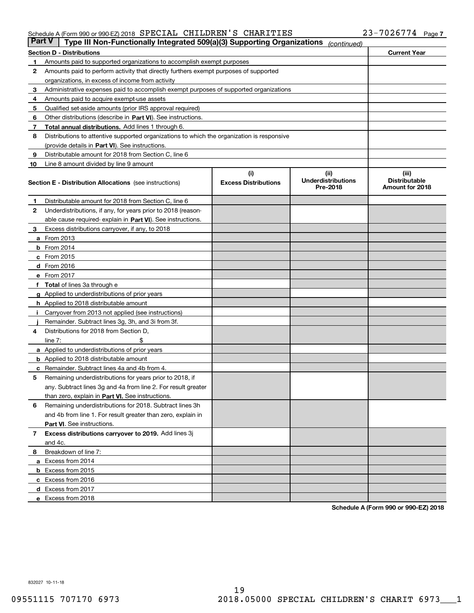### Schedule A (Form 990 or 990-EZ) 2018 Page SPECIAL CHILDREN'S CHARITIES 23-7026774

| <b>Part V</b> | Type III Non-Functionally Integrated 509(a)(3) Supporting Organizations                    |                             | (continued)                           |                                         |  |  |  |  |  |
|---------------|--------------------------------------------------------------------------------------------|-----------------------------|---------------------------------------|-----------------------------------------|--|--|--|--|--|
|               | <b>Section D - Distributions</b>                                                           |                             |                                       | <b>Current Year</b>                     |  |  |  |  |  |
| 1             | Amounts paid to supported organizations to accomplish exempt purposes                      |                             |                                       |                                         |  |  |  |  |  |
| 2             | Amounts paid to perform activity that directly furthers exempt purposes of supported       |                             |                                       |                                         |  |  |  |  |  |
|               | organizations, in excess of income from activity                                           |                             |                                       |                                         |  |  |  |  |  |
| 3             | Administrative expenses paid to accomplish exempt purposes of supported organizations      |                             |                                       |                                         |  |  |  |  |  |
| 4             | Amounts paid to acquire exempt-use assets                                                  |                             |                                       |                                         |  |  |  |  |  |
| 5             | Qualified set-aside amounts (prior IRS approval required)                                  |                             |                                       |                                         |  |  |  |  |  |
| 6             | Other distributions (describe in Part VI). See instructions.                               |                             |                                       |                                         |  |  |  |  |  |
| 7             | <b>Total annual distributions.</b> Add lines 1 through 6.                                  |                             |                                       |                                         |  |  |  |  |  |
| 8             | Distributions to attentive supported organizations to which the organization is responsive |                             |                                       |                                         |  |  |  |  |  |
|               | (provide details in Part VI). See instructions.                                            |                             |                                       |                                         |  |  |  |  |  |
| 9             | Distributable amount for 2018 from Section C, line 6                                       |                             |                                       |                                         |  |  |  |  |  |
| 10            | Line 8 amount divided by line 9 amount                                                     |                             |                                       |                                         |  |  |  |  |  |
|               |                                                                                            | (i)                         | (iii)                                 | (iii)                                   |  |  |  |  |  |
|               | <b>Section E - Distribution Allocations</b> (see instructions)                             | <b>Excess Distributions</b> | <b>Underdistributions</b><br>Pre-2018 | <b>Distributable</b><br>Amount for 2018 |  |  |  |  |  |
| 1             | Distributable amount for 2018 from Section C, line 6                                       |                             |                                       |                                         |  |  |  |  |  |
| 2             | Underdistributions, if any, for years prior to 2018 (reason-                               |                             |                                       |                                         |  |  |  |  |  |
|               | able cause required- explain in Part VI). See instructions.                                |                             |                                       |                                         |  |  |  |  |  |
| З             | Excess distributions carryover, if any, to 2018                                            |                             |                                       |                                         |  |  |  |  |  |
|               | <b>a</b> From 2013                                                                         |                             |                                       |                                         |  |  |  |  |  |
|               | <b>b</b> From 2014                                                                         |                             |                                       |                                         |  |  |  |  |  |
|               | $c$ From 2015                                                                              |                             |                                       |                                         |  |  |  |  |  |
|               | d From 2016                                                                                |                             |                                       |                                         |  |  |  |  |  |
|               | e From 2017                                                                                |                             |                                       |                                         |  |  |  |  |  |
|               | Total of lines 3a through e                                                                |                             |                                       |                                         |  |  |  |  |  |
| g             | Applied to underdistributions of prior years                                               |                             |                                       |                                         |  |  |  |  |  |
|               | <b>h</b> Applied to 2018 distributable amount                                              |                             |                                       |                                         |  |  |  |  |  |
|               | Carryover from 2013 not applied (see instructions)                                         |                             |                                       |                                         |  |  |  |  |  |
|               | Remainder. Subtract lines 3g, 3h, and 3i from 3f.                                          |                             |                                       |                                         |  |  |  |  |  |
| 4             | Distributions for 2018 from Section D,                                                     |                             |                                       |                                         |  |  |  |  |  |
|               | line $7:$                                                                                  |                             |                                       |                                         |  |  |  |  |  |
|               | <b>a</b> Applied to underdistributions of prior years                                      |                             |                                       |                                         |  |  |  |  |  |
|               | <b>b</b> Applied to 2018 distributable amount                                              |                             |                                       |                                         |  |  |  |  |  |
|               | c Remainder. Subtract lines 4a and 4b from 4.                                              |                             |                                       |                                         |  |  |  |  |  |
| 5             | Remaining underdistributions for years prior to 2018, if                                   |                             |                                       |                                         |  |  |  |  |  |
|               | any. Subtract lines 3g and 4a from line 2. For result greater                              |                             |                                       |                                         |  |  |  |  |  |
|               | than zero, explain in Part VI. See instructions.                                           |                             |                                       |                                         |  |  |  |  |  |
| 6             | Remaining underdistributions for 2018. Subtract lines 3h                                   |                             |                                       |                                         |  |  |  |  |  |
|               | and 4b from line 1. For result greater than zero, explain in                               |                             |                                       |                                         |  |  |  |  |  |
|               | Part VI. See instructions.                                                                 |                             |                                       |                                         |  |  |  |  |  |
| 7             | Excess distributions carryover to 2019. Add lines 3j                                       |                             |                                       |                                         |  |  |  |  |  |
|               | and 4c.                                                                                    |                             |                                       |                                         |  |  |  |  |  |
| 8             | Breakdown of line 7:                                                                       |                             |                                       |                                         |  |  |  |  |  |
|               | a Excess from 2014                                                                         |                             |                                       |                                         |  |  |  |  |  |
|               | <b>b</b> Excess from 2015                                                                  |                             |                                       |                                         |  |  |  |  |  |
|               | c Excess from 2016                                                                         |                             |                                       |                                         |  |  |  |  |  |
|               | d Excess from 2017                                                                         |                             |                                       |                                         |  |  |  |  |  |
|               | e Excess from 2018                                                                         |                             |                                       |                                         |  |  |  |  |  |

**Schedule A (Form 990 or 990-EZ) 2018**

832027 10-11-18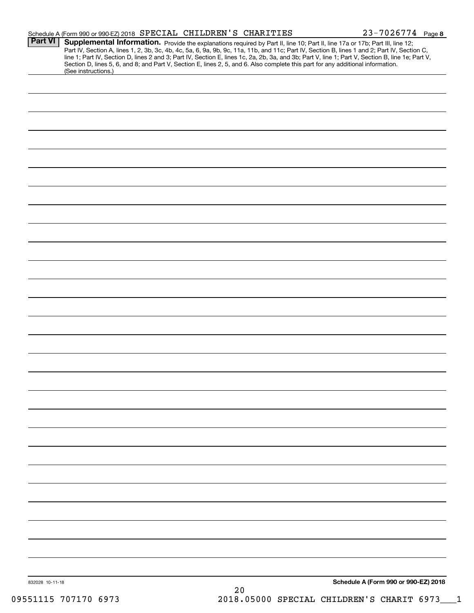|                 | Schedule A (Form 990 or 990-EZ) 2018 SPECIAL CHILDREN'S CHARITIES                                                                                                                                                                                                                                                                                                                                                                                                                                                                                                    |     | $23 - 7026774$ Page 8                |
|-----------------|----------------------------------------------------------------------------------------------------------------------------------------------------------------------------------------------------------------------------------------------------------------------------------------------------------------------------------------------------------------------------------------------------------------------------------------------------------------------------------------------------------------------------------------------------------------------|-----|--------------------------------------|
| <b>Part VI</b>  | Supplemental Information. Provide the explanations required by Part II, line 10; Part II, line 17a or 17b; Part III, line 12;<br>Part IV, Section A, lines 1, 2, 3b, 3c, 4b, 4c, 5a, 6, 9a, 9b, 9c, 11a, 11b, and 11c; Part IV, Section B, lines 1 and 2; Part IV, Section C,<br>line 1; Part IV, Section D, lines 2 and 3; Part IV, Section E, lines 1c, 2a, 2b, 3a, and 3b; Part V, line 1; Part V, Section B, line 1e; Part V,<br>Section D, lines 5, 6, and 8; and Part V, Section E, lines 2, 5, and 6. Also complete this part for any additional information. |     |                                      |
|                 | (See instructions.)                                                                                                                                                                                                                                                                                                                                                                                                                                                                                                                                                  |     |                                      |
|                 |                                                                                                                                                                                                                                                                                                                                                                                                                                                                                                                                                                      |     |                                      |
|                 |                                                                                                                                                                                                                                                                                                                                                                                                                                                                                                                                                                      |     |                                      |
|                 |                                                                                                                                                                                                                                                                                                                                                                                                                                                                                                                                                                      |     |                                      |
|                 |                                                                                                                                                                                                                                                                                                                                                                                                                                                                                                                                                                      |     |                                      |
|                 |                                                                                                                                                                                                                                                                                                                                                                                                                                                                                                                                                                      |     |                                      |
|                 |                                                                                                                                                                                                                                                                                                                                                                                                                                                                                                                                                                      |     |                                      |
|                 |                                                                                                                                                                                                                                                                                                                                                                                                                                                                                                                                                                      |     |                                      |
|                 |                                                                                                                                                                                                                                                                                                                                                                                                                                                                                                                                                                      |     |                                      |
|                 |                                                                                                                                                                                                                                                                                                                                                                                                                                                                                                                                                                      |     |                                      |
|                 |                                                                                                                                                                                                                                                                                                                                                                                                                                                                                                                                                                      |     |                                      |
|                 |                                                                                                                                                                                                                                                                                                                                                                                                                                                                                                                                                                      |     |                                      |
|                 |                                                                                                                                                                                                                                                                                                                                                                                                                                                                                                                                                                      |     |                                      |
|                 |                                                                                                                                                                                                                                                                                                                                                                                                                                                                                                                                                                      |     |                                      |
|                 |                                                                                                                                                                                                                                                                                                                                                                                                                                                                                                                                                                      |     |                                      |
|                 |                                                                                                                                                                                                                                                                                                                                                                                                                                                                                                                                                                      |     |                                      |
|                 |                                                                                                                                                                                                                                                                                                                                                                                                                                                                                                                                                                      |     |                                      |
|                 |                                                                                                                                                                                                                                                                                                                                                                                                                                                                                                                                                                      |     |                                      |
|                 |                                                                                                                                                                                                                                                                                                                                                                                                                                                                                                                                                                      |     |                                      |
|                 |                                                                                                                                                                                                                                                                                                                                                                                                                                                                                                                                                                      |     |                                      |
|                 |                                                                                                                                                                                                                                                                                                                                                                                                                                                                                                                                                                      |     |                                      |
|                 |                                                                                                                                                                                                                                                                                                                                                                                                                                                                                                                                                                      |     |                                      |
|                 |                                                                                                                                                                                                                                                                                                                                                                                                                                                                                                                                                                      |     |                                      |
|                 |                                                                                                                                                                                                                                                                                                                                                                                                                                                                                                                                                                      |     |                                      |
|                 |                                                                                                                                                                                                                                                                                                                                                                                                                                                                                                                                                                      |     |                                      |
|                 |                                                                                                                                                                                                                                                                                                                                                                                                                                                                                                                                                                      |     |                                      |
|                 |                                                                                                                                                                                                                                                                                                                                                                                                                                                                                                                                                                      |     |                                      |
|                 |                                                                                                                                                                                                                                                                                                                                                                                                                                                                                                                                                                      |     |                                      |
|                 |                                                                                                                                                                                                                                                                                                                                                                                                                                                                                                                                                                      |     |                                      |
|                 |                                                                                                                                                                                                                                                                                                                                                                                                                                                                                                                                                                      |     |                                      |
|                 |                                                                                                                                                                                                                                                                                                                                                                                                                                                                                                                                                                      |     |                                      |
|                 |                                                                                                                                                                                                                                                                                                                                                                                                                                                                                                                                                                      |     |                                      |
|                 |                                                                                                                                                                                                                                                                                                                                                                                                                                                                                                                                                                      |     |                                      |
|                 |                                                                                                                                                                                                                                                                                                                                                                                                                                                                                                                                                                      |     |                                      |
|                 |                                                                                                                                                                                                                                                                                                                                                                                                                                                                                                                                                                      |     |                                      |
|                 |                                                                                                                                                                                                                                                                                                                                                                                                                                                                                                                                                                      |     |                                      |
| 832028 10-11-18 |                                                                                                                                                                                                                                                                                                                                                                                                                                                                                                                                                                      |     | Schedule A (Form 990 or 990-EZ) 2018 |
|                 |                                                                                                                                                                                                                                                                                                                                                                                                                                                                                                                                                                      | 2.0 |                                      |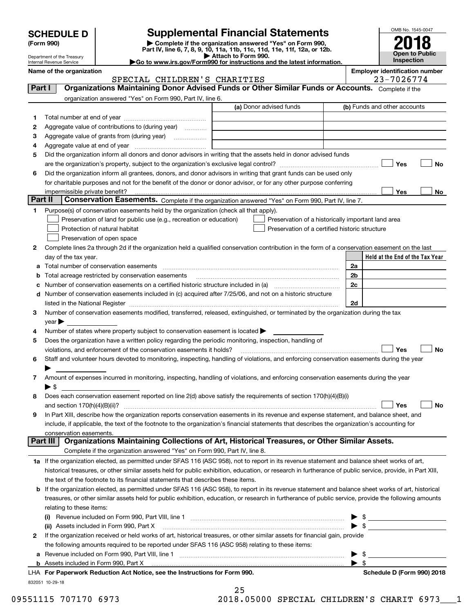| <b>SCHEDULE D</b> |  |
|-------------------|--|
|-------------------|--|

Department of the Treasury Internal Revenue Service

# **SCHEDULE D Supplemental Financial Statements**

(Form 990)<br>
Pepartment of the Treasury<br>
Department of the Treasury<br>
Department of the Treasury<br>
Department of the Treasury<br> **Co to www.irs.gov/Form990 for instructions and the latest information.**<br> **Co to www.irs.gov/Form9** 



|          | Name of the organization<br>SPECIAL CHILDREN'S CHARITIES                                                                                                  | <b>Employer identification number</b><br>23-7026774 |
|----------|-----------------------------------------------------------------------------------------------------------------------------------------------------------|-----------------------------------------------------|
| Part I   | Organizations Maintaining Donor Advised Funds or Other Similar Funds or Accounts. Complete if the                                                         |                                                     |
|          | organization answered "Yes" on Form 990, Part IV, line 6.                                                                                                 |                                                     |
|          | (a) Donor advised funds                                                                                                                                   | (b) Funds and other accounts                        |
| 1        |                                                                                                                                                           |                                                     |
| 2        | Aggregate value of contributions to (during year)                                                                                                         |                                                     |
| з        | Aggregate value of grants from (during year)                                                                                                              |                                                     |
| 4        |                                                                                                                                                           |                                                     |
| 5        | Did the organization inform all donors and donor advisors in writing that the assets held in donor advised funds                                          |                                                     |
|          |                                                                                                                                                           | Yes<br>No                                           |
| 6        | Did the organization inform all grantees, donors, and donor advisors in writing that grant funds can be used only                                         |                                                     |
|          | for charitable purposes and not for the benefit of the donor or donor advisor, or for any other purpose conferring                                        |                                                     |
|          | impermissible private benefit?                                                                                                                            | Yes<br>No                                           |
| Part II  | Conservation Easements. Complete if the organization answered "Yes" on Form 990, Part IV, line 7.                                                         |                                                     |
| 1        | Purpose(s) of conservation easements held by the organization (check all that apply).                                                                     |                                                     |
|          | Preservation of land for public use (e.g., recreation or education)<br>Preservation of a historically important land area                                 |                                                     |
|          | Protection of natural habitat<br>Preservation of a certified historic structure                                                                           |                                                     |
|          | Preservation of open space                                                                                                                                |                                                     |
| 2        | Complete lines 2a through 2d if the organization held a qualified conservation contribution in the form of a conservation easement on the last            |                                                     |
|          | day of the tax year.                                                                                                                                      | Held at the End of the Tax Year                     |
| а        | Total number of conservation easements                                                                                                                    | 2a                                                  |
| b        | Total acreage restricted by conservation easements                                                                                                        | 2 <sub>b</sub>                                      |
| c        |                                                                                                                                                           | 2c                                                  |
| d        | Number of conservation easements included in (c) acquired after 7/25/06, and not on a historic structure                                                  |                                                     |
|          |                                                                                                                                                           | 2d                                                  |
| 3        | Number of conservation easements modified, transferred, released, extinguished, or terminated by the organization during the tax                          |                                                     |
|          | $\mathsf{year}$                                                                                                                                           |                                                     |
| 4        | Number of states where property subject to conservation easement is located >                                                                             |                                                     |
| 5        | Does the organization have a written policy regarding the periodic monitoring, inspection, handling of                                                    |                                                     |
|          | violations, and enforcement of the conservation easements it holds?                                                                                       | <b>No</b><br>Yes                                    |
| 6        | Staff and volunteer hours devoted to monitoring, inspecting, handling of violations, and enforcing conservation easements during the year                 |                                                     |
|          |                                                                                                                                                           |                                                     |
| 7.       | Amount of expenses incurred in monitoring, inspecting, handling of violations, and enforcing conservation easements during the year                       |                                                     |
|          | ▶ \$                                                                                                                                                      |                                                     |
| 8        | Does each conservation easement reported on line 2(d) above satisfy the requirements of section 170(h)(4)(B)(i)                                           |                                                     |
|          |                                                                                                                                                           | Yes<br>No                                           |
|          | In Part XIII, describe how the organization reports conservation easements in its revenue and expense statement, and balance sheet, and                   |                                                     |
|          | include, if applicable, the text of the footnote to the organization's financial statements that describes the organization's accounting for              |                                                     |
|          | conservation easements.                                                                                                                                   |                                                     |
| Part III | Organizations Maintaining Collections of Art, Historical Treasures, or Other Similar Assets.                                                              |                                                     |
|          | Complete if the organization answered "Yes" on Form 990, Part IV, line 8.                                                                                 |                                                     |
|          | 1a If the organization elected, as permitted under SFAS 116 (ASC 958), not to report in its revenue statement and balance sheet works of art,             |                                                     |
|          | historical treasures, or other similar assets held for public exhibition, education, or research in furtherance of public service, provide, in Part XIII, |                                                     |
|          | the text of the footnote to its financial statements that describes these items.                                                                          |                                                     |
| b        | If the organization elected, as permitted under SFAS 116 (ASC 958), to report in its revenue statement and balance sheet works of art, historical         |                                                     |
|          | treasures, or other similar assets held for public exhibition, education, or research in furtherance of public service, provide the following amounts     |                                                     |
|          | relating to these items:                                                                                                                                  |                                                     |
|          |                                                                                                                                                           |                                                     |
|          | (ii) Assets included in Form 990, Part X                                                                                                                  | $\blacktriangleright$ \$                            |
| 2        | If the organization received or held works of art, historical treasures, or other similar assets for financial gain, provide                              |                                                     |
|          | the following amounts required to be reported under SFAS 116 (ASC 958) relating to these items:                                                           |                                                     |
|          |                                                                                                                                                           | \$                                                  |
|          | <b>b</b> Assets included in Form 990, Part X                                                                                                              | $\blacktriangleright$ s                             |
|          | LHA For Paperwork Reduction Act Notice, see the Instructions for Form 990.                                                                                | Schedule D (Form 990) 2018                          |

832051 10-29-18

25

09551115 707170 6973 2018.05000 SPECIAL CHILDREN'S CHARIT 6973 1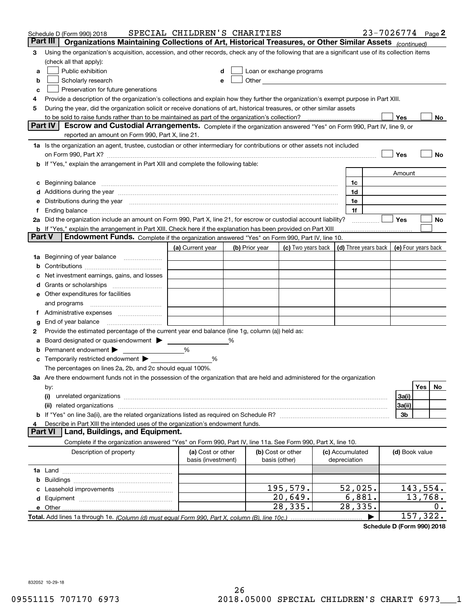|        | Schedule D (Form 990) 2018                                                                                                                                                                                                         | SPECIAL CHILDREN'S CHARITIES |   |                |                                                                                                                                                                                                                               |                 | 23-7026774 Page 2   |           |    |
|--------|------------------------------------------------------------------------------------------------------------------------------------------------------------------------------------------------------------------------------------|------------------------------|---|----------------|-------------------------------------------------------------------------------------------------------------------------------------------------------------------------------------------------------------------------------|-----------------|---------------------|-----------|----|
|        | Part III<br>Organizations Maintaining Collections of Art, Historical Treasures, or Other Similar Assets (continued)                                                                                                                |                              |   |                |                                                                                                                                                                                                                               |                 |                     |           |    |
| 3      | Using the organization's acquisition, accession, and other records, check any of the following that are a significant use of its collection items<br>(check all that apply):                                                       |                              |   |                |                                                                                                                                                                                                                               |                 |                     |           |    |
| a      | Public exhibition                                                                                                                                                                                                                  |                              |   |                | Loan or exchange programs                                                                                                                                                                                                     |                 |                     |           |    |
| b      | Scholarly research                                                                                                                                                                                                                 |                              |   |                | Other and the contract of the contract of the contract of the contract of the contract of the contract of the contract of the contract of the contract of the contract of the contract of the contract of the contract of the |                 |                     |           |    |
| с      | Preservation for future generations                                                                                                                                                                                                |                              |   |                |                                                                                                                                                                                                                               |                 |                     |           |    |
| 4      | Provide a description of the organization's collections and explain how they further the organization's exempt purpose in Part XIII.                                                                                               |                              |   |                |                                                                                                                                                                                                                               |                 |                     |           |    |
| 5      | During the year, did the organization solicit or receive donations of art, historical treasures, or other similar assets                                                                                                           |                              |   |                |                                                                                                                                                                                                                               |                 |                     |           |    |
|        | to be sold to raise funds rather than to be maintained as part of the organization's collection?                                                                                                                                   |                              |   |                |                                                                                                                                                                                                                               |                 | Yes                 |           | No |
|        | Escrow and Custodial Arrangements. Complete if the organization answered "Yes" on Form 990, Part IV, line 9, or<br><b>Part IV</b>                                                                                                  |                              |   |                |                                                                                                                                                                                                                               |                 |                     |           |    |
|        | reported an amount on Form 990, Part X, line 21.                                                                                                                                                                                   |                              |   |                |                                                                                                                                                                                                                               |                 |                     |           |    |
|        | 1a Is the organization an agent, trustee, custodian or other intermediary for contributions or other assets not included                                                                                                           |                              |   |                |                                                                                                                                                                                                                               |                 |                     |           |    |
|        | on Form 990, Part X? [11] matter contracts and contracts and contracts are contracted as a form 990, Part X?                                                                                                                       |                              |   |                |                                                                                                                                                                                                                               |                 | Yes                 |           | No |
|        | <b>b</b> If "Yes," explain the arrangement in Part XIII and complete the following table:                                                                                                                                          |                              |   |                |                                                                                                                                                                                                                               |                 |                     |           |    |
|        |                                                                                                                                                                                                                                    |                              |   |                |                                                                                                                                                                                                                               |                 | Amount              |           |    |
| c      | Beginning balance <u>manual membershare communication</u> and the set of the set of the set of the set of the set of the set of the set of the set of the set of the set of the set of the set of the set of the set of the set of |                              |   |                |                                                                                                                                                                                                                               | 1c              |                     |           |    |
|        | d Additions during the year measurement control and a few measurements of a distribution of the state of the state of the state of the state of the state of the state of the state of the state of the state of the state of      |                              |   |                |                                                                                                                                                                                                                               | 1d              |                     |           |    |
| е      | Distributions during the year manufactured and an account of the state of the state of the state of the state o                                                                                                                    |                              |   |                |                                                                                                                                                                                                                               | 1e              |                     |           |    |
|        |                                                                                                                                                                                                                                    |                              |   |                |                                                                                                                                                                                                                               | 1f              |                     |           |    |
|        | 2a Did the organization include an amount on Form 990, Part X, line 21, for escrow or custodial account liability?                                                                                                                 |                              |   |                |                                                                                                                                                                                                                               | .               | Yes                 |           | No |
| Part V | <b>b</b> If "Yes," explain the arrangement in Part XIII. Check here if the explanation has been provided on Part XIII                                                                                                              |                              |   |                |                                                                                                                                                                                                                               |                 |                     |           |    |
|        | Endowment Funds. Complete if the organization answered "Yes" on Form 990, Part IV, line 10.                                                                                                                                        |                              |   |                |                                                                                                                                                                                                                               |                 |                     |           |    |
|        |                                                                                                                                                                                                                                    | (a) Current year             |   | (b) Prior year | (c) Two years back $\vert$ (d) Three years back $\vert$                                                                                                                                                                       |                 | (e) Four years back |           |    |
|        | 1a Beginning of year balance                                                                                                                                                                                                       |                              |   |                |                                                                                                                                                                                                                               |                 |                     |           |    |
| b      |                                                                                                                                                                                                                                    |                              |   |                |                                                                                                                                                                                                                               |                 |                     |           |    |
|        | Net investment earnings, gains, and losses                                                                                                                                                                                         |                              |   |                |                                                                                                                                                                                                                               |                 |                     |           |    |
|        | e Other expenditures for facilities                                                                                                                                                                                                |                              |   |                |                                                                                                                                                                                                                               |                 |                     |           |    |
|        |                                                                                                                                                                                                                                    |                              |   |                |                                                                                                                                                                                                                               |                 |                     |           |    |
|        | and programs<br>f Administrative expenses                                                                                                                                                                                          |                              |   |                |                                                                                                                                                                                                                               |                 |                     |           |    |
| g      | End of year balance <i>manually contained</i>                                                                                                                                                                                      |                              |   |                |                                                                                                                                                                                                                               |                 |                     |           |    |
| 2      | Provide the estimated percentage of the current year end balance (line 1g, column (a)) held as:                                                                                                                                    |                              |   |                |                                                                                                                                                                                                                               |                 |                     |           |    |
| а      | Board designated or quasi-endowment                                                                                                                                                                                                |                              | % |                |                                                                                                                                                                                                                               |                 |                     |           |    |
| b      | Permanent endowment >                                                                                                                                                                                                              | %                            |   |                |                                                                                                                                                                                                                               |                 |                     |           |    |
| c      | Temporarily restricted endowment >                                                                                                                                                                                                 | %                            |   |                |                                                                                                                                                                                                                               |                 |                     |           |    |
|        | The percentages on lines 2a, 2b, and 2c should equal 100%.                                                                                                                                                                         |                              |   |                |                                                                                                                                                                                                                               |                 |                     |           |    |
|        | 3a Are there endowment funds not in the possession of the organization that are held and administered for the organization                                                                                                         |                              |   |                |                                                                                                                                                                                                                               |                 |                     |           |    |
|        | by:                                                                                                                                                                                                                                |                              |   |                |                                                                                                                                                                                                                               |                 |                     | Yes       | No |
|        | (i)                                                                                                                                                                                                                                |                              |   |                |                                                                                                                                                                                                                               |                 | 3a(i)               |           |    |
|        |                                                                                                                                                                                                                                    |                              |   |                |                                                                                                                                                                                                                               |                 | 3a(ii)              |           |    |
|        |                                                                                                                                                                                                                                    |                              |   |                |                                                                                                                                                                                                                               |                 | 3b                  |           |    |
|        | Describe in Part XIII the intended uses of the organization's endowment funds.                                                                                                                                                     |                              |   |                |                                                                                                                                                                                                                               |                 |                     |           |    |
|        | Land, Buildings, and Equipment.<br>Part VI                                                                                                                                                                                         |                              |   |                |                                                                                                                                                                                                                               |                 |                     |           |    |
|        | Complete if the organization answered "Yes" on Form 990, Part IV, line 11a. See Form 990, Part X, line 10.                                                                                                                         |                              |   |                |                                                                                                                                                                                                                               |                 |                     |           |    |
|        | Description of property                                                                                                                                                                                                            | (a) Cost or other            |   |                | (b) Cost or other                                                                                                                                                                                                             | (c) Accumulated | (d) Book value      |           |    |
|        |                                                                                                                                                                                                                                    | basis (investment)           |   |                | basis (other)                                                                                                                                                                                                                 | depreciation    |                     |           |    |
|        |                                                                                                                                                                                                                                    |                              |   |                |                                                                                                                                                                                                                               |                 |                     |           |    |
| b      |                                                                                                                                                                                                                                    |                              |   |                |                                                                                                                                                                                                                               |                 |                     |           |    |
|        |                                                                                                                                                                                                                                    |                              |   |                | 195,579.                                                                                                                                                                                                                      | 52,025.         |                     | 143,554.  |    |
|        |                                                                                                                                                                                                                                    |                              |   |                | 20,649.                                                                                                                                                                                                                       | 6,881.          |                     | 13,768.   |    |
|        |                                                                                                                                                                                                                                    |                              |   |                | 28,335.                                                                                                                                                                                                                       | 28,335.         |                     | 157, 322. | 0. |
|        |                                                                                                                                                                                                                                    |                              |   |                |                                                                                                                                                                                                                               |                 |                     |           |    |

**Schedule D (Form 990) 2018**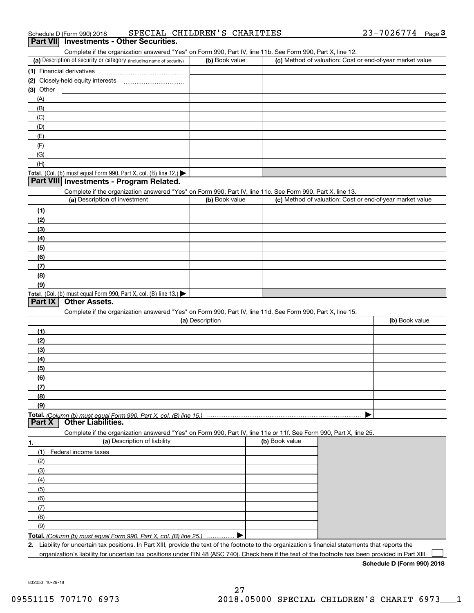| SPECIAL CHILDREN'S CHARITIES<br>Schedule D (Form 990) 2018 | 23-7026774<br>Page |  |  |  |  |  |
|------------------------------------------------------------|--------------------|--|--|--|--|--|
|------------------------------------------------------------|--------------------|--|--|--|--|--|

# **Part VII Investments - Other Securities.**

Complete if the organization answered "Yes" on Form 990, Part IV, line 11b. See Form 990, Part X, line 12.

| (a) Description of security or category (including name of security)                          | (b) Book value | (c) Method of valuation: Cost or end-of-year market value |
|-----------------------------------------------------------------------------------------------|----------------|-----------------------------------------------------------|
| (1) Financial derivatives                                                                     |                |                                                           |
| (2) Closely-held equity interests                                                             |                |                                                           |
| $(3)$ Other                                                                                   |                |                                                           |
| (A)                                                                                           |                |                                                           |
| (B)                                                                                           |                |                                                           |
| (C)                                                                                           |                |                                                           |
| (D)                                                                                           |                |                                                           |
| (E)                                                                                           |                |                                                           |
| (F)                                                                                           |                |                                                           |
| (G)                                                                                           |                |                                                           |
| (H)                                                                                           |                |                                                           |
| <b>Total.</b> (Col. (b) must equal Form 990, Part X, col. (B) line 12.) $\blacktriangleright$ |                |                                                           |

## **Part VIII Investments - Program Related.**

Complete if the organization answered "Yes" on Form 990, Part IV, line 11c. See Form 990, Part X, line 13.

| (a) Description of investment                                       | (b) Book value | (c) Method of valuation: Cost or end-of-year market value |
|---------------------------------------------------------------------|----------------|-----------------------------------------------------------|
| (1)                                                                 |                |                                                           |
| (2)                                                                 |                |                                                           |
| $\frac{1}{2}$                                                       |                |                                                           |
| (4)                                                                 |                |                                                           |
| $\frac{1}{2}$                                                       |                |                                                           |
| (6)                                                                 |                |                                                           |
| $\sqrt{(7)}$                                                        |                |                                                           |
| (8)                                                                 |                |                                                           |
| (9)                                                                 |                |                                                           |
| Total. (Col. (b) must equal Form 990, Part X, col. (B) line $13.$ ) |                |                                                           |

## **Part IX Other Assets.**

Complete if the organization answered "Yes" on Form 990, Part IV, line 11d. See Form 990, Part X, line 15.

| (a) Description | (b) Book value |
|-----------------|----------------|
| (1)             |                |
| (2)             |                |
| $\frac{1}{2}$   |                |
| (4)             |                |
| $\frac{1}{2}$   |                |
| (6)             |                |
| (7)             |                |
| (8)             |                |
| (9)             |                |
|                 |                |

### **Part X Other Liabilities.**

Complete if the organization answered "Yes" on Form 990, Part IV, line 11e or 11f. See Form 990, Part X, line 25.

| 1.  | (a) Description of liability                                       | (b) Book value |
|-----|--------------------------------------------------------------------|----------------|
| (1) | Federal income taxes                                               |                |
| (2) |                                                                    |                |
| (3) |                                                                    |                |
| (4) |                                                                    |                |
| (5) |                                                                    |                |
| (6) |                                                                    |                |
| (7) |                                                                    |                |
| (8) |                                                                    |                |
| (9) |                                                                    |                |
|     | Total. (Column (b) must equal Form 990, Part X, col. (B) line 25.) |                |

**2.** Liability for uncertain tax positions. In Part XIII, provide the text of the footnote to the organization's financial statements that reports the

organization's liability for uncertain tax positions under FIN 48 (ASC 740). Check here if the text of the footnote has been provided in Part XIII  $\mathcal{L}^{\text{max}}$ 

**Schedule D (Form 990) 2018**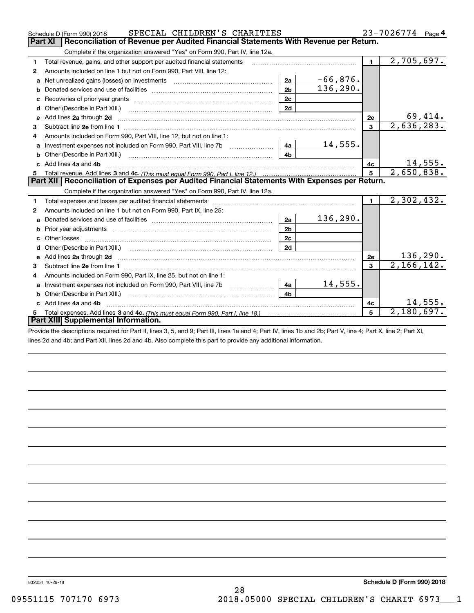|    | SPECIAL CHILDREN'S CHARITIES<br>Schedule D (Form 990) 2018                                                                                                                                                                    |                | 23-7026774<br>Page 4 |                |                              |  |  |
|----|-------------------------------------------------------------------------------------------------------------------------------------------------------------------------------------------------------------------------------|----------------|----------------------|----------------|------------------------------|--|--|
|    | Reconciliation of Revenue per Audited Financial Statements With Revenue per Return.<br>Part XI                                                                                                                                |                |                      |                |                              |  |  |
|    | Complete if the organization answered "Yes" on Form 990, Part IV, line 12a.                                                                                                                                                   |                |                      |                |                              |  |  |
| 1  | Total revenue, gains, and other support per audited financial statements                                                                                                                                                      |                |                      | $\blacksquare$ | 2,705,697.                   |  |  |
| 2  | Amounts included on line 1 but not on Form 990, Part VIII, line 12:                                                                                                                                                           |                |                      |                |                              |  |  |
| a  | Net unrealized gains (losses) on investments [11] matter contracts and the unrealized gains (losses) on investments                                                                                                           | 2a             | $-66,876.$           |                |                              |  |  |
| b  |                                                                                                                                                                                                                               | 2 <sub>b</sub> | 136, 290.            |                |                              |  |  |
|    |                                                                                                                                                                                                                               | 2c             |                      |                |                              |  |  |
| d  |                                                                                                                                                                                                                               | 2d             |                      |                |                              |  |  |
| e  | Add lines 2a through 2d                                                                                                                                                                                                       |                |                      | 2e             | 69,414.                      |  |  |
| 3  |                                                                                                                                                                                                                               |                |                      | $\overline{3}$ | $\overline{2,636,283}$       |  |  |
| 4  | Amounts included on Form 990, Part VIII, line 12, but not on line 1:                                                                                                                                                          |                |                      |                |                              |  |  |
| a  |                                                                                                                                                                                                                               | 4a             | 14,555.              |                |                              |  |  |
|    | Other (Describe in Part XIII.) <b>Construction Construction</b> Chern Construction Chern Chern Chern Chern Chern Chern                                                                                                        | 4 <sub>h</sub> |                      |                |                              |  |  |
| c. | Add lines 4a and 4b                                                                                                                                                                                                           | 4c             | 14,555.              |                |                              |  |  |
| 5  |                                                                                                                                                                                                                               | 5 <sup>5</sup> | 2,650,838.           |                |                              |  |  |
|    | Part XII   Reconciliation of Expenses per Audited Financial Statements With Expenses per Return.                                                                                                                              |                |                      |                |                              |  |  |
|    | Complete if the organization answered "Yes" on Form 990, Part IV, line 12a.                                                                                                                                                   |                |                      |                |                              |  |  |
| 1  | Total expenses and losses per audited financial statements [11, 11] manuscription control expenses and losses per audited financial statements [11] manuscription of the statements and the statements and the statements and |                |                      | $\mathbf{1}$   | 2,302,432.                   |  |  |
| 2  | Amounts included on line 1 but not on Form 990, Part IX, line 25:                                                                                                                                                             |                |                      |                |                              |  |  |
| a  |                                                                                                                                                                                                                               | 2a             | 136, 290.            |                |                              |  |  |
| b  |                                                                                                                                                                                                                               | 2 <sub>b</sub> |                      |                |                              |  |  |
| c  |                                                                                                                                                                                                                               | 2c             |                      |                |                              |  |  |
|    |                                                                                                                                                                                                                               | 2d             |                      |                |                              |  |  |
| e  |                                                                                                                                                                                                                               |                |                      | 2e             | $\frac{136,290}{2,166,142.}$ |  |  |
| з  |                                                                                                                                                                                                                               |                |                      | 3              |                              |  |  |
| 4  |                                                                                                                                                                                                                               |                |                      |                |                              |  |  |
| a  | Amounts included on Form 990, Part IX, line 25, but not on line 1:                                                                                                                                                            |                |                      |                |                              |  |  |
|    | Investment expenses not included on Form 990, Part VIII, line 7b                                                                                                                                                              | 4a             | 14,555.              |                |                              |  |  |
| b  | Other (Describe in Part XIII.)                                                                                                                                                                                                | 4 <sub>b</sub> |                      |                |                              |  |  |
|    | Add lines 4a and 4b                                                                                                                                                                                                           |                |                      | 4c             | 14,555.                      |  |  |
| 5  |                                                                                                                                                                                                                               |                |                      | 5              | 2,180,697.                   |  |  |
|    | Part XIII Supplemental Information.<br>$\mathbf{r}$ and $\mathbf{r}$ and $\mathbf{r}$ and $\mathbf{r}$ and $\mathbf{r}$ and $\mathbf{r}$ and $\mathbf{r}$ and $\mathbf{r}$ and $\mathbf{r}$                                   |                |                      |                |                              |  |  |

Provide the descriptions required for Part II, lines 3, 5, and 9; Part III, lines 1a and 4; Part IV, lines 1b and 2b; Part V, line 4; Part X, line 2; Part XI, lines 2d and 4b; and Part XII, lines 2d and 4b. Also complete this part to provide any additional information.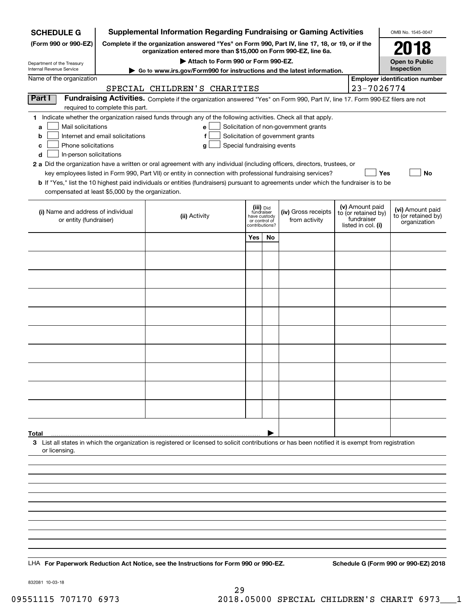| <b>Supplemental Information Regarding Fundraising or Gaming Activities</b><br><b>SCHEDULE G</b> |                                                                                                 |                                                                                                                                                    |                                                 |    |                                       | OMB No. 1545-0047 |                                        |                                       |  |
|-------------------------------------------------------------------------------------------------|-------------------------------------------------------------------------------------------------|----------------------------------------------------------------------------------------------------------------------------------------------------|-------------------------------------------------|----|---------------------------------------|-------------------|----------------------------------------|---------------------------------------|--|
| (Form 990 or 990-EZ)                                                                            | Complete if the organization answered "Yes" on Form 990, Part IV, line 17, 18, or 19, or if the |                                                                                                                                                    | 2018                                            |    |                                       |                   |                                        |                                       |  |
|                                                                                                 | organization entered more than \$15,000 on Form 990-EZ, line 6a.                                |                                                                                                                                                    | <b>Open to Public</b>                           |    |                                       |                   |                                        |                                       |  |
| Department of the Treasury<br>Internal Revenue Service                                          |                                                                                                 | Attach to Form 990 or Form 990-EZ.<br>Go to www.irs.gov/Form990 for instructions and the latest information.                                       |                                                 |    |                                       |                   |                                        | Inspection                            |  |
| Name of the organization                                                                        |                                                                                                 |                                                                                                                                                    |                                                 |    |                                       |                   |                                        | <b>Employer identification number</b> |  |
|                                                                                                 |                                                                                                 | SPECIAL CHILDREN'S CHARITIES                                                                                                                       |                                                 |    |                                       |                   | 23-7026774                             |                                       |  |
| Part I                                                                                          | required to complete this part.                                                                 | Fundraising Activities. Complete if the organization answered "Yes" on Form 990, Part IV, line 17. Form 990-EZ filers are not                      |                                                 |    |                                       |                   |                                        |                                       |  |
|                                                                                                 |                                                                                                 | 1 Indicate whether the organization raised funds through any of the following activities. Check all that apply.                                    |                                                 |    |                                       |                   |                                        |                                       |  |
| Mail solicitations<br>a                                                                         |                                                                                                 | e l                                                                                                                                                |                                                 |    | Solicitation of non-government grants |                   |                                        |                                       |  |
| b                                                                                               | Internet and email solicitations                                                                | f                                                                                                                                                  |                                                 |    | Solicitation of government grants     |                   |                                        |                                       |  |
| Phone solicitations<br>с<br>d<br>In-person solicitations                                        |                                                                                                 | Special fundraising events<br>g                                                                                                                    |                                                 |    |                                       |                   |                                        |                                       |  |
|                                                                                                 |                                                                                                 | 2 a Did the organization have a written or oral agreement with any individual (including officers, directors, trustees, or                         |                                                 |    |                                       |                   |                                        |                                       |  |
|                                                                                                 |                                                                                                 | key employees listed in Form 990, Part VII) or entity in connection with professional fundraising services?                                        |                                                 |    |                                       |                   |                                        | Yes<br>No                             |  |
|                                                                                                 |                                                                                                 | <b>b</b> If "Yes," list the 10 highest paid individuals or entities (fundraisers) pursuant to agreements under which the fundraiser is to be       |                                                 |    |                                       |                   |                                        |                                       |  |
| compensated at least \$5,000 by the organization.                                               |                                                                                                 |                                                                                                                                                    |                                                 |    |                                       |                   |                                        |                                       |  |
|                                                                                                 |                                                                                                 |                                                                                                                                                    | (iii) Did<br>fundraiser                         |    | (iv) Gross receipts                   |                   | (v) Amount paid<br>to (or retained by) | (vi) Amount paid                      |  |
| (i) Name and address of individual<br>or entity (fundraiser)                                    |                                                                                                 | (ii) Activity                                                                                                                                      | have custody<br>or control of<br>contributions? |    | from activity                         |                   | fundraiser<br>listed in col. (i)       | to (or retained by)<br>organization   |  |
|                                                                                                 |                                                                                                 |                                                                                                                                                    | Yes                                             | No |                                       |                   |                                        |                                       |  |
|                                                                                                 |                                                                                                 |                                                                                                                                                    |                                                 |    |                                       |                   |                                        |                                       |  |
|                                                                                                 |                                                                                                 |                                                                                                                                                    |                                                 |    |                                       |                   |                                        |                                       |  |
|                                                                                                 |                                                                                                 |                                                                                                                                                    |                                                 |    |                                       |                   |                                        |                                       |  |
|                                                                                                 |                                                                                                 |                                                                                                                                                    |                                                 |    |                                       |                   |                                        |                                       |  |
|                                                                                                 |                                                                                                 |                                                                                                                                                    |                                                 |    |                                       |                   |                                        |                                       |  |
|                                                                                                 |                                                                                                 |                                                                                                                                                    |                                                 |    |                                       |                   |                                        |                                       |  |
|                                                                                                 |                                                                                                 |                                                                                                                                                    |                                                 |    |                                       |                   |                                        |                                       |  |
|                                                                                                 |                                                                                                 |                                                                                                                                                    |                                                 |    |                                       |                   |                                        |                                       |  |
|                                                                                                 |                                                                                                 |                                                                                                                                                    |                                                 |    |                                       |                   |                                        |                                       |  |
|                                                                                                 |                                                                                                 |                                                                                                                                                    |                                                 |    |                                       |                   |                                        |                                       |  |
|                                                                                                 |                                                                                                 |                                                                                                                                                    |                                                 |    |                                       |                   |                                        |                                       |  |
|                                                                                                 |                                                                                                 |                                                                                                                                                    |                                                 |    |                                       |                   |                                        |                                       |  |
|                                                                                                 |                                                                                                 |                                                                                                                                                    |                                                 |    |                                       |                   |                                        |                                       |  |
|                                                                                                 |                                                                                                 |                                                                                                                                                    |                                                 |    |                                       |                   |                                        |                                       |  |
|                                                                                                 |                                                                                                 |                                                                                                                                                    |                                                 |    |                                       |                   |                                        |                                       |  |
|                                                                                                 |                                                                                                 |                                                                                                                                                    |                                                 |    |                                       |                   |                                        |                                       |  |
|                                                                                                 |                                                                                                 |                                                                                                                                                    |                                                 |    |                                       |                   |                                        |                                       |  |
| Total                                                                                           |                                                                                                 | 3 List all states in which the organization is registered or licensed to solicit contributions or has been notified it is exempt from registration |                                                 |    |                                       |                   |                                        |                                       |  |
| or licensing.                                                                                   |                                                                                                 |                                                                                                                                                    |                                                 |    |                                       |                   |                                        |                                       |  |
|                                                                                                 |                                                                                                 |                                                                                                                                                    |                                                 |    |                                       |                   |                                        |                                       |  |
|                                                                                                 |                                                                                                 |                                                                                                                                                    |                                                 |    |                                       |                   |                                        |                                       |  |
|                                                                                                 |                                                                                                 |                                                                                                                                                    |                                                 |    |                                       |                   |                                        |                                       |  |
|                                                                                                 |                                                                                                 |                                                                                                                                                    |                                                 |    |                                       |                   |                                        |                                       |  |
|                                                                                                 |                                                                                                 |                                                                                                                                                    |                                                 |    |                                       |                   |                                        |                                       |  |
|                                                                                                 |                                                                                                 |                                                                                                                                                    |                                                 |    |                                       |                   |                                        |                                       |  |
|                                                                                                 |                                                                                                 |                                                                                                                                                    |                                                 |    |                                       |                   |                                        |                                       |  |
|                                                                                                 |                                                                                                 |                                                                                                                                                    |                                                 |    |                                       |                   |                                        |                                       |  |
|                                                                                                 |                                                                                                 |                                                                                                                                                    |                                                 |    |                                       |                   |                                        |                                       |  |
|                                                                                                 |                                                                                                 | LHA For Paperwork Reduction Act Notice, see the Instructions for Form 990 or 990-EZ.                                                               |                                                 |    |                                       |                   |                                        | Schedule G (Form 990 or 990-EZ) 2018  |  |

832081 10-03-18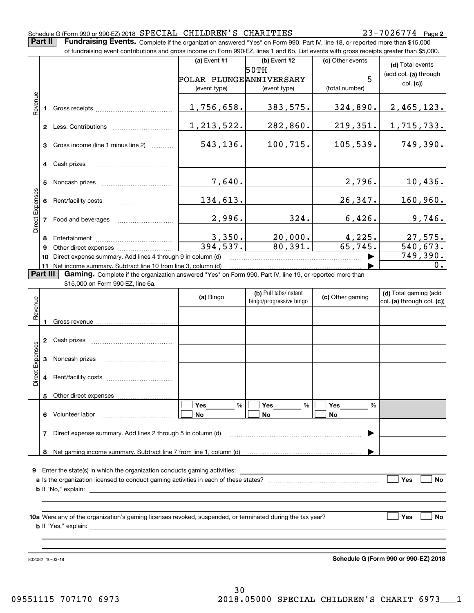### Schedule G (Form 990 or 990-EZ) 2018  ${\tt SPERCIAL}$   ${\tt CHILDREN}$  'S  ${\tt CHARITIES}$   $23-7026774$  Page

**Part II** | Fundraising Events. Complete if the organization answered "Yes" on Form 990, Part IV, line 18, or reported more than \$15,000

|                 |    | of fundraising event contributions and gross income on Form 990-EZ, lines 1 and 6b. List events with gross receipts greater than \$5,000.                                                                                                                          |                         |                         |                  |                            |
|-----------------|----|--------------------------------------------------------------------------------------------------------------------------------------------------------------------------------------------------------------------------------------------------------------------|-------------------------|-------------------------|------------------|----------------------------|
|                 |    |                                                                                                                                                                                                                                                                    | (a) Event #1            | (b) Event #2            | (c) Other events | (d) Total events           |
|                 |    |                                                                                                                                                                                                                                                                    |                         | 50TH                    |                  | (add col. (a) through      |
|                 |    |                                                                                                                                                                                                                                                                    | POLAR PLUNGEANNIVERSARY |                         | 5                | col. (c)                   |
|                 |    |                                                                                                                                                                                                                                                                    | (event type)            | (event type)            | (total number)   |                            |
|                 |    |                                                                                                                                                                                                                                                                    |                         |                         |                  |                            |
| Revenue         |    |                                                                                                                                                                                                                                                                    | 1,756,658.              | 383,575.                | 324,890.         | 2,465,123.                 |
|                 |    |                                                                                                                                                                                                                                                                    |                         |                         |                  |                            |
|                 |    |                                                                                                                                                                                                                                                                    | 1, 213, 522.            | 282,860.                | 219,351.         | 1,715,733.                 |
|                 | 3  | Gross income (line 1 minus line 2)                                                                                                                                                                                                                                 | 543,136.                | 100,715.                | 105, 539.        | 749,390.                   |
|                 |    |                                                                                                                                                                                                                                                                    |                         |                         |                  |                            |
|                 |    |                                                                                                                                                                                                                                                                    |                         |                         |                  |                            |
|                 |    |                                                                                                                                                                                                                                                                    |                         |                         |                  |                            |
|                 | 5  |                                                                                                                                                                                                                                                                    | 7,640.                  |                         | 2,796.           | 10,436.                    |
|                 |    |                                                                                                                                                                                                                                                                    |                         |                         |                  |                            |
|                 |    |                                                                                                                                                                                                                                                                    | 134,613.                |                         | 26, 347.         | 160,960.                   |
| Direct Expenses |    |                                                                                                                                                                                                                                                                    |                         |                         |                  |                            |
|                 |    | 7 Food and beverages                                                                                                                                                                                                                                               | 2,996.                  | 324.                    | 6,426.           | 9,746.                     |
|                 | 8  |                                                                                                                                                                                                                                                                    |                         | 20,000.                 | 4,225.           | 27,575.                    |
|                 | 9  |                                                                                                                                                                                                                                                                    | $\frac{3,350}{394,537}$ | 80,391.                 | 65,745.          | 540, 673.                  |
|                 | 10 | Direct expense summary. Add lines 4 through 9 in column (d)                                                                                                                                                                                                        |                         |                         |                  | 749,390.                   |
|                 |    | 0.                                                                                                                                                                                                                                                                 |                         |                         |                  |                            |
| Part III        |    | 11 Net income summary. Subtract line 10 from line 3, column (d)<br>Gaming. Complete if the organization answered "Yes" on Form 990, Part IV, line 19, or reported more than                                                                                        |                         |                         |                  |                            |
|                 |    | \$15,000 on Form 990-EZ, line 6a.                                                                                                                                                                                                                                  |                         |                         |                  |                            |
|                 |    |                                                                                                                                                                                                                                                                    | (a) Bingo               | (b) Pull tabs/instant   | (c) Other gaming | (d) Total gaming (add      |
| Revenue         |    |                                                                                                                                                                                                                                                                    |                         | bingo/progressive bingo |                  | col. (a) through col. (c)) |
|                 |    |                                                                                                                                                                                                                                                                    |                         |                         |                  |                            |
|                 |    |                                                                                                                                                                                                                                                                    |                         |                         |                  |                            |
|                 |    |                                                                                                                                                                                                                                                                    |                         |                         |                  |                            |
|                 |    |                                                                                                                                                                                                                                                                    |                         |                         |                  |                            |
| Expenses        |    |                                                                                                                                                                                                                                                                    |                         |                         |                  |                            |
|                 |    |                                                                                                                                                                                                                                                                    |                         |                         |                  |                            |
| Direct          |    |                                                                                                                                                                                                                                                                    |                         |                         |                  |                            |
|                 |    |                                                                                                                                                                                                                                                                    |                         |                         |                  |                            |
|                 | 5  | Other direct expenses                                                                                                                                                                                                                                              |                         |                         |                  |                            |
|                 |    |                                                                                                                                                                                                                                                                    | $\%$<br>Yes             | %<br>Yes                | Yes<br>%         |                            |
|                 |    | 6 Volunteer labor                                                                                                                                                                                                                                                  | No                      | No                      | No               |                            |
|                 | 7  | Direct expense summary. Add lines 2 through 5 in column (d)                                                                                                                                                                                                        |                         |                         |                  |                            |
|                 |    |                                                                                                                                                                                                                                                                    |                         |                         |                  |                            |
|                 |    |                                                                                                                                                                                                                                                                    |                         |                         |                  |                            |
|                 |    |                                                                                                                                                                                                                                                                    |                         |                         |                  |                            |
|                 |    |                                                                                                                                                                                                                                                                    |                         |                         |                  |                            |
|                 |    |                                                                                                                                                                                                                                                                    |                         |                         |                  | Yes<br>No                  |
|                 |    | <b>b</b> If "No," explain:<br><u>state and the state of the state of the state of the state of the state of the state of the state of the state of the state of the state of the state of the state of the state of the state of the state of the state of the</u> |                         |                         |                  |                            |
|                 |    |                                                                                                                                                                                                                                                                    |                         |                         |                  |                            |
|                 |    |                                                                                                                                                                                                                                                                    |                         |                         |                  | Yes<br>No                  |
|                 |    |                                                                                                                                                                                                                                                                    |                         |                         |                  |                            |
|                 |    |                                                                                                                                                                                                                                                                    |                         |                         |                  |                            |

832082 10-03-18

**Schedule G (Form 990 or 990-EZ) 2018**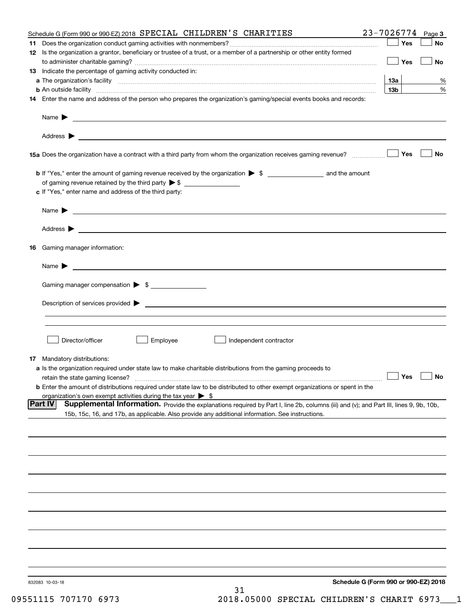|    | Schedule G (Form 990 or 990-EZ) 2018 SPECIAL CHILDREN'S CHARITIES                                                                                                                                                                                            | 23-7026774                           |     | Page 3    |
|----|--------------------------------------------------------------------------------------------------------------------------------------------------------------------------------------------------------------------------------------------------------------|--------------------------------------|-----|-----------|
|    |                                                                                                                                                                                                                                                              |                                      | Yes | No        |
|    | 12 Is the organization a grantor, beneficiary or trustee of a trust, or a member of a partnership or other entity formed                                                                                                                                     |                                      | Yes | No        |
|    | 13 Indicate the percentage of gaming activity conducted in:                                                                                                                                                                                                  |                                      |     |           |
|    |                                                                                                                                                                                                                                                              | 13а                                  |     | %         |
|    |                                                                                                                                                                                                                                                              | 13 <sub>b</sub>                      |     | %         |
|    | 14 Enter the name and address of the person who prepares the organization's gaming/special events books and records:                                                                                                                                         |                                      |     |           |
|    |                                                                                                                                                                                                                                                              |                                      |     |           |
|    |                                                                                                                                                                                                                                                              |                                      |     |           |
|    |                                                                                                                                                                                                                                                              |                                      | Yes | No        |
|    |                                                                                                                                                                                                                                                              |                                      |     |           |
|    | of gaming revenue retained by the third party $\triangleright$ \$                                                                                                                                                                                            |                                      |     |           |
|    | c If "Yes," enter name and address of the third party:                                                                                                                                                                                                       |                                      |     |           |
|    | Name $\blacktriangleright$<br><u> 1989 - Johann Barbara, marka a shekara tsa na shekara tsa na shekara tsa na shekara tsa na shekara tsa na sh</u>                                                                                                           |                                      |     |           |
|    |                                                                                                                                                                                                                                                              |                                      |     |           |
| 16 | Gaming manager information:                                                                                                                                                                                                                                  |                                      |     |           |
|    | $Name \rightarrow$                                                                                                                                                                                                                                           |                                      |     |           |
|    |                                                                                                                                                                                                                                                              |                                      |     |           |
|    | Gaming manager compensation > \$                                                                                                                                                                                                                             |                                      |     |           |
|    | Description of services provided <b>by example 200 and 200 and 200 and 200 and 200 and 200 and 200 and 200 and 200 and 200 and 200 and 200 and 200 and 200 and 200 and 200 and 200 and 200 and 200 and 200 and 200 and 200 and 2</b>                         |                                      |     |           |
|    |                                                                                                                                                                                                                                                              |                                      |     |           |
|    | Director/officer<br>Employee<br>Independent contractor                                                                                                                                                                                                       |                                      |     |           |
|    |                                                                                                                                                                                                                                                              |                                      |     |           |
|    | <b>17</b> Mandatory distributions:<br>a Is the organization required under state law to make charitable distributions from the gaming proceeds to                                                                                                            |                                      |     |           |
|    | retain the state gaming license?                                                                                                                                                                                                                             | $\Box$ Yes                           |     | $\Box$ No |
|    | <b>b</b> Enter the amount of distributions required under state law to be distributed to other exempt organizations or spent in the                                                                                                                          |                                      |     |           |
|    | organization's own exempt activities during the tax year $\triangleright$ \$                                                                                                                                                                                 |                                      |     |           |
|    | <b>Part IV</b><br>Supplemental Information. Provide the explanations required by Part I, line 2b, columns (iii) and (v); and Part III, lines 9, 9b, 10b,<br>15b, 15c, 16, and 17b, as applicable. Also provide any additional information. See instructions. |                                      |     |           |
|    |                                                                                                                                                                                                                                                              |                                      |     |           |
|    |                                                                                                                                                                                                                                                              |                                      |     |           |
|    |                                                                                                                                                                                                                                                              |                                      |     |           |
|    |                                                                                                                                                                                                                                                              |                                      |     |           |
|    |                                                                                                                                                                                                                                                              |                                      |     |           |
|    |                                                                                                                                                                                                                                                              |                                      |     |           |
|    |                                                                                                                                                                                                                                                              |                                      |     |           |
|    |                                                                                                                                                                                                                                                              |                                      |     |           |
|    |                                                                                                                                                                                                                                                              |                                      |     |           |
|    |                                                                                                                                                                                                                                                              |                                      |     |           |
|    | 832083 10-03-18<br>31                                                                                                                                                                                                                                        | Schedule G (Form 990 or 990-EZ) 2018 |     |           |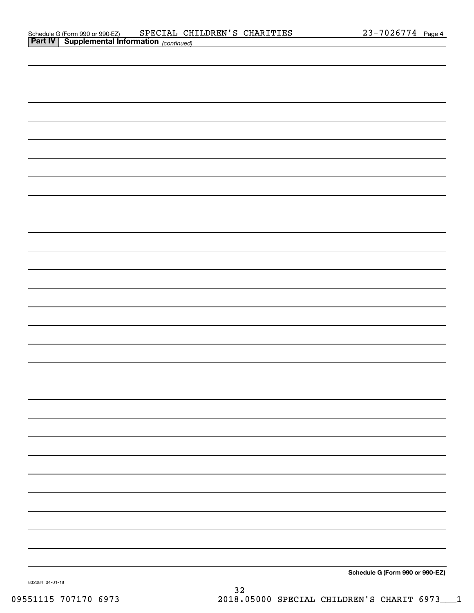**Schedule G (Form 990 or 990-EZ)**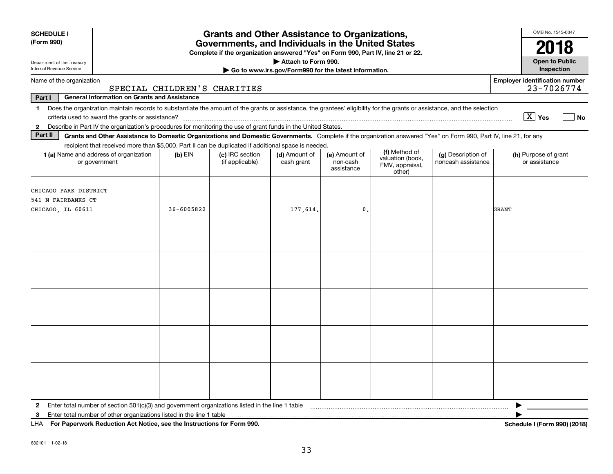| <b>SCHEDULE I</b>                                                                                                                                                                                                  |                                                                                                            | <b>Grants and Other Assistance to Organizations,</b>                             |                                                                              |                                         |                                                                |                                          | OMB No. 1545-0047                     |
|--------------------------------------------------------------------------------------------------------------------------------------------------------------------------------------------------------------------|------------------------------------------------------------------------------------------------------------|----------------------------------------------------------------------------------|------------------------------------------------------------------------------|-----------------------------------------|----------------------------------------------------------------|------------------------------------------|---------------------------------------|
| (Form 990)                                                                                                                                                                                                         |                                                                                                            | Governments, and Individuals in the United States                                |                                                                              |                                         |                                                                |                                          | 2018                                  |
| Department of the Treasury<br>Internal Revenue Service                                                                                                                                                             |                                                                                                            | Complete if the organization answered "Yes" on Form 990, Part IV, line 21 or 22. | Attach to Form 990.<br>Go to www.irs.gov/Form990 for the latest information. |                                         |                                                                |                                          | <b>Open to Public</b><br>Inspection   |
| Name of the organization                                                                                                                                                                                           |                                                                                                            |                                                                                  |                                                                              |                                         |                                                                |                                          | <b>Employer identification number</b> |
|                                                                                                                                                                                                                    | SPECIAL CHILDREN'S CHARITIES                                                                               |                                                                                  |                                                                              |                                         |                                                                |                                          | 23-7026774                            |
| <b>General Information on Grants and Assistance</b><br>Part I                                                                                                                                                      |                                                                                                            |                                                                                  |                                                                              |                                         |                                                                |                                          |                                       |
| Does the organization maintain records to substantiate the amount of the grants or assistance, the grantees' eligibility for the grants or assistance, and the selection<br>$\mathbf{1}$<br>$\boxed{\text{X}}$ Yes |                                                                                                            |                                                                                  |                                                                              |                                         |                                                                |                                          |                                       |
| Describe in Part IV the organization's procedures for monitoring the use of grant funds in the United States.<br>$\mathbf{2}$<br>Part II                                                                           |                                                                                                            |                                                                                  |                                                                              |                                         |                                                                |                                          |                                       |
| Grants and Other Assistance to Domestic Organizations and Domestic Governments. Complete if the organization answered "Yes" on Form 990, Part IV, line 21, for any                                                 |                                                                                                            |                                                                                  |                                                                              |                                         |                                                                |                                          |                                       |
| recipient that received more than \$5,000. Part II can be duplicated if additional space is needed.<br>1 (a) Name and address of organization<br>or government                                                     | $(b)$ EIN                                                                                                  | (c) IRC section<br>(if applicable)                                               | (d) Amount of<br>cash grant                                                  | (e) Amount of<br>non-cash<br>assistance | (f) Method of<br>valuation (book,<br>FMV, appraisal,<br>other) | (g) Description of<br>noncash assistance | (h) Purpose of grant<br>or assistance |
| CHICAGO PARK DISTRICT<br>541 N FAIRBANKS CT                                                                                                                                                                        | 36-6005822                                                                                                 |                                                                                  |                                                                              |                                         |                                                                |                                          |                                       |
| CHICAGO, IL 60611                                                                                                                                                                                                  |                                                                                                            |                                                                                  | 177,614.                                                                     | $\mathbf{0}$                            |                                                                |                                          | GRANT                                 |
|                                                                                                                                                                                                                    |                                                                                                            |                                                                                  |                                                                              |                                         |                                                                |                                          |                                       |
|                                                                                                                                                                                                                    |                                                                                                            |                                                                                  |                                                                              |                                         |                                                                |                                          |                                       |
|                                                                                                                                                                                                                    |                                                                                                            |                                                                                  |                                                                              |                                         |                                                                |                                          |                                       |
|                                                                                                                                                                                                                    |                                                                                                            |                                                                                  |                                                                              |                                         |                                                                |                                          |                                       |
|                                                                                                                                                                                                                    |                                                                                                            |                                                                                  |                                                                              |                                         |                                                                |                                          |                                       |
| Enter total number of section $501(c)(3)$ and government organizations listed in the line 1 table<br>$\mathbf{2}$<br>Enter total number of other organizations listed in the line 1 table<br>3                     |                                                                                                            |                                                                                  |                                                                              |                                         |                                                                |                                          |                                       |
|                                                                                                                                                                                                                    | LHA For Paperwork Reduction Act Notice, see the Instructions for Form 990.<br>Schedule I (Form 990) (2018) |                                                                                  |                                                                              |                                         |                                                                |                                          |                                       |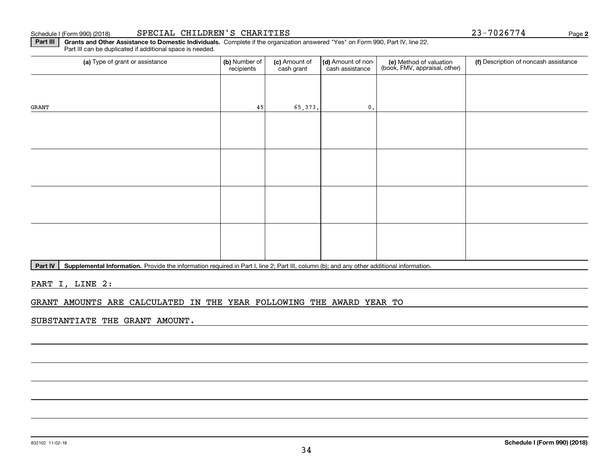### Schedule I (Form 990) (2018) SPECIAL CHILDREN'S CHARITIES Page

a) Type of grant or assistance **(b)** Number of **(c)** Amount of **(d)** Amount of non-**(e)** Method of valuation (f)<br>cash are continuous cash are cash assistance (book, FMV, appraisal, other) Part III can be duplicated if additional space is needed. (a) Type of grant or assistance (b) Number of recipients(c) Amount of cash grant (d) Amount of noncash assistance (f) Description of noncash assistance GRANT45 65,373. 0.

Part IV | Supplemental Information. Provide the information required in Part I, line 2; Part III, column (b); and any other additional information.

**Part III** | Grants and Other Assistance to Domestic Individuals. Complete if the organization answered "Yes" on Form 990, Part IV, line 22.

PART I, LINE 2:

GRANT AMOUNTS ARE CALCULATED IN THE YEAR FOLLOWING THE AWARD YEAR TO

SUBSTANTIATE THE GRANT AMOUNT.

**2**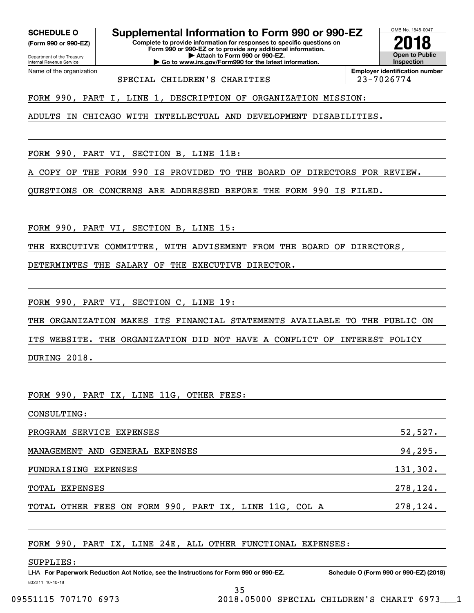Department of the Treasury **(Form 990 or 990-EZ)**

**SCHEDULE O Supplemental Information to Form 990 or 990-EZ**

**Complete to provide information for responses to specific questions on Form 990 or 990-EZ or to provide any additional information. | Attach to Form 990 or 990-EZ. | Go to www.irs.gov/Form990 for the latest information.**



Internal Revenue Service Name of the organization

SPECIAL CHILDREN'S CHARITIES  $\vert$  23-7026774

**Employer identification number**

FORM 990, PART I, LINE 1, DESCRIPTION OF ORGANIZATION MISSION:

ADULTS IN CHICAGO WITH INTELLECTUAL AND DEVELOPMENT DISABILITIES.

FORM 990, PART VI, SECTION B, LINE 11B:

A COPY OF THE FORM 990 IS PROVIDED TO THE BOARD OF DIRECTORS FOR REVIEW.

QUESTIONS OR CONCERNS ARE ADDRESSED BEFORE THE FORM 990 IS FILED.

FORM 990, PART VI, SECTION B, LINE 15:

THE EXECUTIVE COMMITTEE, WITH ADVISEMENT FROM THE BOARD OF DIRECTORS,

DETERMINTES THE SALARY OF THE EXECUTIVE DIRECTOR.

FORM 990, PART VI, SECTION C, LINE 19:

THE ORGANIZATION MAKES ITS FINANCIAL STATEMENTS AVAILABLE TO THE PUBLIC ON

ITS WEBSITE. THE ORGANIZATION DID NOT HAVE A CONFLICT OF INTEREST POLICY

DURING 2018.

FORM 990, PART IX, LINE 11G, OTHER FEES:

CONSULTING:

| PROGRAM SERVICE EXPENSES                               | 52,527.  |
|--------------------------------------------------------|----------|
| MANAGEMENT AND GENERAL EXPENSES                        | 94, 295. |
| FUNDRAISING EXPENSES                                   | 131,302. |
| TOTAL EXPENSES                                         | 278,124. |
| TOTAL OTHER FEES ON FORM 990, PART IX, LINE 11G, COL A | 278,124. |

FORM 990, PART IX, LINE 24E, ALL OTHER FUNCTIONAL EXPENSES:

SUPPLIES:

832211 10-10-18 LHA For Paperwork Reduction Act Notice, see the Instructions for Form 990 or 990-EZ. Schedule O (Form 990 or 990-EZ) (2018)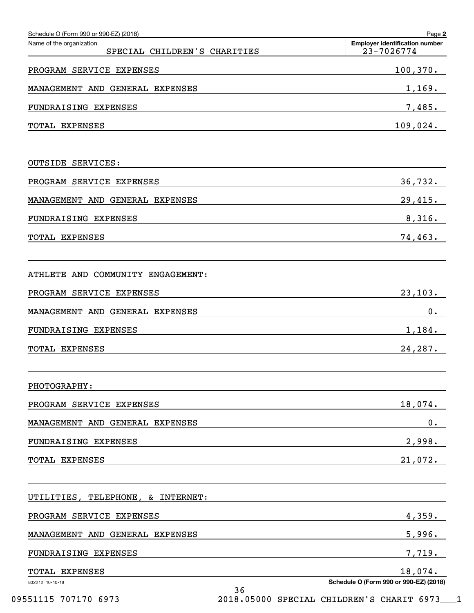| Schedule O (Form 990 or 990-EZ) (2018)                   | Page 2                                              |
|----------------------------------------------------------|-----------------------------------------------------|
| Name of the organization<br>SPECIAL CHILDREN'S CHARITIES | <b>Employer identification number</b><br>23-7026774 |
| PROGRAM SERVICE EXPENSES                                 | 100, 370.                                           |
| MANAGEMENT AND GENERAL EXPENSES                          | 1,169.                                              |
| FUNDRAISING EXPENSES                                     | 7,485.                                              |
| TOTAL EXPENSES                                           | 109,024.                                            |
| <b>OUTSIDE SERVICES:</b>                                 |                                                     |
| PROGRAM SERVICE EXPENSES                                 | 36,732.                                             |
| MANAGEMENT AND GENERAL EXPENSES                          | 29,415.                                             |
| FUNDRAISING EXPENSES                                     | 8,316.                                              |
| TOTAL EXPENSES                                           | 74,463.                                             |
| ATHLETE AND COMMUNITY ENGAGEMENT:                        |                                                     |
| PROGRAM SERVICE EXPENSES                                 | 23,103.                                             |
| MANAGEMENT AND GENERAL EXPENSES                          | $0$ .                                               |
| FUNDRAISING EXPENSES                                     | 1,184.                                              |
| TOTAL EXPENSES                                           | 24,287.                                             |
| PHOTOGRAPHY:                                             |                                                     |
| PROGRAM SERVICE EXPENSES                                 | 18,074.                                             |
| MANAGEMENT AND GENERAL EXPENSES                          | $0$ .                                               |
| FUNDRAISING EXPENSES                                     | 2,998.                                              |
| TOTAL EXPENSES                                           | 21,072.                                             |
| UTILITIES, TELEPHONE, & INTERNET:                        |                                                     |
| PROGRAM SERVICE EXPENSES                                 | 4,359.                                              |
| MANAGEMENT AND GENERAL EXPENSES                          | 5,996.                                              |
| FUNDRAISING EXPENSES                                     | 7,719.                                              |
| TOTAL EXPENSES                                           | 18,074.                                             |
| 832212 10-10-18<br>36                                    | Schedule O (Form 990 or 990-EZ) (2018)              |

09551115 707170 6973 2018.05000 SPECIAL CHILDREN'S CHARIT 6973 1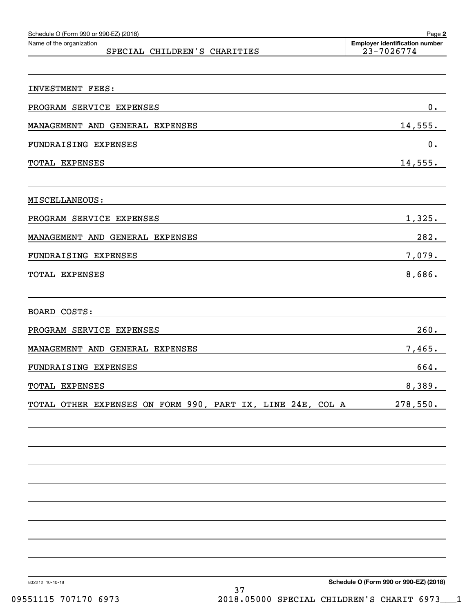| Schedule O (Form 990 or 990-EZ) (2018)<br>Name of the organization | Page 2<br><b>Employer identification number</b> |
|--------------------------------------------------------------------|-------------------------------------------------|
| SPECIAL CHILDREN'S CHARITIES                                       | 23-7026774                                      |
|                                                                    |                                                 |
| INVESTMENT FEES:                                                   |                                                 |
| PROGRAM SERVICE EXPENSES                                           | 0.                                              |
| MANAGEMENT AND GENERAL EXPENSES                                    | 14,555.                                         |
| FUNDRAISING EXPENSES                                               | 0.                                              |
| TOTAL EXPENSES                                                     | 14,555.                                         |
| MISCELLANEOUS:                                                     |                                                 |
| PROGRAM SERVICE EXPENSES                                           | 1,325.                                          |
| MANAGEMENT AND GENERAL EXPENSES                                    | 282.                                            |
| FUNDRAISING EXPENSES                                               | 7,079.                                          |
| TOTAL EXPENSES                                                     | 8,686.                                          |
| <b>BOARD COSTS:</b>                                                |                                                 |
| PROGRAM SERVICE EXPENSES                                           | 260.                                            |
| MANAGEMENT AND GENERAL EXPENSES                                    | 7,465.                                          |
| FUNDRAISING EXPENSES                                               | 664.                                            |
| TOTAL EXPENSES                                                     | 8,389.                                          |
| TOTAL OTHER EXPENSES ON FORM 990, PART IX, LINE 24E, COL A         | 278,550.                                        |
|                                                                    |                                                 |
|                                                                    |                                                 |
|                                                                    |                                                 |
|                                                                    |                                                 |
|                                                                    |                                                 |
|                                                                    |                                                 |
|                                                                    |                                                 |

832212 10-10-18

**Schedule O (Form 990 or 990-EZ) (2018)**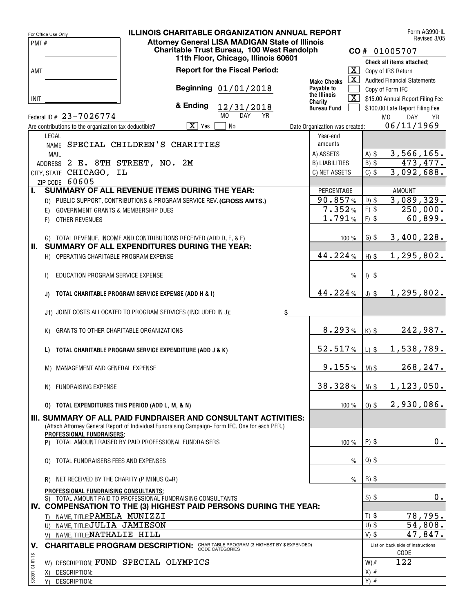|                 | For Office Use Only                                   | <b>ILLINOIS CHARITABLE ORGANIZATION ANNUAL REPORT</b>                                           |                                                        |                                |                    |         | Form AG990-IL                       |
|-----------------|-------------------------------------------------------|-------------------------------------------------------------------------------------------------|--------------------------------------------------------|--------------------------------|--------------------|---------|-------------------------------------|
| PMT#            |                                                       |                                                                                                 | <b>Attorney General LISA MADIGAN State of Illinois</b> |                                |                    |         | Revised 3/05                        |
|                 |                                                       |                                                                                                 | Charitable Trust Bureau, 100 West Randolph             |                                |                    |         | CO# 01005707                        |
|                 |                                                       |                                                                                                 | 11th Floor, Chicago, Illinois 60601                    |                                |                    |         | Check all items attached:           |
| AMT             |                                                       |                                                                                                 | <b>Report for the Fiscal Period:</b>                   |                                | $\boxed{\text{X}}$ |         | Copy of IRS Return                  |
|                 |                                                       |                                                                                                 |                                                        | <b>Make Checks</b>             | $\boxed{\text{X}}$ |         | <b>Audited Financial Statements</b> |
|                 |                                                       |                                                                                                 | Beginning 01/01/2018                                   | Payable to                     |                    |         | Copy of Form IFC                    |
| <b>INIT</b>     |                                                       |                                                                                                 |                                                        | the Illinois<br>Charity        | $\boxed{\text{X}}$ |         | \$15.00 Annual Report Filing Fee    |
|                 |                                                       | & Ending                                                                                        | 12/31/2018                                             | <b>Bureau Fund</b>             |                    |         | \$100.00 Late Report Filing Fee     |
|                 | Federal ID # 23-7026774                               |                                                                                                 | M <sub>0</sub><br><b>DAY</b><br><b>YR</b>              |                                |                    |         | M <sub>0</sub><br>DAY<br><b>YR</b>  |
|                 | Are contributions to the organization tax deductible? | $\overline{X}$ Yes                                                                              | No                                                     | Date Organization was created: |                    |         | 06/11/1969                          |
|                 | LEGAL                                                 |                                                                                                 |                                                        | Year-end                       |                    |         |                                     |
|                 |                                                       | NAME SPECIAL CHILDREN'S CHARITIES                                                               |                                                        | amounts                        |                    |         |                                     |
|                 | MAIL                                                  |                                                                                                 |                                                        | A) ASSETS                      |                    | $A)$ \$ | 3,566,165.                          |
|                 | ADDRESS 2 E. 8TH STREET, NO. 2M                       |                                                                                                 |                                                        | <b>B) LIABILITIES</b>          |                    | $B)$ \$ | 473,477.                            |
|                 | CITY, STATE CHICAGO, IL                               |                                                                                                 |                                                        | C) NET ASSETS                  |                    | $C)$ \$ | 3,092,688.                          |
|                 | ZIP CODE 60605                                        |                                                                                                 |                                                        |                                |                    |         |                                     |
| L.              |                                                       | <b>SUMMARY OF ALL REVENUE ITEMS DURING THE YEAR:</b>                                            |                                                        | PERCENTAGE                     |                    |         | <b>AMOUNT</b>                       |
|                 |                                                       | D) PUBLIC SUPPORT, CONTRIBUTIONS & PROGRAM SERVICE REV. (GROSS AMTS.)                           |                                                        |                                | 90.857%            | $D)$ \$ | 3,089,329.                          |
|                 | GOVERNMENT GRANTS & MEMBERSHIP DUES<br>E)             |                                                                                                 |                                                        |                                | 7.352%             | $E)$ \$ | $\overline{250,000}.$               |
|                 | OTHER REVENUES<br>F)                                  |                                                                                                 |                                                        |                                | 1.791%             | $F)$ \$ | 60,899.                             |
|                 |                                                       |                                                                                                 |                                                        |                                |                    |         |                                     |
|                 |                                                       | G) TOTAL REVENUE, INCOME AND CONTRIBUTIONS RECEIVED (ADD D, E, & F)                             |                                                        |                                | 100 %              | $G)$ \$ | 3,400,228.                          |
| Ш.              |                                                       | SUMMARY OF ALL EXPENDITURES DURING THE YEAR:                                                    |                                                        |                                |                    |         |                                     |
|                 | H) OPERATING CHARITABLE PROGRAM EXPENSE               |                                                                                                 |                                                        | 44.224%                        |                    | $H)$ \$ | 1,295,802.                          |
|                 |                                                       |                                                                                                 |                                                        |                                |                    |         |                                     |
|                 | EDUCATION PROGRAM SERVICE EXPENSE<br>$\mathsf{D}$     |                                                                                                 |                                                        |                                | $\%$               | $1)$ \$ |                                     |
|                 |                                                       |                                                                                                 |                                                        |                                |                    |         |                                     |
|                 | J)                                                    | TOTAL CHARITABLE PROGRAM SERVICE EXPENSE (ADD H & I)                                            |                                                        |                                | 44.224%            | $J)$ \$ | 1, 295, 802.                        |
|                 |                                                       |                                                                                                 |                                                        |                                |                    |         |                                     |
|                 |                                                       | J1) JOINT COSTS ALLOCATED TO PROGRAM SERVICES (INCLUDED IN J):                                  | \$                                                     |                                |                    |         |                                     |
|                 |                                                       |                                                                                                 |                                                        |                                |                    |         |                                     |
|                 | GRANTS TO OTHER CHARITABLE ORGANIZATIONS<br>K)        |                                                                                                 |                                                        |                                | 8.293%             | $K)$ \$ | 242,987.                            |
|                 |                                                       |                                                                                                 |                                                        |                                |                    |         |                                     |
|                 | L)                                                    | TOTAL CHARITABLE PROGRAM SERVICE EXPENDITURE (ADD J & K)                                        |                                                        |                                | 52.517%            | $L)$ \$ | 1,538,789.                          |
|                 |                                                       |                                                                                                 |                                                        |                                |                    |         |                                     |
|                 | M) MANAGEMENT AND GENERAL EXPENSE                     |                                                                                                 |                                                        |                                | 9.155%             | $M)$ \$ | 268, 247.                           |
|                 |                                                       |                                                                                                 |                                                        |                                |                    |         |                                     |
|                 | N) FUNDRAISING EXPENSE                                |                                                                                                 |                                                        |                                | 38.328%            | $N)$ \$ | 1, 123, 050.                        |
|                 |                                                       |                                                                                                 |                                                        |                                |                    |         |                                     |
|                 | 0) TOTAL EXPENDITURES THIS PERIOD (ADD L, M, & N)     |                                                                                                 |                                                        |                                | 100 %              | $0)$ \$ | 2,930,086.                          |
|                 |                                                       | III. SUMMARY OF ALL PAID FUNDRAISER AND CONSULTANT ACTIVITIES:                                  |                                                        |                                |                    |         |                                     |
|                 |                                                       | (Attach Attorney General Report of Individual Fundraising Campaign-Form IFC. One for each PFR.) |                                                        |                                |                    |         |                                     |
|                 | PROFESSIONAL FUNDRAISERS;                             |                                                                                                 |                                                        |                                |                    |         |                                     |
|                 |                                                       | P) TOTAL AMOUNT RAISED BY PAID PROFESSIONAL FUNDRAISERS                                         |                                                        |                                | 100 %              | $P)$ \$ | 0.                                  |
|                 |                                                       |                                                                                                 |                                                        |                                |                    |         |                                     |
|                 | TOTAL FUNDRAISERS FEES AND EXPENSES<br>$\Omega$       |                                                                                                 |                                                        |                                | $\%$               | $Q)$ \$ |                                     |
|                 |                                                       |                                                                                                 |                                                        |                                |                    |         |                                     |
|                 | NET RECEIVED BY THE CHARITY (P MINUS Q=R)<br>R)       |                                                                                                 |                                                        |                                | $\%$               | $R)$ \$ |                                     |
|                 | PROFESSIONAL FUNDRAISING CONSULTANTS:                 |                                                                                                 |                                                        |                                |                    |         |                                     |
|                 |                                                       | S) TOTAL AMOUNT PAID TO PROFESSIONAL FUNDRAISING CONSULTANTS                                    |                                                        |                                |                    | $S)$ \$ | $0$ .                               |
|                 |                                                       | IV. COMPENSATION TO THE (3) HIGHEST PAID PERSONS DURING THE YEAR:                               |                                                        |                                |                    |         |                                     |
|                 | T) NAME, TITLE: PAMELA MUNIZZI                        |                                                                                                 |                                                        |                                |                    | $T)$ \$ | 78,795.                             |
|                 | U) NAME, TITLE;JULIA JAMIESON                         |                                                                                                 |                                                        |                                |                    | $U)$ \$ | 54,808.                             |
|                 | V) NAME, TITLE NATHALIE HILL                          |                                                                                                 |                                                        |                                |                    | $V)$ \$ | 47,847.                             |
| V.              |                                                       | <b>CHARITABLE PROGRAM DESCRIPTION: CHARITABLE PROGRAM (3 HIGHEST BY \$ EXPENDED)</b>            |                                                        |                                |                    |         | List on back side of instructions   |
|                 |                                                       |                                                                                                 |                                                        |                                |                    |         | CODE                                |
| 898091 04-01-18 |                                                       | W) DESCRIPTION: FUND SPECIAL OLYMPICS                                                           |                                                        |                                |                    | $W)$ #  | 122                                 |
|                 | DESCRIPTION:<br>X)                                    |                                                                                                 |                                                        |                                |                    | $X)$ #  |                                     |
|                 | DESCRIPTION:<br>Y)                                    |                                                                                                 |                                                        |                                |                    | $Y)$ #  |                                     |